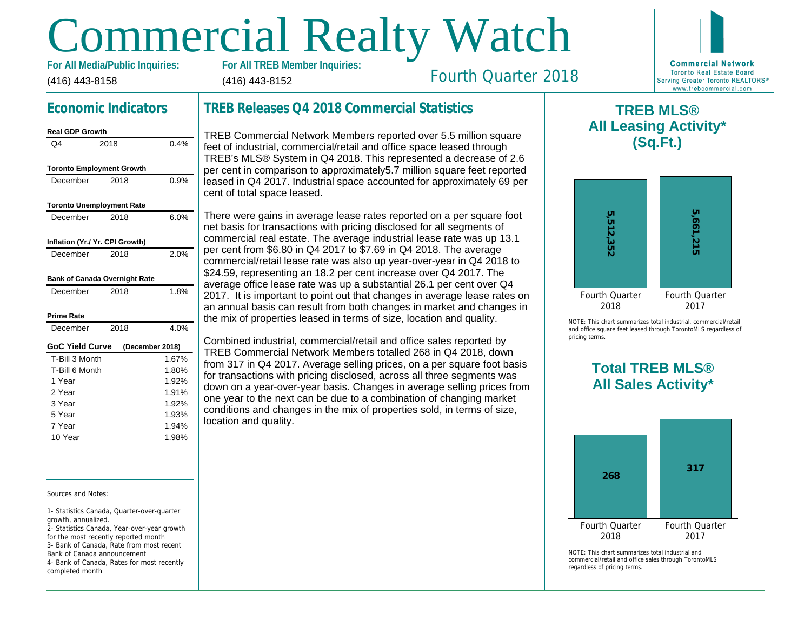# Commercial Realty Watch

(416) 443-8158 For All Media/Public Inquiries: (416) 443-8152

# Fourth Quarter 2018

## Economic Indicators

| Real GDP Growth                  |      |                 |
|----------------------------------|------|-----------------|
| Q4                               | 2018 | 0.4%            |
| <b>Toronto Employment Growth</b> |      |                 |
|                                  |      |                 |
| December                         | 2018 | 0.9%            |
| <b>Toronto Unemployment Rate</b> |      |                 |
| December                         | 2018 | 6.0%            |
| Inflation (Yr./ Yr. CPI Growth)  |      |                 |
| December                         | 2018 | 2.0%            |
| Bank of Canada Overnight Rate    |      |                 |
| December                         | 2018 | 1.8%            |
| Prime Rate                       |      |                 |
| December                         | 2018 | 4.0%            |
| <b>GoC Yield Curve</b>           |      | (December 2018) |
| T-Bill 3 Month                   |      | 1.67%           |
| T-Bill 6 Month                   |      | 1.80%           |
| 1 Year                           |      | 1.92%           |
| 2 Year                           |      | 1.91%           |
| 3 Year                           |      | 1.92%           |
| 5 Year                           |      | 1.93%           |
| 7 Year                           |      | 1.94%           |
| 10 Year                          |      | 1.98%           |
|                                  |      |                 |

#### Sources and Notes:

1- Statistics Canada, Quarter-over-quarter growth, annualized.

2- Statistics Canada, Year-over-year growth for the most recently reported month 3- Bank of Canada, Rate from most recent Bank of Canada announcement

4- Bank of Canada, Rates for most recently completed month

## TREB Releases Q4 2018 Commercial Statistics

TREB Commercial Network Members reported over 5.5 million square feet of industrial, commercial/retail and office space leased through TREB's MLS® System in Q4 2018. This represented a decrease of 2.6 per cent in comparison to approximately5.7 million square feet reported leased in Q4 2017. Industrial space accounted for approximately 69 per cent of total space leased.

There were gains in average lease rates reported on a per square foot net basis for transactions with pricing disclosed for all segments of commercial real estate. The average industrial lease rate was up 13.1 per cent from \$6.80 in Q4 2017 to \$7.69 in Q4 2018. The average commercial/retail lease rate was also up year-over-year in Q4 2018 to \$24.59, representing an 18.2 per cent increase over Q4 2017. The average office lease rate was up a substantial 26.1 per cent over Q4 2017. It is important to point out that changes in average lease rates on an annual basis can result from both changes in market and changes in the mix of properties leased in terms of size, location and quality.

Combined industrial, commercial/retail and office sales reported by TREB Commercial Network Members totalled 268 in Q4 2018, down from 317 in Q4 2017. Average selling prices, on a per square foot basis for transactions with pricing disclosed, across all three segments was down on a year-over-year basis. Changes in average selling prices from one year to the next can be due to a combination of changing market conditions and changes in the mix of properties sold, in terms of size, location and quality.

 $\mathsf T$ All Lea

NOTE: This chart sur and office square fee pricing terms.

# Total All Sa

 $NOTF: This chart sur$ commercial/retail and regardless of pricing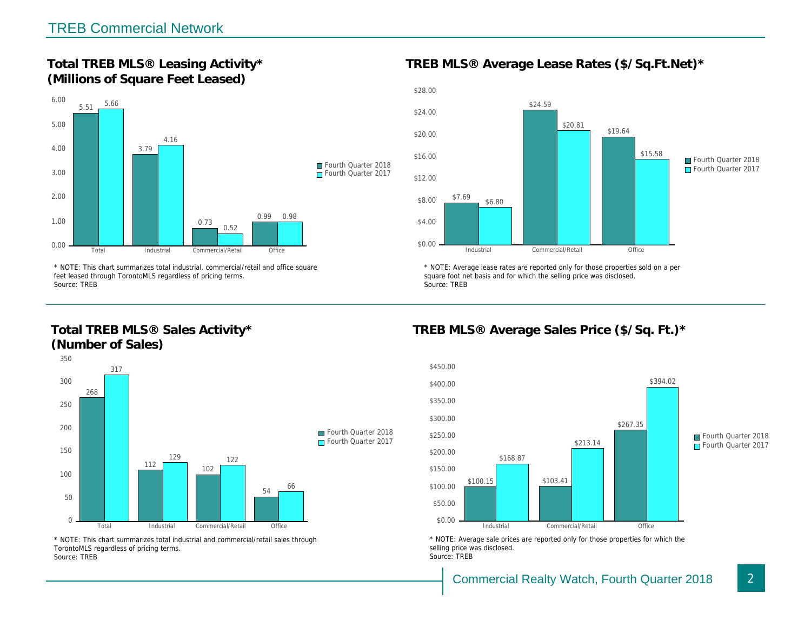Total TREB MLS® Leasing Activity\* (Millions of Square Feet Leased)

TREB MLS® Average Lease Rates (\$/So.

\* NOTE: This chart summarizes total industrial, commercial/retail and office square feet leased through TorontoMLS regardless of pricing terms. Source: TREB

Total TREB MLS® Sales Activity\* (Number of Sales)

\* NOTE: Average lease rates are reported only for those proper square foot net basis and for which the selling price was disclos Source: TREB

TREB MLS® Average Sales Price (\$/So.

\* NOTE: This chart summarizes total industrial and commercial/retail sales through TorontoMLS regardless of pricing terms. Source: TREB

\* NOTE: Average sale prices are reported only for those prope selling price was disclosed. Source: TREB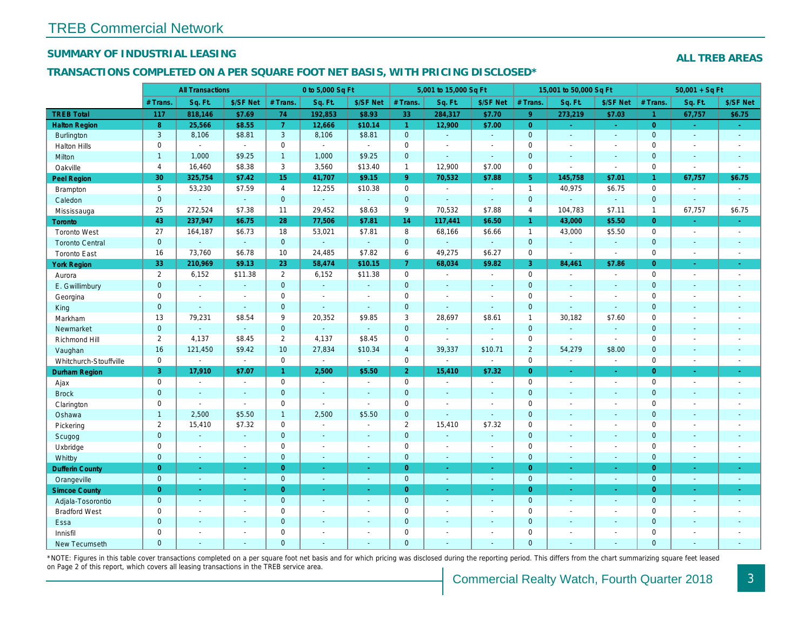## SUMMARY OF INDUSTRIAL LEASING

#### TRANSACTIONS COMPLETED ON A PER SQUARE FOOT NET BASIS, WITH PRICING DISCLOSED\*

|                        |                | <b>All Transactions</b> |                |                 | 0 to 5,000 Sq Ft |                |                | 5,001 to 15,000 Sq Ft |                          |                      | 15,001 to 50,000 Sq Ft |                  |
|------------------------|----------------|-------------------------|----------------|-----------------|------------------|----------------|----------------|-----------------------|--------------------------|----------------------|------------------------|------------------|
|                        | # Trans        | Sq. Ft.                 | \$/SF Net      | # Trans.        | Sq. Ft.          | \$/SF Net      | # Trans.       | Sq. Ft.               | \$/SF Net                | # Trans.             | Sq. Ft.                | \$/SF Ne         |
| <b>TREB Total</b>      | 117            | 818,146                 | \$7.69         | 74              | 192,853          | \$8.93         | 33             | 284,317               | \$7.70                   | 9 <sup>°</sup>       | 273,219                | \$7.03           |
| <b>Halton Region</b>   | 8              | 25,566                  | \$8.55         | $\overline{7}$  | 12,666           | \$10.14        | $\overline{1}$ | 12,900                | \$7.00                   | $\overline{0}$       | $\omega$               | $\omega_{\rm c}$ |
| Burlington             | $\mathbf{3}$   | 8,106                   | \$8.81         | $\mathbf{3}$    | 8,106            | \$8.81         | $\mathbf 0$    | $\blacksquare$        | $\sim$                   | $\mathbf 0$          | $\blacksquare$         | $\sim$           |
| <b>Halton Hills</b>    | $\mathbf 0$    | $\sim$                  | $\sim$         | $\mathbf 0$     | $\mathbf{r}$     | $\sim$         | $\pmb{0}$      | $\blacksquare$        | $\sim$                   | $\mathbf 0$          | $\blacksquare$         | $\blacksquare$   |
| Milton                 | $\mathbf{1}$   | 1,000                   | \$9.25         | $\mathbf{1}$    | 1,000            | \$9.25         | $\mathbf 0$    | ä,                    | $\omega$                 | $\mathbf 0$          | $\omega$               | $\omega$         |
| Oakville               | $\overline{4}$ | 16,460                  | \$8.38         | 3               | 3,560            | \$13.40        | $\mathbf{1}$   | 12,900                | \$7.00                   | $\mathbf 0$          | $\blacksquare$         | $\blacksquare$   |
| <b>Peel Region</b>     | 30             | 325,754                 | \$7.42         | 15              | 41,707           | \$9.15         | 9 <sup>°</sup> | 70,532                | \$7.88                   | 5 <sup>5</sup>       | 145,758                | \$7.01           |
| <b>Brampton</b>        | 5              | 53,230                  | \$7.59         | $\overline{4}$  | 12,255           | \$10.38        | $\mathbf 0$    | $\blacksquare$        | $\overline{\phantom{a}}$ | $\mathbf{1}$         | 40,975                 | \$6.75           |
| Caledon                | $\mathbf{0}$   | $\Delta$                | $\omega$       | $\mathbf{0}$    | ¥.               | $\Delta$       | $\mathbf{0}$   | $\mathbf{r}$          | $\sim$                   | $\mathbf 0$          | $\omega$               | $\sim$           |
| Mississauga            | 25             | 272,524                 | \$7.38         | 11              | 29,452           | \$8.63         | 9              | 70,532                | \$7.88                   | $\overline{4}$       | 104,783                | \$7.11           |
| <b>Toronto</b>         | 43             | 237,947                 | \$6.75         | 28              | 77,506           | \$7.81         | 14             | 117,441               | \$6.50                   | $\blacktriangleleft$ | 43,000                 | \$5.50           |
| <b>Toronto West</b>    | 27             | 164,187                 | \$6.73         | 18              | 53,021           | \$7.81         | 8              | 68,166                | \$6.66                   | $\mathbf{1}$         | 43,000                 | \$5.50           |
| <b>Toronto Central</b> | $\mathbf{0}$   | $\omega$                | $\omega$       | $\overline{0}$  | $\omega$         | $\blacksquare$ | $\mathbf 0$    | $\omega$              | $\omega$                 | $\mathbf 0$          | ä,                     | $\blacksquare$   |
| <b>Toronto East</b>    | 16             | 73,760                  | \$6.78         | 10              | 24,485           | \$7.82         | 6              | 49,275                | \$6.27                   | $\mathbf 0$          | $\blacksquare$         | $\blacksquare$   |
| <b>York Region</b>     | 33             | 210,969                 | \$9.13         | 23              | 58,474           | \$10.15        | $\overline{7}$ | 68,034                | \$9.82                   | $\mathbf{3}$         | 84,461                 | \$7.86           |
| Aurora                 | $\overline{2}$ | 6,152                   | \$11.38        | $\overline{2}$  | 6,152            | \$11.38        | $\mathbf 0$    | $\sim$                | $\sim$                   | $\mathbf 0$          | $\blacksquare$         | $\sim$           |
| E. Gwillimbury         | $\mathbf{0}$   | $\omega$                | $\omega$       | $\mathbf{0}$    | $\omega$         | $\sim$         | $\mathbf{0}$   | $\blacksquare$        | $\blacksquare$           | $\mathbf{0}$         | $\blacksquare$         | $\sim$           |
| Georgina               | $\mathbf 0$    | $\blacksquare$          | $\blacksquare$ | $\mathbf 0$     | $\sim$           | $\overline{a}$ | $\pmb{0}$      | $\blacksquare$        | $\sim$                   | $\mathbf 0$          | $\blacksquare$         | $\blacksquare$   |
| King                   | $\mathbf{0}$   | $\sim$                  | $\sim$         | $\mathbf 0$     | $\sim$           | $\sim$         | $\mathbf 0$    | ä,                    | ۰                        | $\mathbf 0$          | $\omega$               | $\blacksquare$   |
| Markham                | 13             | 79,231                  | \$8.54         | 9               | 20,352           | \$9.85         | 3              | 28,697                | \$8.61                   | $\mathbf{1}$         | 30,182                 | \$7.60           |
| Newmarket              | $\mathbf{0}$   | $\omega$                | $\omega$       | $\mathbf{0}$    | $\omega$         | $\omega$       | $\pmb{0}$      | $\omega$              | $\omega$                 | $\mathbf{0}$         | $\omega$               | $\omega$         |
| Richmond Hill          | $\overline{2}$ | 4,137                   | \$8.45         | $\overline{2}$  | 4,137            | \$8.45         | $\pmb{0}$      | $\blacksquare$        | $\sim$                   | $\mathbf 0$          | $\blacksquare$         | $\blacksquare$   |
| Vaughan                | 16             | 121,450                 | \$9.42         | 10 <sup>1</sup> | 27,834           | \$10.34        | $\overline{4}$ | 39,337                | \$10.71                  | $\overline{2}$       | 54,279                 | \$8.00           |
| Whitchurch-Stouffville | $\mathbf 0$    | $\blacksquare$          | $\blacksquare$ | $\mathbf 0$     | $\blacksquare$   | $\blacksquare$ | $\mathbf 0$    | $\blacksquare$        | $\sim$                   | $\mathbf 0$          | $\blacksquare$         | $\sim$           |
| Durham Region          | 3              | 17,910                  | \$7.07         | 1 <sup>1</sup>  | 2,500            | \$5.50         | $\overline{2}$ | 15,410                | \$7.32                   | $\overline{0}$       | $\omega$               | $\bullet$        |
| Ajax                   | $\mathbf 0$    | $\sim$                  | $\blacksquare$ | $\mathbf 0$     | $\sim$           | $\sim$         | 0              | $\blacksquare$        | $\blacksquare$           | $\mathbf 0$          | $\blacksquare$         | $\sim$           |
| <b>Brock</b>           | $\mathbf{0}$   | $\sim$                  | $\sim$         | $\mathbf{0}$    | $\sim$           | $\sim$         | $\mathbf 0$    | $\blacksquare$        | $\sim$                   | $\mathbf{0}$         | $\mathbf{r}$           | $\sim$           |
| Clarington             | $\mathbf 0$    | $\blacksquare$          | $\blacksquare$ | $\mathbf 0$     | $\mathbf{r}$     | $\mathbf{r}$   | $\pmb{0}$      | $\overline{a}$        | $\sim$                   | $\mathbf 0$          | L.                     | $\blacksquare$   |
| Oshawa                 | $\mathbf{1}$   | 2,500                   | \$5.50         | $\mathbf{1}$    | 2,500            | \$5.50         | $\mathbf 0$    | $\blacksquare$        | $\mathbf{r}$             | $\mathbf 0$          | $\blacksquare$         | $\sim$           |
| Pickering              | $\overline{2}$ | 15,410                  | \$7.32         | $\mathbf 0$     | $\blacksquare$   | $\blacksquare$ | $\overline{2}$ | 15,410                | \$7.32                   | $\mathbf 0$          | $\blacksquare$         | $\sim$           |
| Scugog                 | $\mathbf{0}$   | $\blacksquare$          | $\blacksquare$ | $\mathbf{0}$    | $\sim$           | $\sim$         | $\pmb{0}$      | $\omega$              | ä,                       | $\mathbf 0$          | $\blacksquare$         | $\blacksquare$   |
| Uxbridge               | $\mathbf 0$    | $\blacksquare$          | $\omega$       | $\mathbf 0$     | $\sim$           | $\sim$         | $\pmb{0}$      | $\blacksquare$        | $\sim$                   | $\mathbf 0$          | $\blacksquare$         | $\blacksquare$   |
| Whitby                 | $\mathbf{0}$   | $\sim$                  | $\sim$         | $\mathbf{0}$    | $\sim$           | $\sim$         | $\mathbf 0$    | $\blacksquare$        | $\blacksquare$           | $\mathbf{0}$         | $\blacksquare$         | $\blacksquare$   |
| <b>Dufferin County</b> | $\overline{0}$ | $\omega$                | $\omega$       | $\overline{0}$  | $\sim$           | $\omega$       | $\overline{0}$ | $\omega$              | $\omega$                 | $\overline{0}$       | $\blacksquare$         | $\sim$           |
| Orangeville            | $\mathbf{0}$   | $\blacksquare$          | $\sim$         | $\mathbf 0$     | $\sim$           | $\sim$         | $\mathbf{0}$   | $\sim$                | $\sim$                   | $\mathbf 0$          | $\blacksquare$         | $\sim$           |
| <b>Simcoe County</b>   | $\overline{0}$ | $\sim$                  | $\sim$         | $\overline{0}$  | $\omega$         | $\sim$         | $\overline{0}$ | $\blacksquare$        | $\blacksquare$           | $\overline{0}$       | $\blacksquare$         | $\bullet$ .      |
| Adjala-Tosorontio      | $\mathbf{0}$   | $\sim$                  | $\sim$         | $\mathbf 0$     | $\omega$         | $\sim$         | $\mathbf{0}$   | $\omega$              | $\sim$                   | $\mathbf 0$          | $\omega$               | $\omega$         |
| <b>Bradford West</b>   | $\mathbf 0$    | $\blacksquare$          | $\blacksquare$ | $\mathbf 0$     | $\sim$           | $\sim$         | $\pmb{0}$      | $\blacksquare$        | $\blacksquare$           | $\mathbf 0$          | $\overline{a}$         | $\sim$           |
| Essa                   | $\overline{0}$ | $\sim$                  | $\sim$         | $\Omega$        | $\sim$           | $\sim$         | $\pmb{0}$      | ä,                    | $\blacksquare$           | $\mathbf{0}$         | $\blacksquare$         | $\sim$           |
| Innisfil               | $\mathbf 0$    | $\blacksquare$          | $\blacksquare$ | $\mathbf 0$     | $\sim$           |                | $\pmb{0}$      | $\blacksquare$        | $\blacksquare$           | $\mathbf 0$          | $\blacksquare$         | $\blacksquare$   |
| New Tecumseth          | $\Omega$       | $\sim$                  |                | $\mathbf{0}$    | $\overline{a}$   |                | $\overline{0}$ | ä,                    | ä,                       | $\mathbf{0}$         | ä,                     | $\blacksquare$   |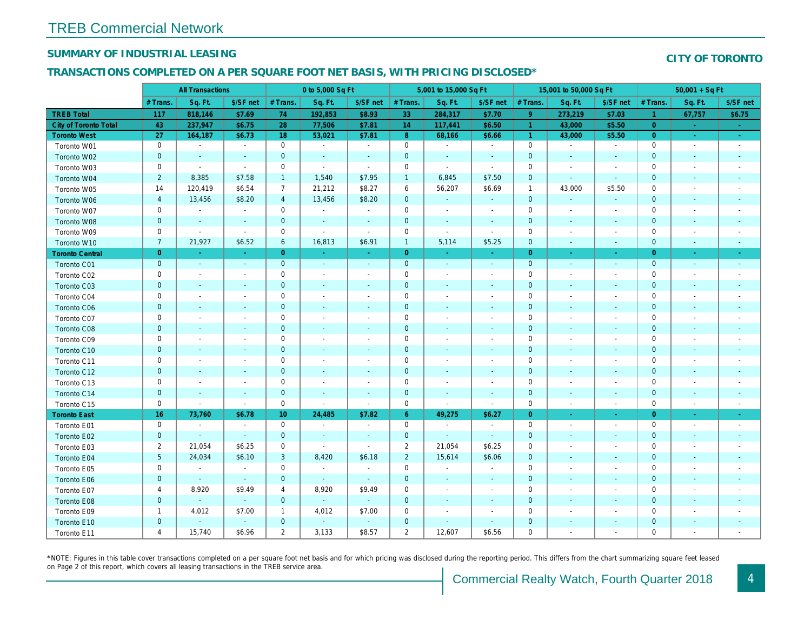## SUMMARY OF INDUSTRIAL LEASING

#### TRANSACTIONS COMPLETED ON A PER SQUARE FOOT NET BASIS, WITH PRICING DISCLOSED\*

|                        | <b>All Transactions</b> |                          | 0 to 5,000 Sq Ft         |                 |                |                          | 5,001 to 15,000 Sq Ft |                          |                          | 15,001 to 50,000 Sq Ft |                          |                          |
|------------------------|-------------------------|--------------------------|--------------------------|-----------------|----------------|--------------------------|-----------------------|--------------------------|--------------------------|------------------------|--------------------------|--------------------------|
|                        | # Trans.                | Sq. Ft.                  | \$/SF net                | # Trans.        | Sq. Ft.        | \$/SF net                | # Trans.              | Sq. Ft.                  | \$/SF net                | # Trans.               | Sq. Ft.                  | \$/SF ne                 |
| <b>TREB Total</b>      | 117                     | 818,146                  | \$7.69                   | 74              | 192,853        | \$8.93                   | 33                    | 284,317                  | \$7.70                   | 9                      | 273,219                  | \$7.03                   |
| City of Toronto Total  | 43                      | 237,947                  | \$6.75                   | 28              | 77,506         | \$7.81                   | 14                    | 117,441                  | \$6.50                   | $\overline{1}$         | 43,000                   | \$5.50                   |
| <b>Toronto West</b>    | 27                      | 164,187                  | \$6.73                   | 18              | 53,021         | \$7.81                   | 8 <sup>°</sup>        | 68,166                   | \$6.66                   | $\overline{1}$         | 43,000                   | \$5.50                   |
| Toronto W01            | $\mathbf 0$             | $\blacksquare$           | $\blacksquare$           | $\mathbf 0$     | $\blacksquare$ | $\blacksquare$           | $\mathbf 0$           | $\blacksquare$           | $\blacksquare$           | $\mathbf 0$            | $\sim$                   | $\sim$                   |
| Toronto W02            | $\mathbf 0$             | $\blacksquare$           | $\blacksquare$           | $\mathbf 0$     | $\blacksquare$ | $\blacksquare$           | $\mathbf 0$           | $\sim$                   | $\blacksquare$           | $\mathbf 0$            | $\sim$                   | $\sim$                   |
| Toronto W03            | $\mathbf 0$             | $\sim$                   | $\sim$                   | $\mathbf 0$     | $\blacksquare$ | $\blacksquare$           | $\mathbf 0$           | $\blacksquare$           | $\blacksquare$           | 0                      | $\overline{\phantom{a}}$ | $\sim$                   |
| Toronto W04            | $\overline{2}$          | 8,385                    | \$7.58                   | $\mathbf{1}$    | 1,540          | \$7.95                   | $\mathbf{1}$          | 6,845                    | \$7.50                   | $\mathbf 0$            | $\blacksquare$           | $\sim$                   |
| Toronto W05            | 14                      | 120,419                  | \$6.54                   | $\overline{7}$  | 21,212         | \$8.27                   | 6                     | 56,207                   | \$6.69                   | $\overline{1}$         | 43,000                   | \$5.50                   |
| Toronto W06            | $\overline{4}$          | 13,456                   | \$8.20                   | $\overline{4}$  | 13,456         | \$8.20                   | $\mathbf 0$           | $\blacksquare$           | $\blacksquare$           | $\mathbf{0}$           | $\sim$                   | $\sim$                   |
| Toronto W07            | $\mathbf 0$             | $\blacksquare$           | $\blacksquare$           | $\mathbf 0$     | $\sim$         | $\blacksquare$           | $\mathsf 0$           | $\blacksquare$           | $\blacksquare$           | $\mathbf 0$            | $\sim$                   | $\blacksquare$           |
| Toronto W08            | $\pmb{0}$               | $\blacksquare$           | $\sim$                   | $\mathbf 0$     | $\blacksquare$ | $\blacksquare$           | $\pmb{0}$             | $\blacksquare$           | $\blacksquare$           | $\mathbf 0$            | $\blacksquare$           | $\sim$                   |
| Toronto W09            | $\mathbf 0$             | $\sim$                   | $\sim$                   | $\mathbf 0$     | ÷,             | $\blacksquare$           | $\mathbf 0$           | $\sim$                   | $\blacksquare$           | 0                      | $\overline{\phantom{a}}$ | $\sim$                   |
| Toronto W10            | $\overline{7}$          | 21,927                   | \$6.52                   | 6               | 16,813         | \$6.91                   | $\mathbf{1}$          | 5,114                    | \$5.25                   | $\mathbf 0$            | $\sim$                   | $\sim$                   |
| <b>Toronto Central</b> | $\mathbf{0}$            | $\sim$                   | $\sim$                   | $\overline{0}$  | $\omega$       | $\omega_{\rm c}$         | $\overline{0}$        | $\sim$                   | $\sim$                   | $\overline{0}$         | $\sim$                   | $\sim$                   |
| Toronto C01            | $\pmb{0}$               | $\sim$                   | $\sim$                   | $\mathbf 0$     | $\omega$       | $\blacksquare$           | $\mathbf 0$           | $\omega$                 | $\blacksquare$           | $\mathbf{0}$           | $\blacksquare$           | $\sim$                   |
| Toronto C02            | $\mathbf 0$             | $\blacksquare$           | $\blacksquare$           | $\mathbf 0$     | $\overline{a}$ | $\overline{\phantom{a}}$ | $\mathbf 0$           | $\blacksquare$           | $\blacksquare$           | 0                      |                          | $\overline{\phantom{a}}$ |
| Toronto C03            | $\mathbf 0$             | $\blacksquare$           |                          | $\mathbf 0$     | $\blacksquare$ | $\blacksquare$           | $\mathbf 0$           | ٠                        |                          | 0                      | ٠                        | $\sim$                   |
| Toronto C04            | 0                       | $\overline{\phantom{a}}$ | $\blacksquare$           | $\mathbf 0$     | $\overline{a}$ | $\overline{\phantom{a}}$ | 0                     | $\overline{\phantom{a}}$ | $\blacksquare$           | 0                      |                          | $\overline{\phantom{a}}$ |
| Toronto C06            | $\pmb{0}$               | $\blacksquare$           | $\overline{\phantom{a}}$ | $\mathbf 0$     | $\blacksquare$ | ٠                        | $\pmb{0}$             | $\blacksquare$           | $\overline{\phantom{a}}$ | 0                      | $\overline{\phantom{a}}$ | $\sim$                   |
| Toronto C07            | $\mathbf 0$             | $\blacksquare$           | $\sim$                   | $\mathbf 0$     | $\blacksquare$ | $\blacksquare$           | $\mathbf 0$           | $\blacksquare$           | $\overline{a}$           | 0                      |                          | $\overline{\phantom{a}}$ |
| Toronto C08            | $\mathbf 0$             | $\blacksquare$           | $\blacksquare$           | $\mathbf 0$     | $\blacksquare$ | $\blacksquare$           | $\mathbf 0$           | $\blacksquare$           | $\overline{a}$           | $\mathbf 0$            | $\sim$                   | $\overline{\phantom{a}}$ |
| Toronto C09            | 0                       | $\overline{\phantom{a}}$ | $\overline{a}$           | $\mathbf 0$     | $\blacksquare$ | $\blacksquare$           | $\mathbf 0$           | $\blacksquare$           | $\ddot{\phantom{1}}$     | 0                      |                          | $\overline{a}$           |
| Toronto C10            | $\pmb{0}$               | $\blacksquare$           | $\blacksquare$           | $\mathbf 0$     | $\blacksquare$ | $\blacksquare$           | $\mathbf 0$           | $\blacksquare$           | $\blacksquare$           | $\mathbf 0$            | $\blacksquare$           | $\overline{\phantom{a}}$ |
| Toronto C11            | $\mathbf 0$             | $\blacksquare$           |                          | $\mathbf 0$     | $\blacksquare$ | $\frac{1}{2}$            | $\mathbf 0$           | $\overline{\phantom{a}}$ | $\blacksquare$           | 0                      |                          | $\overline{\phantom{a}}$ |
| Toronto C12            | $\mathbf 0$             | $\blacksquare$           | $\blacksquare$           | $\mathbf 0$     | $\blacksquare$ | $\blacksquare$           | $\pmb{0}$             | $\blacksquare$           | $\overline{\phantom{a}}$ | 0                      | $\overline{\phantom{a}}$ | $\overline{\phantom{a}}$ |
| Toronto C13            | $\mathbf 0$             | $\overline{\phantom{a}}$ | $\ddot{\phantom{1}}$     | $\mathbf 0$     | $\blacksquare$ | $\blacksquare$           | $\mathbf 0$           | $\blacksquare$           | $\ddot{\phantom{1}}$     | 0                      |                          | $\overline{\phantom{a}}$ |
| Toronto C14            | $\pmb{0}$               | $\blacksquare$           | $\blacksquare$           | $\mathbf 0$     | $\blacksquare$ | $\blacksquare$           | $\pmb{0}$             | $\blacksquare$           | $\blacksquare$           | $\mathbf 0$            | $\blacksquare$           | $\overline{\phantom{a}}$ |
| Toronto C15            | $\mathbf 0$             | $\blacksquare$           | $\blacksquare$           | $\mathbf 0$     | $\blacksquare$ | $\overline{\phantom{a}}$ | $\mathbf 0$           | $\blacksquare$           | $\blacksquare$           | $\mathbf 0$            | $\overline{\phantom{a}}$ | $\blacksquare$           |
| <b>Toronto East</b>    | 16                      | 73,760                   | \$6.78                   | 10 <sub>1</sub> | 24,485         | \$7.82                   | $6^{\circ}$           | 49,275                   | \$6.27                   | $\mathbf{0}$           |                          | ÷                        |
| Toronto E01            | 0                       | $\sim$                   | $\overline{\phantom{a}}$ | $\mathbf 0$     | $\blacksquare$ | $\overline{\phantom{a}}$ | 0                     | $\sim$                   | $\overline{\phantom{a}}$ | $\mathbf 0$            | $\overline{\phantom{a}}$ | $\sim$                   |
| Toronto E02            | $\mathbf 0$             | $\omega$                 | $\sim$                   | $\mathbf{0}$    | $\omega$       | $\blacksquare$           | $\mathbf 0$           | $\omega$                 | $\omega$                 | $\mathbf 0$            | $\blacksquare$           | $\sim$                   |
| Toronto E03            | $\overline{2}$          | 21,054                   | \$6.25                   | $\mathbf 0$     | ÷,             | $\blacksquare$           | $\overline{2}$        | 21,054                   | \$6.25                   | $\mathbf 0$            |                          | $\overline{\phantom{a}}$ |
| Toronto E04            | 5                       | 24,034                   | \$6.10                   | 3               | 8,420          | \$6.18                   | $\overline{2}$        | 15,614                   | \$6.06                   | $\mathbf 0$            |                          | $\blacksquare$           |
| Toronto E05            | $\mathsf 0$             | $\blacksquare$           | $\blacksquare$           | $\mathbf 0$     | $\blacksquare$ | $\blacksquare$           | $\mathsf 0$           | $\blacksquare$           | $\blacksquare$           | $\mathbf 0$            |                          |                          |
| Toronto E06            | $\mathbf 0$             | $\blacksquare$           | $\sim$                   | $\mathbf{0}$    | $\sim$         | $\blacksquare$           | $\mathbf 0$           | $\blacksquare$           | $\blacksquare$           | $\mathbf 0$            | $\blacksquare$           | $\blacksquare$           |
| Toronto E07            | $\overline{a}$          | 8,920                    | \$9.49                   | 4               | 8,920          | \$9.49                   | $\mathbf 0$           | $\blacksquare$           | $\overline{\phantom{a}}$ | 0                      |                          | $\overline{\phantom{a}}$ |
| Toronto E08            | $\mathbf 0$             | $\blacksquare$           | $\blacksquare$           | $\mathbf 0$     | $\omega$       | $\blacksquare$           | $\mathbf 0$           | $\blacksquare$           | $\blacksquare$           | $\pmb{0}$              | $\blacksquare$           | $\blacksquare$           |
| Toronto E09            | 1                       | 4,012                    | \$7.00                   | $\mathbf{1}$    | 4,012          | \$7.00                   | 0                     | $\overline{\phantom{a}}$ | $\blacksquare$           | 0                      |                          |                          |
| Toronto E10            | $\mathbf 0$             | $\blacksquare$           | $\blacksquare$           | $\mathbf 0$     | $\blacksquare$ | $\blacksquare$           | $\mathbf 0$           | $\blacksquare$           | $\blacksquare$           | $\pmb{0}$              | $\blacksquare$           |                          |
| Toronto E11            | 4                       | 15,740                   | \$6.96                   | $\overline{2}$  | 3,133          | \$8.57                   | $\overline{2}$        | 12,607                   | \$6.56                   | 0                      |                          |                          |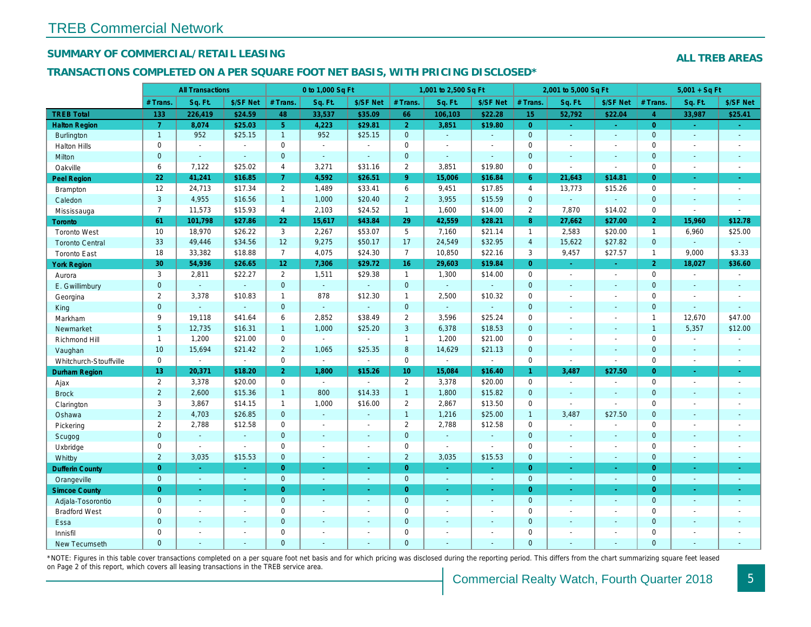## SUMMARY OF COMMERCIAL/RETAIL LEASING

#### TRANSACTIONS COMPLETED ON A PER SQUARE FOOT NET BASIS, WITH PRICING DISCLOSED\*

|                        |                       | <b>All Transactions</b>  |                          |                | 0 to 1,000 Sq Ft |                      |                  | 1,001 to 2,500 Sq Ft |                  |                | 2,001 to 5,000 Sq Ft |                  |
|------------------------|-----------------------|--------------------------|--------------------------|----------------|------------------|----------------------|------------------|----------------------|------------------|----------------|----------------------|------------------|
|                        | # Trans.              | Sq. Ft.                  | \$/SF Net                | # Trans.       | Sq. Ft.          | \$/SF Net            | # Trans.         | Sq. Ft.              | \$/SF Net        | # Trans.       | Sq. Ft.              | \$/SF Ne         |
| <b>TREB Total</b>      | 133                   | 226,419                  | \$24.59                  | 48             | 33,537           | \$35.09              | 66               | 106,103              | \$22.28          | 15             | 52,792               | \$22.04          |
| <b>Halton Region</b>   | $\overline{7}$        | 8,074                    | \$25.03                  | 5 <sup>1</sup> | 4.223            | \$29.81              | 2 <sup>1</sup>   | 3,851                | \$19.80          | $\overline{0}$ | $\omega$             | $\sim$           |
| <b>Burlington</b>      | $\mathbf{1}$          | 952                      | \$25.15                  | 1              | 952              | \$25.15              | $\mathbf{0}$     | $\omega_{\rm c}$     | $\mathbf{r}$     | $\mathbf{0}$   | $\omega$             | $\blacksquare$   |
| <b>Halton Hills</b>    | 0                     | $\blacksquare$           | $\sim$                   | $\mathbf 0$    | $\mathbf{r}$     | $\ddot{\phantom{1}}$ | $\mathbf 0$      | ä,                   | $\blacksquare$   | $\mathbf 0$    | $\blacksquare$       | $\blacksquare$   |
| <b>Milton</b>          | $\mathbf{0}$          | $\sim$                   | $\omega$                 | $\mathbf{0}$   | $\Delta$         | $\mathbf{r}$         | $\mathbf{0}$     | $\blacksquare$       | $\mathbf{r}$     | $\mathbf{0}$   | $\Delta$             | $\omega$         |
| Oakville               | 6                     | 7,122                    | \$25.02                  | $\overline{4}$ | 3,271            | \$31.16              | $\overline{2}$   | 3,851                | \$19.80          | $\mathbf 0$    | $\blacksquare$       | $\sim$           |
| Peel Region            | 22                    | 41,241                   | \$16.85                  | 7 <sup>1</sup> | 4,592            | \$26.51              | 9 <sup>°</sup>   | 15,006               | \$16.84          | $6^{\circ}$    | 21,643               | \$14.81          |
| <b>Brampton</b>        | 12                    | 24,713                   | \$17.34                  | $\overline{2}$ | 1,489            | \$33.41              | 6                | 9,451                | \$17.85          | $\overline{4}$ | 13,773               | \$15.26          |
| Caledon                | 3                     | 4,955                    | \$16.56                  | 1              | 1,000            | \$20.40              | $\overline{2}$   | 3,955                | \$15.59          | $\mathbf 0$    | $\omega$             | $\blacksquare$   |
| Mississauga            | $\overline{7}$        | 11,573                   | \$15.93                  | $\overline{4}$ | 2,103            | \$24.52              | $\mathbf{1}$     | 1,600                | \$14.00          | $\overline{2}$ | 7,870                | \$14.02          |
| Toronto                | 61                    | 101,798                  | \$27.86                  | 22             | 15,617           | \$43.84              | 29               | 42,559               | \$28.21          | 8 <sup>°</sup> | 27,662               | \$27.00          |
| <b>Toronto West</b>    | 10                    | 18,970                   | \$26.22                  | 3              | 2,267            | \$53.07              | 5                | 7,160                | \$21.14          | $\mathbf{1}$   | 2,583                | \$20.00          |
| <b>Toronto Central</b> | 33                    | 49,446                   | \$34.56                  | 12             | 9,275            | \$50.17              | 17               | 24,549               | \$32.95          | $\overline{4}$ | 15,622               | \$27.82          |
| <b>Toronto East</b>    | 18                    | 33,382                   | \$18.88                  | $\overline{7}$ | 4,075            | \$24.30              | $\overline{7}$   | 10,850               | \$22.16          | 3              | 9,457                | \$27.57          |
| <b>York Region</b>     | 30                    | 54,936                   | \$26.65                  | 12             | 7,306            | \$29.72              | 16               | 29,603               | \$19.84          | $\overline{0}$ | $\sim$               | $\sim$           |
| Aurora                 | 3                     | 2,811                    | \$22.27                  | $\overline{2}$ | 1,511            | \$29.38              | $\mathbf{1}$     | 1,300                | \$14.00          | $\mathbf 0$    | $\blacksquare$       | $\sim$           |
| E. Gwillimbury         | $\mathbf{0}$          | $\blacksquare$           | $\omega$                 | $\mathbf 0$    | $\omega$         | $\omega$             | $\mathbf{0}$     | ä,                   | $\blacksquare$   | $\mathbf{0}$   | $\omega$             | $\blacksquare$   |
| Georgina               | 2                     | 3,378                    | \$10.83                  | $\mathbf{1}$   | 878              | \$12.30              | $\mathbf{1}$     | 2,500                | \$10.32          | $\mathbf 0$    | $\blacksquare$       | $\blacksquare$   |
| King                   | $\overline{0}$        | $\mathbf{r}$             | $\mathbf{r}$             | $\overline{0}$ | $\omega$         | $\blacksquare$       | $\mathbf{0}$     | $\Box$               | $\omega$         | $\mathbf{0}$   | $\Delta$             | $\blacksquare$   |
| Markham                | 9                     | 19,118                   | \$41.64                  | 6              | 2,852            | \$38.49              | $\overline{2}$   | 3,596                | \$25.24          | $\mathbf 0$    | ÷,                   | $\blacksquare$   |
| Newmarket              | 5 <sup>5</sup>        | 12,735                   | \$16.31                  | 1              | 1,000            | \$25.20              | $\mathbf{3}$     | 6,378                | \$18.53          | $\mathbf{0}$   | $\blacksquare$       | $\blacksquare$   |
| Richmond Hill          | $\mathbf{1}$          | 1,200                    | \$21.00                  | $\mathbf 0$    | $\blacksquare$   | $\sim$               | $\mathbf{1}$     | 1,200                | \$21.00          | $\Omega$       | ÷.                   | $\blacksquare$   |
| Vaughan                | 10                    | 15,694                   | \$21.42                  | $\overline{2}$ | 1,065            | \$25.35              | $\boldsymbol{8}$ | 14,629               | \$21.13          | $\mathbf{0}$   | $\blacksquare$       | $\blacksquare$   |
| Whitchurch-Stouffville | 0                     | $\blacksquare$           | $\omega$                 | $\mathbf 0$    | $\omega$         | $\sim$               | $\mathsf{O}$     | $\blacksquare$       | $\sim$           | $\mathbf 0$    | $\blacksquare$       | $\blacksquare$   |
| <b>Durham Region</b>   | 13                    | 20,371                   | \$18.20                  | $\overline{2}$ | 1,800            | \$15.26              | 10 <sub>1</sub>  | 15,084               | \$16.40          | $\mathbf{1}$   | 3,487                | \$27.50          |
| Ajax                   | $\mathbf{2}^{\prime}$ | 3,378                    | \$20.00                  | $\mathbf 0$    | $\sim$           | $\blacksquare$       | $\overline{2}$   | 3,378                | \$20.00          | $\mathbf 0$    | $\blacksquare$       | $\sim$           |
| <b>Brock</b>           | $\overline{2}$        | 2,600                    | \$15.36                  | 1              | 800              | \$14.33              | $\mathbf{1}$     | 1,800                | \$15.82          | $\mathbf{0}$   | $\Delta$             | $\blacksquare$   |
| Clarington             | 3                     | 3,867                    | \$14.15                  | $\mathbf{1}$   | 1,000            | \$16.00              | $\overline{2}$   | 2,867                | \$13.50          | $\mathbf 0$    | $\blacksquare$       | $\blacksquare$   |
| Oshawa                 | $\overline{2}$        | 4,703                    | \$26.85                  | $\mathbf{0}$   | $\mathbf{r}$     |                      | $\mathbf{1}$     | 1,216                | \$25.00          | $\mathbf{1}$   | 3,487                | \$27.50          |
| Pickering              | $\overline{2}$        | 2,788                    | \$12.58                  | 0              | $\blacksquare$   | $\sim$               | $\overline{2}$   | 2,788                | \$12.58          | $\mathbf 0$    | $\blacksquare$       | $\blacksquare$   |
| Scugog                 | $\mathbf{0}$          | $\omega$                 | $\blacksquare$           | $\mathbf 0$    | $\blacksquare$   | $\blacksquare$       | $\mathbf{0}$     | $\blacksquare$       | $\blacksquare$   | $\mathbf{0}$   | $\blacksquare$       | $\blacksquare$   |
| Uxbridge               | $\mathbf 0$           | $\blacksquare$           | $\blacksquare$           | $\mathbf 0$    | $\blacksquare$   | $\blacksquare$       | $\mathbf 0$      | $\blacksquare$       | $\sim$           | $\mathbf 0$    | $\blacksquare$       | $\blacksquare$   |
| Whitby                 | $\overline{2}$        | 3,035                    | \$15.53                  | $\mathbf{0}$   | $\sim$           | $\sim$               | $\overline{2}$   | 3,035                | \$15.53          | $\mathbf{0}$   | $\sim$               | $\sim$           |
| <b>Dufferin County</b> | $\overline{0}$        | $\bullet$                | $\sim$                   | $\overline{0}$ | $\bullet$        | $\sim$               | $\overline{0}$   | $\omega_{\rm c}$     | $\omega_{\rm c}$ | $\overline{0}$ | $\blacksquare$       | $\sim$           |
| Orangeville            | $\mathbf{0}$          | $\omega$                 | $\omega$                 | $\overline{0}$ | $\omega$         | $\omega$ .           | $\mathbf{0}$     | $\omega$             | $\omega$ .       | $\overline{0}$ | $\omega$             | $\sim$           |
| <b>Simcoe County</b>   | $\overline{0}$        | $\sim$                   | a.                       | $\overline{0}$ | $\omega$         | $\omega$             | $\overline{0}$   | $\omega$             | ÷.               | $\overline{0}$ | $\omega$             | $\omega_{\rm c}$ |
| Adjala-Tosorontio      | $\mathbf{0}$          | $\omega$                 | $\sim$                   | $\mathbf{0}$   | $\omega$         | $\omega$             | $\mathbf{0}$     | $\mathbf{r}$         | $\mathbf{r}$     | $\mathbf{0}$   | $\Delta$             | $\sim$           |
| <b>Bradford West</b>   | 0                     | $\sim$                   | $\sim$                   | 0              | $\blacksquare$   | $\sim$               | $\mathsf 0$      | $\blacksquare$       | $\blacksquare$   | $\mathbf 0$    | $\blacksquare$       | $\blacksquare$   |
| Essa                   | $\mathbf 0$           | $\blacksquare$           | $\sim$                   | $\overline{0}$ | $\blacksquare$   | $\blacksquare$       | $\pmb{0}$        | $\omega$             | $\blacksquare$   | $\mathbf{0}$   | $\blacksquare$       | ٠                |
| Innisfil               | 0                     | $\overline{\phantom{a}}$ | $\overline{\phantom{a}}$ | 0              | $\sim$           | $\blacksquare$       | $\mathbf 0$      | $\blacksquare$       | $\blacksquare$   | $\mathbf 0$    | $\blacksquare$       | $\blacksquare$   |
| New Tecumseth          | $\Omega$              |                          |                          | $\Omega$       | ä,               | ä,                   | $\mathbf{0}$     | ä,                   | ä,               | $\Omega$       | $\Delta$             | $\omega$         |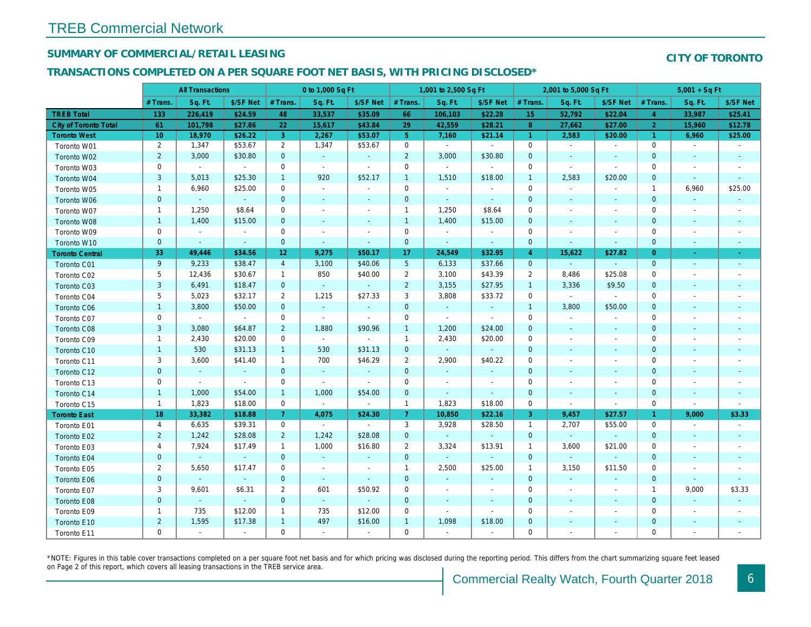## SUMMARY OF COMMERCIAL/RETAIL LEASING

## TRANSACTIONS COMPLETED ON A PER SQUARE FOOT NET BASIS, WITH PRICING DISCLOSED\*

|                              |                 | <b>All Transactions</b>     |                |                 | 0 to 1,000 Sq Ft |                          |                 | 1,001 to 2,500 Sq Ft |                |                | 2,001 to 5,000 Sq Ft |                          |
|------------------------------|-----------------|-----------------------------|----------------|-----------------|------------------|--------------------------|-----------------|----------------------|----------------|----------------|----------------------|--------------------------|
|                              | # Trans.        | Sq. Ft.                     | \$/SF Net      | # Trans.        | Sq. Ft.          | \$/SF Net                | # Trans.        | Sq. Ft.              | \$/SF Net      | # Trans.       | Sq. Ft.              | \$/SF Ne                 |
| <b>TREB Total</b>            | 133             | 226,419                     | \$24.59        | 48              | 33,537           | \$35.09                  | 66              | 106,103              | \$22.28        | 15             | 52,792               | \$22.04                  |
| <b>City of Toronto Total</b> | 61              | 101,798                     | \$27.86        | 22              | 15,617           | \$43.84                  | 29              | 42,559               | \$28.21        | 8              | 27,662               | \$27.00                  |
| <b>Toronto West</b>          | 10 <sub>1</sub> | 18,970                      | \$26.22        | 3               | 2,267            | \$53.07                  | 5 <sup>5</sup>  | 7,160                | \$21.14        | $\overline{1}$ | 2,583                | \$20.00                  |
| Toronto W01                  | $\overline{2}$  | 1,347                       | \$53.67        | $\overline{2}$  | 1,347            | \$53.67                  | $\mathbf 0$     | $\blacksquare$       | $\blacksquare$ | $\mathbf 0$    | $\blacksquare$       | $\sim$                   |
| Toronto W02                  | $\overline{2}$  | 3,000                       | \$30.80        | $\mathbf{0}$    | $\sim$           | $\blacksquare$           | $\overline{2}$  | 3,000                | \$30.80        | $\mathbf{0}$   | $\sim$               | $\sim$                   |
| Toronto W03                  | 0               | $\blacksquare$              | $\sim$         | $\mathbf 0$     | $\sim$           | $\blacksquare$           | $\mathbf 0$     | $\blacksquare$       | $\sim$         | $\mathbf 0$    | $\blacksquare$       | $\sim$                   |
| Toronto W04                  | 3               | 5,013                       | \$25.30        | $\mathbf{1}$    | 920              | \$52.17                  | $\mathbf{1}$    | 1,510                | \$18.00        | $\overline{1}$ | 2,583                | \$20.00                  |
| Toronto W05                  | $\mathbf{1}$    | 6,960                       | \$25.00        | $\mathbf 0$     | $\sim$           | $\blacksquare$           | $\mathbf 0$     | $\blacksquare$       | $\blacksquare$ | $\mathbf 0$    | $\blacksquare$       | $\blacksquare$           |
| Toronto W06                  | $\mathbf{0}$    | $\omega$                    | $\sim$         | $\mathbf{0}$    | $\sim$           | $\sim$                   | $\mathbf 0$     | $\sim$               | $\sim$         | $\mathbf{0}$   | $\sim$               | $\sim$                   |
| Toronto W07                  | $\mathbf{1}$    | 1,250                       | \$8.64         | $\mathbf 0$     | $\blacksquare$   | $\blacksquare$           | $\mathbf{1}$    | 1,250                | \$8.64         | $\mathbf 0$    | $\blacksquare$       | $\overline{\phantom{a}}$ |
| Toronto W08                  | $\mathbf{1}$    | 1,400                       | \$15.00        | $\mathbf{0}$    | $\blacksquare$   | $\blacksquare$           | $\mathbf{1}$    | 1,400                | \$15.00        | $\mathbf{0}$   | $\blacksquare$       | $\blacksquare$           |
| Toronto W09                  | 0               | $\blacksquare$              | $\sim$         | $\mathbf 0$     | $\blacksquare$   | $\blacksquare$           | $\mathbf 0$     | $\blacksquare$       | $\sim$         | $\mathbf 0$    | $\blacksquare$       | $\blacksquare$           |
| Toronto W10                  | $\mathbf{0}$    | $\sim$                      | $\sim$         | $\mathbf{0}$    | $\blacksquare$   | $\blacksquare$           | $\mathbf 0$     | $\blacksquare$       | $\sim$         | $\mathbf{0}$   | $\blacksquare$       | $\blacksquare$           |
| <b>Toronto Central</b>       | 33              | 49,446                      | \$34.56        | 12 <sub>1</sub> | 9,275            | \$50.17                  | 17              | 24,549               | \$32.95        | $\overline{4}$ | 15,622               | \$27.82                  |
| Toronto C01                  | 9               | 9,233                       | \$38.47        | $\overline{4}$  | 3,100            | \$40.06                  | $5\phantom{.0}$ | 6,133                | \$37.66        | $\overline{0}$ | $\omega$             | $\blacksquare$           |
| Toronto C02                  | 5               | 12,436                      | \$30.67        | $\mathbf{1}$    | 850              | \$40.00                  | $\overline{2}$  | 3,100                | \$43.39        | $\overline{2}$ | 8,486                | \$25.08                  |
| Toronto C03                  | $\mathbf{3}$    | 6,491                       | \$18.47        | $\mathbf{0}$    | $\omega$         | $\blacksquare$           | $\overline{2}$  | 3,155                | \$27.95        | $\mathbf{1}$   | 3,336                | \$9.50                   |
| Toronto C04                  | 5               | 5,023                       | \$32.17        | $\overline{2}$  | 1,215            | \$27.33                  | 3               | 3,808                | \$33.72        | 0              | $\blacksquare$       | $\blacksquare$           |
| Toronto C06                  | $\mathbf{1}$    | 3,800                       | \$50.00        | $\mathbf{0}$    | $\omega$         | $\blacksquare$           | $\mathbf 0$     | $\blacksquare$       | $\omega$       | $\mathbf{1}$   | 3,800                | \$50.00                  |
| Toronto C07                  | $\mathbf 0$     | $\mathcal{L}_{\mathcal{A}}$ | $\sim$         | $\mathbf 0$     | $\blacksquare$   | $\mathbf{r}$             | $\mathbf 0$     | $\mathbf{r}$         | $\sim$         | $\mathbf 0$    | $\blacksquare$       | $\sim$                   |
| Toronto C08                  | 3               | 3,080                       | \$64.87        | $\overline{2}$  | 1,880            | \$90.96                  | $\mathbf{1}$    | 1,200                | \$24.00        | $\mathbf 0$    | $\blacksquare$       | $\sim$                   |
| Toronto C09                  | $\mathbf{1}$    | 2,430                       | \$20.00        | 0               | $\sim$           | $\blacksquare$           | $\mathbf{1}$    | 2,430                | \$20.00        | 0              | $\blacksquare$       | $\blacksquare$           |
| Toronto C10                  | $\mathbf{1}$    | 530                         | \$31.13        | $\mathbf{1}$    | 530              | \$31.13                  | $\mathbf 0$     | $\omega$             | $\omega$       | $\mathbf 0$    | $\blacksquare$       | $\blacksquare$           |
| Toronto C11                  | 3               | 3,600                       | \$41.40        | $\mathbf{1}$    | 700              | \$46.29                  | $\overline{2}$  | 2,900                | \$40.22        | 0              | $\blacksquare$       | $\blacksquare$           |
| Toronto C12                  | $\mathbf{0}$    | $\sim$                      | $\sim$         | $\mathbf{0}$    | $\omega$         | $\blacksquare$           | $\mathbf 0$     | $\blacksquare$       | $\blacksquare$ | $\mathbf{0}$   | $\sim$               | $\sim$                   |
| Toronto C13                  | 0               | $\blacksquare$              | $\blacksquare$ | $\mathbf 0$     | $\sim$           | $\sim$                   | $\mathbf 0$     | $\blacksquare$       | $\blacksquare$ | $\mathbf 0$    | $\sim$               | $\overline{\phantom{a}}$ |
| Toronto C14                  | $\mathbf{1}$    | 1,000                       | \$54.00        | $\mathbf{1}$    | 1,000            | \$54.00                  | $\mathbf 0$     | $\omega$             | $\blacksquare$ | $\mathbf{0}$   | $\blacksquare$       | $\blacksquare$           |
| Toronto C15                  | $\mathbf{1}$    | 1,823                       | \$18.00        | 0               | $\omega$         | $\sim$                   | $\mathbf{1}$    | 1,823                | \$18.00        | $\mathbf 0$    | $\blacksquare$       | $\blacksquare$           |
| <b>Toronto East</b>          | 18              | 33,382                      | \$18.88        | $\mathbf{7}$    | 4,075            | \$24.30                  | $\mathbf{7}$    | 10,850               | \$22.16        | 3              | 9,457                | \$27.57                  |
| Toronto E01                  | $\overline{4}$  | 6,635                       | \$39.31        | $\mathbf{0}$    | $\sim$           | $\sim$                   | 3               | 3,928                | \$28.50        | $\overline{1}$ | 2,707                | \$55.00                  |
| Toronto E02                  | $\overline{2}$  | 1,242                       | \$28.08        | $\overline{2}$  | 1,242            | \$28.08                  | $\mathbf{0}$    | $\omega$             | $\omega$ .     | $\overline{0}$ | $\omega$             | $\omega$                 |
| Toronto E03                  | $\overline{4}$  | 7,924                       | \$17.49        | $\mathbf{1}$    | 1,000            | \$16.80                  | $\overline{2}$  | 3,324                | \$13.91        | $\mathbf{1}$   | 3,600                | \$21.00                  |
| Toronto E04                  | $\mathbf{0}$    | $\blacksquare$              | $\omega$       | $\mathbf{0}$    | $\omega$         | $\blacksquare$           | $\mathbf 0$     | $\blacksquare$       | $\blacksquare$ | $\mathbf{0}$   | $\blacksquare$       |                          |
| Toronto E05                  | $\overline{2}$  | 5,650                       | \$17.47        | 0               | $\blacksquare$   | $\overline{\phantom{a}}$ | $\mathbf{1}$    | 2,500                | \$25.00        | $\overline{1}$ | 3,150                | \$11.50                  |
| Toronto E06                  | $\pmb{0}$       | $\omega$                    | $\omega$       | $\mathbf{0}$    | $\omega$         | $\blacksquare$           | $\mathbf 0$     | $\blacksquare$       | $\blacksquare$ | $\mathbf{0}$   | $\blacksquare$       | $\blacksquare$           |
| Toronto E07                  | 3               | 9,601                       | \$6.31         | $\overline{2}$  | 601              | \$50.92                  | $\mathbf 0$     | $\blacksquare$       | $\sim$         | $\mathbf 0$    | $\blacksquare$       | $\blacksquare$           |
| Toronto E08                  | $\mathbf{0}$    | $\blacksquare$              | $\omega$       | $\overline{0}$  | $\omega$         | $\blacksquare$           | $\mathbf 0$     | $\blacksquare$       | $\blacksquare$ | $\mathbf{0}$   | $\blacksquare$       | $\blacksquare$           |
| Toronto E09                  | $\mathbf{1}$    | 735                         | \$12.00        | $\mathbf{1}$    | 735              | \$12.00                  | $\mathbf 0$     | $\blacksquare$       | $\blacksquare$ | 0              | $\blacksquare$       | $\blacksquare$           |
| Toronto E10                  | $\overline{2}$  | 1,595                       | \$17.38        | $\mathbf{1}$    | 497              | \$16.00                  | $\mathbf{1}$    | 1,098                | \$18.00        | $\mathbf 0$    | $\blacksquare$       | $\blacksquare$           |
| Toronto E11                  | 0               | $\blacksquare$              | $\sim$         | 0               | $\mathbf{r}$     | $\blacksquare$           | $\mathbf 0$     | $\omega$             | $\blacksquare$ | $\mathbf 0$    | $\blacksquare$       | $\blacksquare$           |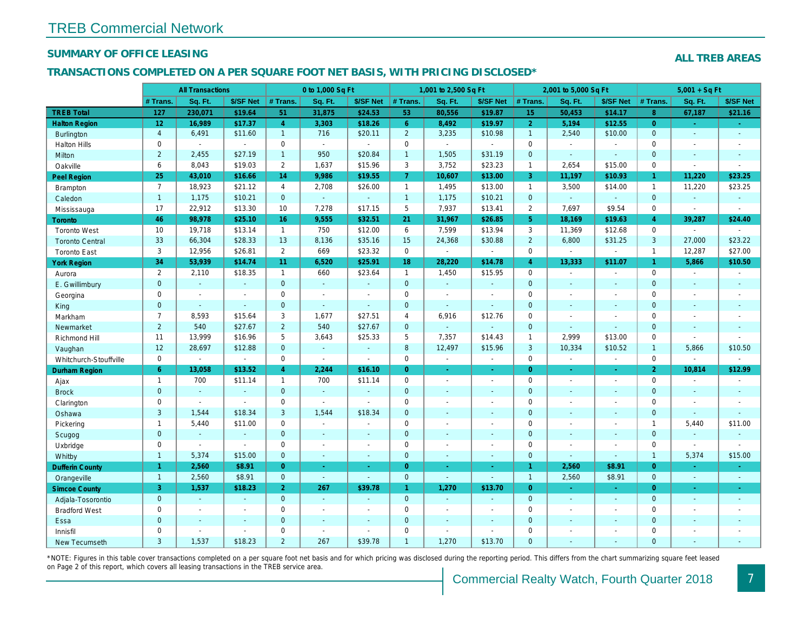## SUMMARY OF OFFICE LEASING

#### TRANSACTIONS COMPLETED ON A PER SQUARE FOOT NET BASIS, WITH PRICING DISCLOSED\*

|                        |                | <b>All Transactions</b> |                          |                | 0 to 1,000 Sq Ft |                       |                 | 1,001 to 2,500 Sq Ft |                          |                | 2,001 to 5,000 Sq Ft |                  |
|------------------------|----------------|-------------------------|--------------------------|----------------|------------------|-----------------------|-----------------|----------------------|--------------------------|----------------|----------------------|------------------|
|                        | # Trans.       | Sq. Ft.                 | \$/SF Net                | # Trans.       | Sq. Ft.          | \$/SF Net             | # Trans.        | Sq. Ft.              | \$/SF Net                | # Trans.       | Sq. Ft.              | \$/SF Ne         |
| <b>TREB Total</b>      | 127            | 230,071                 | \$19.64                  | 51             | 31,875           | \$24.53               | 53              | 80,556               | \$19.87                  | 15             | 50,453               | \$14.17          |
| <b>Halton Region</b>   | 12             | 16,989                  | \$17.37                  | $\overline{4}$ | 3,303            | \$18.26               | 6 <sup>°</sup>  | 8,492                | \$19.97                  | $\overline{2}$ | 5,194                | \$12.55          |
| <b>Burlington</b>      | $\overline{4}$ | 6,491                   | \$11.60                  | $\mathbf{1}$   | 716              | \$20.11               | $\overline{2}$  | 3,235                | \$10.98                  | $\overline{1}$ | 2,540                | \$10.00          |
| <b>Halton Hills</b>    | 0              | $\blacksquare$          | $\sim$                   | 0              | $\sim$           | $\omega$              | $\mathbf 0$     | $\blacksquare$       | $\sim$                   | $\mathbf 0$    | $\blacksquare$       | $\blacksquare$   |
| Milton                 | $\overline{2}$ | 2,455                   | \$27.19                  | $\mathbf{1}$   | 950              | \$20.84               | $\overline{1}$  | 1,505                | \$31.19                  | $\mathbf{0}$   | $\sim$               | $\sim$           |
| Oakville               | 6              | 8,043                   | \$19.03                  | $\overline{2}$ | 1,637            | \$15.96               | 3               | 3,752                | \$23.23                  | $\mathbf{1}$   | 2,654                | \$15.00          |
| <b>Peel Region</b>     | 25             | 43,010                  | \$16.66                  | 14             | 9,986            | \$19.55               | $\overline{7}$  | 10,607               | \$13.00                  | 3              | 11,197               | \$10.93          |
| <b>Brampton</b>        | $\overline{7}$ | 18,923                  | \$21.12                  | $\overline{4}$ | 2,708            | \$26.00               | $\mathbf{1}$    | 1,495                | \$13.00                  | $\mathbf{1}$   | 3,500                | \$14.00          |
| Caledon                | 1              | 1,175                   | \$10.21                  | $\overline{0}$ | $\omega$         | $\blacksquare$        | $\overline{1}$  | 1,175                | \$10.21                  | $\mathbf{0}$   | $\omega$             | $\blacksquare$   |
| Mississauga            | 17             | 22,912                  | \$13.30                  | 10             | 7,278            | \$17.15               | $5\phantom{.0}$ | 7,937                | \$13.41                  | $\overline{2}$ | 7,697                | \$9.54           |
| Toronto                | 46             | 98,978                  | \$25.10                  | 16             | 9,555            | \$32.51               | 21              | 31,967               | \$26.85                  | 5 <sup>5</sup> | 18,169               | \$19.63          |
| <b>Toronto West</b>    | 10             | 19,718                  | \$13.14                  | $\mathbf{1}$   | 750              | \$12.00               | 6               | 7,599                | \$13.94                  | 3              | 11,369               | \$12.68          |
| <b>Toronto Central</b> | 33             | 66,304                  | \$28.33                  | 13             | 8,136            | \$35.16               | 15              | 24,368               | \$30.88                  | $\overline{2}$ | 6,800                | \$31.25          |
| <b>Toronto East</b>    | 3              | 12,956                  | \$26.81                  | $\overline{2}$ | 669              | \$23.32               | $\mathbf 0$     | $\omega$             | $\overline{a}$           | $\mathbf 0$    | $\omega$             | $\blacksquare$   |
| <b>York Region</b>     | 34             | 53,939                  | \$14.74                  | 11             | 6,520            | \$25.91               | 18              | 28,220               | \$14.78                  | $\overline{4}$ | 13,333               | \$11.07          |
| Aurora                 | $\overline{2}$ | 2,110                   | \$18.35                  | $\mathbf{1}$   | 660              | \$23.64               | $\mathbf{1}$    | 1,450                | \$15.95                  | $\mathbf 0$    | $\blacksquare$       | $\blacksquare$   |
| E. Gwillimbury         | $\mathbf 0$    | $\omega$                | $\blacksquare$           | $\overline{0}$ | $\omega$         | $\blacksquare$        | $\mathbf{0}$    | $\omega$             | $\blacksquare$           | $\mathbf{0}$   | $\blacksquare$       | $\blacksquare$   |
| Georgina               | 0              | $\sim$                  |                          | $\mathbf 0$    | $\blacksquare$   | $\blacksquare$        | $\mathbf 0$     | $\sim$               | $\blacksquare$           | $\Omega$       | $\sim$               | $\blacksquare$   |
| King                   | $\overline{0}$ | $\mathbf{r}$            | $\Delta$                 | $\overline{0}$ | $\omega$         | $\omega$              | $\mathbf{0}$    | $\blacksquare$       | $\blacksquare$           | $\mathbf{0}$   | $\sim$               | $\blacksquare$   |
| Markham                | $\overline{7}$ | 8,593                   | \$15.64                  | 3              | 1,677            | \$27.51               | $\overline{4}$  | 6,916                | \$12.76                  | $\mathbf 0$    | ÷,                   | $\blacksquare$   |
| Newmarket              | $\overline{2}$ | 540                     | \$27.67                  | $\overline{2}$ | 540              | \$27.67               | $\mathbf{0}$    | $\blacksquare$       | $\blacksquare$           | $\overline{0}$ | $\blacksquare$       | $\blacksquare$   |
| Richmond Hill          | 11             | 13,999                  | \$16.96                  | 5              | 3,643            | \$25.33               | 5               | 7,357                | \$14.43                  | $\overline{1}$ | 2,999                | \$13.00          |
| Vaughan                | 12             | 28,697                  | \$12.88                  | $\overline{0}$ | $\omega$         | $\omega$              | 8               | 12,497               | \$15.96                  | 3              | 10,334               | \$10.52          |
| Whitchurch-Stouffville | $\mathsf{O}$   | $\blacksquare$          | $\blacksquare$           | $\mathbf 0$    | $\omega$         | $\blacksquare$        | $\mathbf 0$     | $\blacksquare$       | $\blacksquare$           | $\mathbf 0$    | $\blacksquare$       | $\blacksquare$   |
| Durham Region          | 6 <sup>1</sup> | 13,058                  | \$13.52                  | $\overline{4}$ | 2,244            | \$16.10               | $\overline{0}$  | $\omega$             | $\omega_{\rm c}$         | $\overline{0}$ | $\omega$             | $\sigma$         |
| Ajax                   | $\mathbf{1}$   | 700                     | \$11.14                  | $\mathbf{1}$   | 700              | \$11.14               | $\mathbf 0$     | $\blacksquare$       | $\overline{\phantom{a}}$ | $\mathbf 0$    | $\blacksquare$       | $\sim$           |
| <b>Brock</b>           | $\mathbf 0$    | $\omega$                | $\omega$                 | $\overline{0}$ | $\omega$         | $\blacksquare$        | $\mathbf{0}$    | $\sim$               | $\sim$                   | $\mathbf{0}$   | $\blacksquare$       | $\sim$           |
| Clarington             | 0              | $\sim$                  | $\overline{\phantom{a}}$ | $\mathbf 0$    | $\mathbf{r}$     | $\tilde{\phantom{a}}$ | $\mathbf 0$     | $\overline{a}$       | $\overline{a}$           | $\mathbf 0$    | ÷.                   | $\blacksquare$   |
| Oshawa                 | 3              | 1,544                   | \$18.34                  | 3              | 1,544            | \$18.34               | $\mathbf{0}$    | $\blacksquare$       | $\sim$                   | $\mathbf{0}$   | $\sim$               | $\blacksquare$   |
| Pickering              | $\mathbf{1}$   | 5,440                   | \$11.00                  | $\mathbf 0$    | $\blacksquare$   | $\blacksquare$        | $\mathbf 0$     | $\overline{a}$       | $\overline{a}$           | $\mathbf 0$    | $\blacksquare$       | $\blacksquare$   |
| Scugog                 | $\pmb{0}$      | $\blacksquare$          | $\blacksquare$           | $\mathbf{0}$   | $\omega$         | $\blacksquare$        | $\mathbf 0$     | $\blacksquare$       | $\blacksquare$           | $\mathbf{0}$   | $\blacksquare$       | $\blacksquare$   |
| Uxbridge               | 0              | $\blacksquare$          | $\sim$                   | $\mathbf 0$    | $\blacksquare$   | $\blacksquare$        | $\mathbf 0$     | $\blacksquare$       | $\blacksquare$           | $\mathbf 0$    | $\blacksquare$       | $\blacksquare$   |
| Whitby                 | $\mathbf{1}$   | 5,374                   | \$15.00                  | $\mathbf 0$    | $\blacksquare$   | $\omega$              | $\mathbf{0}$    | $\omega$             | $\blacksquare$           | $\mathbf{0}$   | $\sim$               | $\sim$           |
| <b>Dufferin County</b> | $\mathbf{1}$   | 2,560                   | \$8.91                   | $\overline{0}$ | $\omega$         | $\blacksquare$        | $\overline{0}$  | $\omega$             | ÷.                       | $\mathbf{1}$   | 2,560                | \$8.91           |
| Orangeville            | $\overline{1}$ | 2,560                   | \$8.91                   | $\overline{0}$ | $\sim$           | $\omega$              | $\mathbf{0}$    | $\omega$             | $\omega$                 | $\overline{1}$ | 2,560                | \$8.91           |
| <b>Simcoe County</b>   | 3              | 1,537                   | \$18.23                  | 2 <sup>1</sup> | 267              | \$39.78               | $\mathbf{1}$    | 1,270                | \$13.70                  | $\overline{0}$ | $\omega$             | $\omega_{\rm c}$ |
| Adjala-Tosorontio      | $\mathbf{0}$   | $\sim$                  |                          | $\overline{0}$ | $\sim$           | $\blacksquare$        | $\mathbf{0}$    | $\omega$             |                          | $\mathbf{0}$   | $\blacksquare$       | $\sim$           |
| <b>Bradford West</b>   | 0              | $\sim$                  | $\blacksquare$           | $\mathbf 0$    | $\blacksquare$   | $\blacksquare$        | $\mathbf 0$     | $\sim$               | $\blacksquare$           | $\mathbf 0$    | $\blacksquare$       | $\blacksquare$   |
| Essa                   | $\mathbf 0$    | $\blacksquare$          |                          | $\mathbf{0}$   | $\sim$           | $\blacksquare$        | $\mathbf{0}$    | $\blacksquare$       |                          | $\mathbf{0}$   | $\sim$               | $\blacksquare$   |
| Innisfil               | 0              | $\blacksquare$          | $\blacksquare$           | $\mathbf 0$    | $\blacksquare$   | $\blacksquare$        | $\mathbf 0$     | $\blacksquare$       | $\sim$                   | $\mathbf 0$    | $\blacksquare$       | $\blacksquare$   |
| <b>New Tecumseth</b>   | 3              | 1,537                   | \$18.23                  | $\overline{2}$ | 267              | \$39.78               | $\overline{1}$  | 1,270                | \$13.70                  | $\Omega$       |                      |                  |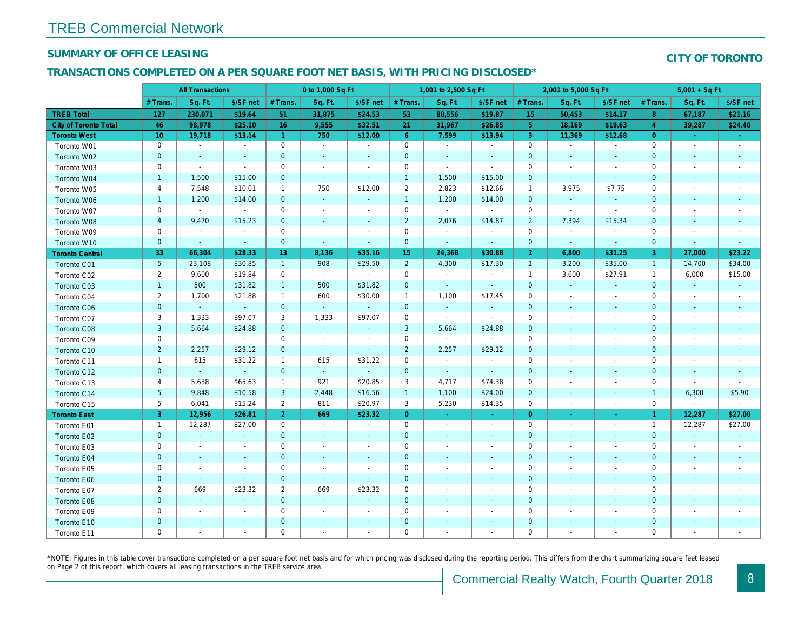### SUMMARY OF OFFICE LEASING

### TRANSACTIONS COMPLETED ON A PER SQUARE FOOT NET BASIS, WITH PRICING DISCLOSED\*

|                              | <b>All Transactions</b> |                | 0 to 1,000 Sq Ft |                |                          |                          | 1,001 to 2,500 Sq Ft |                          |                          | 2,001 to 5,000 Sq Ft |                          |                          |
|------------------------------|-------------------------|----------------|------------------|----------------|--------------------------|--------------------------|----------------------|--------------------------|--------------------------|----------------------|--------------------------|--------------------------|
|                              | # Trans.                | Sq. Ft.        | \$/SF net        | # Trans.       | Sq. Ft.                  | \$/SF net                | # Trans.             | Sq. Ft.                  | \$/SF net                | # Trans.             | Sq. Ft.                  | \$/SF ne                 |
| <b>TREB Total</b>            | 127                     | 230,071        | \$19.64          | 51             | 31,875                   | \$24.53                  | 53                   | 80,556                   | \$19.87                  | 15                   | 50,453                   | \$14.17                  |
| <b>City of Toronto Total</b> | 46                      | 98,978         | \$25.10          | 16             | 9,555                    | \$32.51                  | 21                   | 31,967                   | \$26.85                  | 5 <sup>5</sup>       | 18,169                   | \$19.63                  |
| <b>Toronto West</b>          | 10                      | 19,718         | \$13.14          | $\overline{1}$ | 750                      | \$12.00                  | $6^{\circ}$          | 7,599                    | \$13.94                  | 3                    | 11,369                   | \$12.68                  |
| Toronto W01                  | $\mathbf 0$             | $\sim$         | $\blacksquare$   | $\mathbf 0$    | $\blacksquare$           | $\blacksquare$           | $\mathbf 0$          | $\blacksquare$           | $\blacksquare$           | $\mathbf 0$          | $\sim$                   | $\sim$                   |
| Toronto W02                  | $\pmb{0}$               | $\sim$         | $\blacksquare$   | $\mathbf 0$    | $\blacksquare$           | $\blacksquare$           | $\mathbf 0$          | $\blacksquare$           | $\overline{\phantom{a}}$ | $\mathbf 0$          | $\sim$                   | $\sim$                   |
| Toronto W03                  | 0                       | $\sim$         | $\sim$           | $\mathbf 0$    | $\blacksquare$           | $\blacksquare$           | $\mathbf 0$          | $\blacksquare$           | $\sim$                   | 0                    | $\overline{\phantom{a}}$ | $\overline{\phantom{a}}$ |
| Toronto W04                  | $\mathbf{1}$            | 1,500          | \$15.00          | $\mathbf{0}$   | $\omega$                 | $\blacksquare$           | $\mathbf{1}$         | 1,500                    | \$15.00                  | $\mathbf 0$          | $\blacksquare$           | $\blacksquare$           |
| Toronto W05                  | 4                       | 7,548          | \$10.01          | $\mathbf{1}$   | 750                      | \$12.00                  | $\overline{2}$       | 2,823                    | \$12.66                  | $\overline{1}$       | 3,975                    | \$7.75                   |
| Toronto W06                  | $\mathbf{1}$            | 1,200          | \$14.00          | $\mathbf{0}$   | $\omega$                 | $\blacksquare$           | $\mathbf{1}$         | 1,200                    | \$14.00                  | $\mathbf{0}$         | $\blacksquare$           | $\blacksquare$           |
| Toronto W07                  | 0                       | $\blacksquare$ | $\sim$           | $\mathbf 0$    | $\blacksquare$           | $\blacksquare$           | $\mathbf 0$          | $\blacksquare$           | $\sim$                   | $\mathbf 0$          | $\omega$                 | $\sim$                   |
| Toronto W08                  | $\overline{\mathbf{4}}$ | 9,470          | \$15.23          | $\mathbf{0}$   | $\blacksquare$           | $\blacksquare$           | $\overline{2}$       | 2,076                    | \$14.87                  | $\overline{2}$       | 7,394                    | \$15.34                  |
| Toronto W09                  | 0                       | $\omega$       | $\sim$           | $\mathbf 0$    | $\blacksquare$           | $\blacksquare$           | $\mathbf 0$          | $\blacksquare$           | $\blacksquare$           | $\mathbf 0$          | $\blacksquare$           | $\blacksquare$           |
| Toronto W10                  | $\pmb{0}$               | $\blacksquare$ | $\blacksquare$   | $\mathbf{0}$   | $\blacksquare$           | $\blacksquare$           | $\mathbf 0$          | $\blacksquare$           | $\blacksquare$           | $\mathbf 0$          | $\blacksquare$           | $\sim$                   |
| <b>Toronto Central</b>       | 33                      | 66,304         | \$28.33          | 13             | 8,136                    | \$35.16                  | 15 <sub>1</sub>      | 24,368                   | \$30.88                  | 2 <sup>1</sup>       | 6,800                    | \$31.25                  |
| Toronto C01                  | 5                       | 23,108         | \$30.85          | $\mathbf{1}$   | 908                      | \$29.50                  | $\overline{2}$       | 4,300                    | \$17.30                  | $\overline{1}$       | 3,200                    | \$35.00                  |
| Toronto C02                  | $\overline{c}$          | 9,600          | \$19.84          | $\mathbf 0$    | $\sim$                   | $\blacksquare$           | $\mathbf 0$          | $\omega$                 | $\blacksquare$           | $\overline{1}$       | 3,600                    | \$27.91                  |
| Toronto C03                  | $\mathbf{1}$            | 500            | \$31.82          | $\mathbf{1}$   | 500                      | \$31.82                  | 0                    | $\blacksquare$           | $\blacksquare$           | $\mathbf 0$          | $\blacksquare$           | $\blacksquare$           |
| Toronto C04                  | $\overline{2}$          | 1,700          | \$21.88          | $\mathbf{1}$   | 600                      | \$30.00                  | $\mathbf{1}$         | 1,100                    | \$17.45                  | $\mathbf 0$          | $\overline{\phantom{a}}$ | $\sim$                   |
| <b>Toronto C06</b>           | $\pmb{0}$               | $\omega$       | $\sim$           | $\overline{0}$ | $\omega$                 | $\bullet$                | $\mathbf 0$          | $\blacksquare$           | $\blacksquare$           | $\mathbf 0$          | $\blacksquare$           | $\sim$                   |
| Toronto C07                  | 3                       | 1,333          | \$97.07          | 3              | 1,333                    | \$97.07                  | $\mathsf{O}\xspace$  | $\blacksquare$           | $\blacksquare$           | $\mathbf 0$          |                          | $\blacksquare$           |
| Toronto C08                  | $\mathsf 3$             | 5,664          | \$24.88          | $\mathbf{0}$   | $\omega$                 | $\blacksquare$           | 3                    | 5,664                    | \$24.88                  | $\mathbf 0$          | $\blacksquare$           | $\sim$                   |
| Toronto C09                  | $\mathbf 0$             | $\sim$         | $\sim$           | $\mathbf 0$    | $\blacksquare$           | $\overline{\phantom{a}}$ | $\mathbf 0$          | $\blacksquare$           | $\blacksquare$           | $\mathbf 0$          |                          |                          |
| Toronto C10                  | $\overline{2}$          | 2,257          | \$29.12          | $\mathbf{0}$   | $\omega$                 | $\blacksquare$           | $\overline{2}$       | 2,257                    | \$29.12                  | $\mathbf 0$          | $\blacksquare$           |                          |
| Toronto C11                  | $\mathbf{1}$            | 615            | \$31.22          | $\mathbf{1}$   | 615                      | \$31.22                  | $\mathsf 0$          | $\blacksquare$           | $\sim$                   | $\mathbf 0$          |                          |                          |
| Toronto C12                  | $\mathbf 0$             | $\blacksquare$ | $\blacksquare$   | $\mathbf{0}$   | $\omega$                 | $\blacksquare$           | $\mathbf 0$          | $\blacksquare$           | $\blacksquare$           | $\mathbf 0$          | $\blacksquare$           | $\blacksquare$           |
| Toronto C13                  | 4                       | 5,638          | \$65.63          | $\mathbf{1}$   | 921                      | \$20.85                  | 3                    | 4,717                    | \$74.38                  | $\mathbf 0$          |                          |                          |
| Toronto C14                  | 5                       | 9,848          | \$10.58          | 3              | 2,448                    | \$16.56                  | $\mathbf{1}$         | 1,100                    | \$24.00                  | $\mathbf 0$          | $\blacksquare$           | $\blacksquare$           |
| Toronto C15                  | 5                       | 6,041          | \$15.24          | $\overline{2}$ | 811                      | \$20.97                  | 3                    | 5,230                    | \$14.35                  | $\mathbf 0$          | $\blacksquare$           | $\blacksquare$           |
| <b>Toronto East</b>          | 3                       | 12,956         | \$26.81          | $\overline{2}$ | 669                      | \$23.32                  | $\overline{0}$       | $\sigma$                 | $\bullet$                | $\overline{0}$       | $\blacksquare$           | $\sigma_{\rm c}$         |
| Toronto E01                  | $\mathbf{1}$            | 12,287         | \$27.00          | $\mathbf 0$    | $\sim$                   | $\blacksquare$           | $\mathbf 0$          | $\sim$                   | $\blacksquare$           | $\mathbf 0$          | $\overline{\phantom{a}}$ | $\blacksquare$           |
| Toronto E02                  | $\mathbf 0$             | $\omega$       | $\sim$           | $\mathbf{0}$   | $\sim$                   | $\blacksquare$           | $\mathbf 0$          | $\blacksquare$           | $\blacksquare$           | $\mathbf 0$          | $\blacksquare$           | $\sim$                   |
| Toronto E03                  | $\mathsf 0$             | $\blacksquare$ | $\blacksquare$   | $\mathsf 0$    | ÷,                       | $\blacksquare$           | $\mathsf{O}\xspace$  | $\blacksquare$           | $\blacksquare$           | $\mathbf 0$          | $\overline{\phantom{a}}$ | $\overline{\phantom{a}}$ |
| Toronto E04                  | $\mathbf 0$             | $\blacksquare$ | $\blacksquare$   | $\mathbf{0}$   | $\blacksquare$           | $\blacksquare$           | $\mathbf 0$          | $\blacksquare$           | $\blacksquare$           | $\mathbf 0$          | $\sim$                   | $\sim$                   |
| Toronto E05                  | 0                       | $\blacksquare$ | $\sim$           | $\mathbf 0$    | $\overline{\phantom{a}}$ | $\blacksquare$           | $\mathbf 0$          | $\blacksquare$           | $\blacksquare$           | $\mathbf 0$          | $\sim$                   | $\overline{\phantom{a}}$ |
| Toronto E06                  | $\pmb{0}$               | $\blacksquare$ | $\omega$         | $\mathbf 0$    | $\omega$                 | $\blacksquare$           | $\mathbf 0$          | $\blacksquare$           | $\blacksquare$           | $\mathbf 0$          | $\blacksquare$           | $\sim$                   |
| Toronto E07                  | $\overline{2}$          | 669            | \$23.32          | $\overline{2}$ | 669                      | \$23.32                  | $\mathsf{O}\xspace$  | $\blacksquare$           | $\overline{\phantom{a}}$ | 0                    | $\blacksquare$           | $\overline{\phantom{a}}$ |
| Toronto E08                  | $\pmb{0}$               | $\blacksquare$ | $\blacksquare$   | $\mathbf{0}$   | $\blacksquare$           | $\blacksquare$           | $\mathbf 0$          | $\blacksquare$           | $\blacksquare$           | $\mathbf 0$          | $\overline{\phantom{a}}$ | $\sim$                   |
| Toronto E09                  | 0                       | $\blacksquare$ | $\blacksquare$   | 0              | $\blacksquare$           | $\overline{\phantom{a}}$ | 0                    | $\overline{\phantom{a}}$ | $\blacksquare$           | 0                    | $\overline{\phantom{a}}$ | $\overline{\phantom{a}}$ |
| Toronto E10                  | $\pmb{0}$               | $\blacksquare$ | $\blacksquare$   | $\mathbf 0$    | $\blacksquare$           | $\blacksquare$           | $\mathbf 0$          | $\blacksquare$           | $\blacksquare$           | $\pmb{0}$            | $\blacksquare$           | ٠                        |
| Toronto E11                  | 0                       | $\sim$         | $\blacksquare$   | $\mathbf 0$    | $\blacksquare$           | $\blacksquare$           | 0                    | $\blacksquare$           | $\blacksquare$           | 0                    |                          |                          |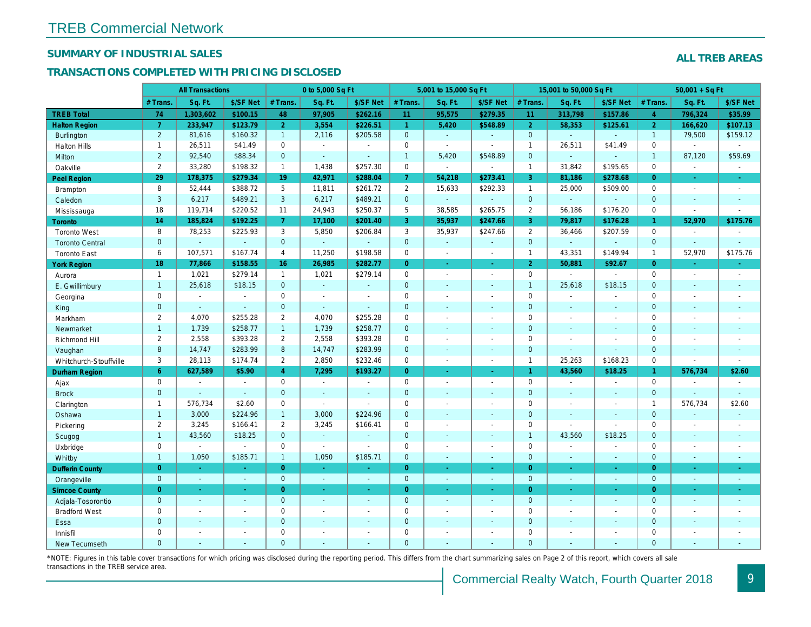## SUMMARY OF INDUSTRIAL SALES

## TRANSACTIONS COMPLETED WITH PRICING DISCLOSED

|                        |                       | <b>All Transactions</b> |                |                | 0 to 5,000 Sq Ft |                |                      | 5,001 to 15,000 Sq Ft    |                  |                | 15,001 to 50,000 Sq Ft |                          |
|------------------------|-----------------------|-------------------------|----------------|----------------|------------------|----------------|----------------------|--------------------------|------------------|----------------|------------------------|--------------------------|
|                        | # Trans.              | Sq. Ft.                 | \$/SF Net      | # Trans.       | Sq. Ft.          | \$/SF Net      | # Trans.             | Sq. Ft.                  | \$/SF Net        | # Trans.       | Sq. Ft.                | \$/SF Ne                 |
| <b>TREB Total</b>      | 74                    | 1,303,602               | \$100.15       | 48             | 97,905           | \$262.16       | 11                   | 95,575                   | \$279.35         | 11             | 313,798                | \$157.86                 |
| <b>Halton Region</b>   | $\overline{7}$        | 233,947                 | \$123.79       | 2 <sup>1</sup> | 3,554            | \$226.51       | $\blacktriangleleft$ | 5,420                    | \$548.89         | $\overline{2}$ | 58,353                 | \$125.6'                 |
| <b>Burlington</b>      | $\overline{2}$        | 81,616                  | \$160.32       | 1              | 2,116            | \$205.58       | $\overline{0}$       | $\omega_{\rm c}$         | $\blacksquare$   | $\overline{0}$ | $\omega$               | $\blacksquare$           |
| <b>Halton Hills</b>    | $\mathbf{1}$          | 26,511                  | \$41.49        | $\mathbf 0$    | $\sim$           |                | $\mathbf 0$          | $\blacksquare$           | $\overline{a}$   | $\mathbf{1}$   | 26,511                 | \$41.49                  |
| Milton                 | $\overline{2}$        | 92,540                  | \$88.34        | $\mathbf{0}$   | $\omega$         | $\blacksquare$ | $\mathbf{1}$         | 5,420                    | \$548.89         | $\mathbf{0}$   | $\omega$               | $\blacksquare$           |
| Oakville               | $\mathbf{2}^{\prime}$ | 33,280                  | \$198.32       | $\mathbf{1}$   | 1,438            | \$257.30       | $\mathsf{O}$         | $\blacksquare$           | $\blacksquare$   | $\mathbf{1}$   | 31,842                 | \$195.65                 |
| Peel Region            | 29                    | 178,375                 | \$279.34       | 19             | 42,971           | \$288.04       | 7 <sup>1</sup>       | 54,218                   | \$273.41         | $\mathbf{3}$   | 81,186                 | \$278.68                 |
| <b>Brampton</b>        | 8                     | 52,444                  | \$388.72       | 5              | 11,811           | \$261.72       | $\overline{2}$       | 15,633                   | \$292.33         | $\mathbf{1}$   | 25,000                 | \$509.00                 |
| Caledon                | 3                     | 6,217                   | \$489.21       | $\mathbf{3}$   | 6,217            | \$489.21       | $\mathbf{0}$         | $\omega_{\rm c}$         | $\blacksquare$   | $\mathbf{0}$   | $\omega$               | $\blacksquare$           |
| Mississauga            | 18                    | 119,714                 | \$220.52       | 11             | 24,943           | \$250.37       | 5                    | 38,585                   | \$265.75         | $\overline{2}$ | 56,186                 | \$176.20                 |
| Toronto                | 14                    | 185,824                 | \$192.25       | 7 <sup>1</sup> | 17,100           | \$201.40       | 3                    | 35,937                   | \$247.66         | $\mathbf{3}$   | 79,817                 | \$176.28                 |
| <b>Toronto West</b>    | 8                     | 78,253                  | \$225.93       | 3              | 5,850            | \$206.84       | 3                    | 35,937                   | \$247.66         | 2              | 36,466                 | \$207.59                 |
| <b>Toronto Central</b> | $\mathbf{0}$          | $\sim$                  | $\omega$       | $\overline{0}$ | $\omega$         | $\blacksquare$ | $\mathbf{0}$         | $\Box$                   | $\blacksquare$   | $\mathbf{0}$   | ÷.                     | $\sim$                   |
| <b>Toronto East</b>    | 6                     | 107,571                 | \$167.74       | 4              | 11,250           | \$198.58       | $\mathbf 0$          | $\blacksquare$           | $\sim$           | $\mathbf{1}$   | 43,351                 | \$149.94                 |
| <b>York Region</b>     | 18                    | 77,866                  | \$158.55       | 16             | 26,985           | \$282.77       | $\overline{0}$       | $\blacksquare$           | ÷.               | $\overline{2}$ | 50,881                 | \$92.67                  |
| Aurora                 | $\overline{1}$        | 1,021                   | \$279.14       | $\mathbf{1}$   | 1,021            | \$279.14       | $\mathsf{O}$         | $\blacksquare$           | $\blacksquare$   | $\mathbf 0$    | $\blacksquare$         | $\sim$                   |
| E. Gwillimbury         | $\mathbf{1}$          | 25,618                  | \$18.15        | $\mathbf 0$    | $\omega$         | ٠              | $\mathbf{0}$         | $\blacksquare$           | $\blacksquare$   | $\overline{1}$ | 25,618                 | \$18.15                  |
| Georgina               | $\mathbf{0}$          | $\blacksquare$          | $\blacksquare$ | $\mathbf 0$    | $\blacksquare$   | $\blacksquare$ | $\mathbf 0$          | $\blacksquare$           | $\blacksquare$   | $\mathbf 0$    | $\blacksquare$         | $\overline{\phantom{a}}$ |
| King                   | $\overline{0}$        | $\sim$                  | $\sim$         | $\mathbf{0}$   | $\mathbf{r}$     | $\blacksquare$ | $\mathbf{0}$         | $\blacksquare$           | $\blacksquare$   | $\mathbf{0}$   | $\omega$               | $\blacksquare$           |
| Markham                | $\overline{2}$        | 4,070                   | \$255.28       | $\mathbf{2}$   | 4,070            | \$255.28       | $\mathbf 0$          | $\overline{\phantom{a}}$ | $\blacksquare$   | $\mathbf 0$    | $\blacksquare$         | $\blacksquare$           |
| Newmarket              | $\mathbf{1}$          | 1,739                   | \$258.77       | $\mathbf{1}$   | 1,739            | \$258.77       | $\mathbf{0}$         | $\sim$                   | $\blacksquare$   | $\mathbf{0}$   | $\sim$                 | $\blacksquare$           |
| Richmond Hill          | 2                     | 2,558                   | \$393.28       | $\overline{2}$ | 2,558            | \$393.28       | $\mathbf 0$          | $\blacksquare$           | $\blacksquare$   | $\mathbf 0$    | $\blacksquare$         | $\blacksquare$           |
| Vaughan                | 8                     | 14,747                  | \$283.99       | 8              | 14,747           | \$283.99       | $\overline{0}$       | ä,                       | $\blacksquare$   | $\mathbf{0}$   | $\omega$               | $\blacksquare$           |
| Whitchurch-Stouffville | 3                     | 28,113                  | \$174.74       | $\overline{2}$ | 2,850            | \$232.46       | $\mathbf 0$          | $\sim$                   | $\blacksquare$   | $\mathbf{1}$   | 25,263                 | \$168.23                 |
| Durham Region          | 6                     | 627,589                 | \$5.90         | $\overline{4}$ | 7,295            | \$193.27       | $\overline{0}$       | $\omega$                 | ÷.               | $\mathbf{1}$   | 43,560                 | \$18.25                  |
| Ajax                   | 0                     | $\sim$                  | $\sim$         | 0              | $\blacksquare$   | $\blacksquare$ | $\mathsf 0$          | $\blacksquare$           | $\blacksquare$   | $\mathbf 0$    | $\blacksquare$         | $\blacksquare$           |
| <b>Brock</b>           | $\mathbf{0}$          | $\sim$                  | $\omega$       | $\mathbf{0}$   | $\mathbf{r}$     | $\blacksquare$ | $\mathbf{0}$         | $\blacksquare$           | $\blacksquare$   | $\mathbf{0}$   | $\blacksquare$         | $\sim$                   |
| Clarington             | $\mathbf{1}$          | 576,734                 | \$2.60         | $\mathbf 0$    | $\blacksquare$   | $\sim$         | $\mathbf 0$          | $\blacksquare$           | $\blacksquare$   | $\mathbf 0$    | $\sim$                 | $\blacksquare$           |
| Oshawa                 | $\mathbf{1}$          | 3,000                   | \$224.96       | 1              | 3,000            | \$224.96       | $\mathbf{0}$         | ÷,                       | ÷,               | $\mathbf{0}$   | $\blacksquare$         | $\blacksquare$           |
| Pickering              | 2                     | 3,245                   | \$166.41       | $\overline{2}$ | 3,245            | \$166.41       | 0                    | $\overline{a}$           | $\overline{a}$   | $\mathbf 0$    | $\blacksquare$         | $\blacksquare$           |
| Scugog                 | $\overline{1}$        | 43,560                  | \$18.25        | $\overline{0}$ | $\omega$         | $\blacksquare$ | $\mathbf{0}$         | $\blacksquare$           | $\omega$         | $\overline{1}$ | 43,560                 | \$18.25                  |
| Uxbridge               | 0                     | $\sim$                  | $\sim$         | $\mathbf 0$    | $\sim$           | $\sim$         | $\mathsf{O}$         | ÷,                       | $\overline{a}$   | $\mathbf 0$    | $\blacksquare$         | $\blacksquare$           |
| Whitby                 | $\mathbf{1}$          | 1,050                   | \$185.71       | $\mathbf{1}$   | 1,050            | \$185.71       | $\overline{0}$       | $\blacksquare$           | $\sim$           | $\mathbf{0}$   | $\blacksquare$         | $\blacksquare$           |
| <b>Dufferin County</b> | $\overline{0}$        | $\sim$                  | $\sim$         | $\overline{0}$ | ÷.               | ×.             | $\overline{0}$       | ÷.                       | $\sim$           | $\overline{0}$ | $\sim$                 | $\sim$                   |
| Orangeville            | $\mathbf{0}$          | $\omega$                | $\omega$       | $\mathbf 0$    | $\omega$         | $\omega$       | $\mathbf{0}$         | $\omega$                 | $\omega_{\rm c}$ | $\mathbf{0}$   | $\omega$               | $\sim$                   |
| <b>Simcoe County</b>   | $\overline{0}$        | $\omega$                | $\sim$         | $\overline{0}$ | $\omega$         | $\omega$       | $\overline{0}$       | ä,                       | $\omega$         | $\overline{0}$ | $\sim$                 | $\sim$                   |
| Adjala-Tosorontio      | $\mathbf{0}$          | $\omega$                | $\sim$         | $\mathbf 0$    | $\omega$         | $\blacksquare$ | $\mathbf{0}$         | $\blacksquare$           | $\blacksquare$   | $\mathbf 0$    | $\Delta$               | $\sim$                   |
| <b>Bradford West</b>   | 0                     | $\sim$                  | $\sim$         | 0              | $\blacksquare$   | $\blacksquare$ | $\mathbf 0$          | $\blacksquare$           | $\blacksquare$   | $\mathbf 0$    | $\blacksquare$         | $\mathbf{r}$             |
| Essa                   | $\mathbf 0$           | $\sim$                  | $\sim$         | $\mathbf 0$    | $\blacksquare$   | $\blacksquare$ | $\mathbf 0$          | ä,                       | ä,               | $\mathbf 0$    | $\blacksquare$         |                          |
| Innisfil               | 0                     | $\sim$                  | $\sim$         | 0              | $\blacksquare$   | $\blacksquare$ | $\mathbf 0$          | $\blacksquare$           | $\blacksquare$   | $\mathbf 0$    | $\blacksquare$         | $\blacksquare$           |
| <b>New Tecumseth</b>   | $\Omega$              |                         |                | $\Omega$       |                  |                | $\mathbf{0}$         |                          |                  | $\Omega$       |                        |                          |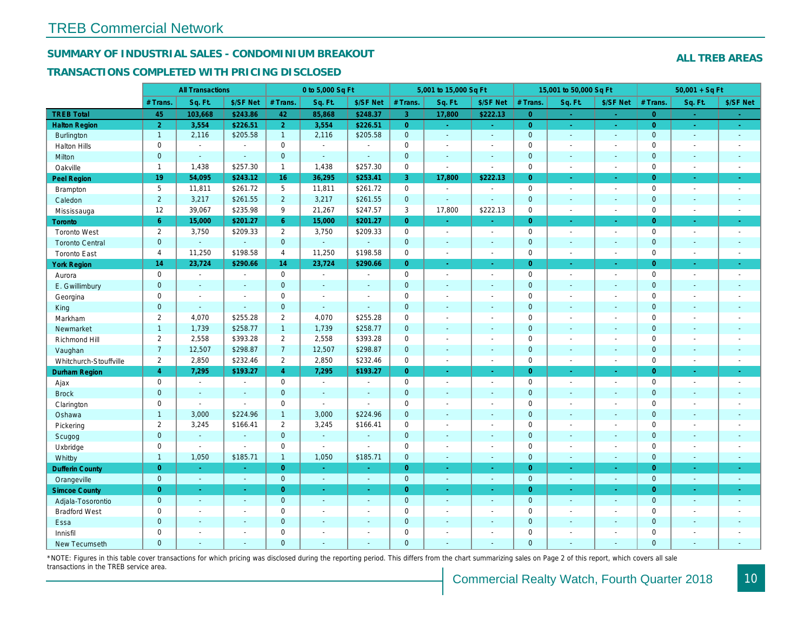## SUMMARY OF INDUSTRIAL SALES - CONDOMINIUM BREAKOUT

#### TRANSACTIONS COMPLETED WITH PRICING DISCLOSED

|                        |                | <b>All Transactions</b> |                |                | 0 to 5,000 Sq Ft |                |                | 5,001 to 15,000 Sq Ft                  |                          |                | 15,001 to 50,000 Sq Ft   |                  |
|------------------------|----------------|-------------------------|----------------|----------------|------------------|----------------|----------------|----------------------------------------|--------------------------|----------------|--------------------------|------------------|
|                        | # Trans.       | Sq. Ft.                 | \$/SF Net      | # Trans.       | Sq. Ft.          | \$/SF Net      | # Trans.       | Sq. Ft.                                | \$/SF Net                | # Trans.       | Sq. Ft.                  | \$/SF Ne         |
| <b>TREB Total</b>      | 45             | 103,668                 | \$243.86       | 42             | 85,868           | \$248.37       | $\overline{3}$ | 17,800                                 | \$222.13                 | $\overline{0}$ | $\sim$                   | $\sim$           |
| <b>Halton Region</b>   | $\overline{2}$ | 3,554                   | \$226.51       | 2 <sup>1</sup> | 3,554            | \$226.51       | $\overline{0}$ | $\frac{1}{2} \mathcal{L}_{\text{max}}$ | $\omega_{\rm{eff}}$      | $\overline{0}$ | $\omega$                 | $\sim$           |
| Burlington             | $\mathbf{1}$   | 2,116                   | \$205.58       | $\mathbf{1}$   | 2,116            | \$205.58       | $\overline{0}$ | $\omega$                               | $\omega$                 | $\mathbf{0}$   | $\omega$                 | $\sim$           |
| <b>Halton Hills</b>    | $\mathbf 0$    | $\blacksquare$          | $\blacksquare$ | $\mathbf 0$    | $\sim$           |                | $\pmb{0}$      | $\overline{a}$                         | $\blacksquare$           | $\mathbf 0$    | L.                       | $\blacksquare$   |
| Milton                 | $\mathbf{0}$   | $\blacksquare$          | $\blacksquare$ | $\mathbf{0}$   | $\sim$           | $\sim$         | $\pmb{0}$      | $\blacksquare$                         | $\blacksquare$           | $\mathbf{0}$   | $\blacksquare$           | $\sim$           |
| Oakville               | $\mathbf{1}$   | 1,438                   | \$257.30       | $\mathbf{1}$   | 1,438            | \$257.30       | 0              | $\overline{\phantom{a}}$               | $\sim$                   | $\mathbf 0$    | $\sim$                   | $\sim$           |
| Peel Region            | 19             | 54,095                  | \$243.12       | 16             | 36,295           | \$253.41       | 3              | 17,800                                 | \$222.13                 | $\overline{0}$ | $\blacksquare$           | $\sim$           |
| Brampton               | 5              | 11,811                  | \$261.72       | 5              | 11,811           | \$261.72       | 0              | $\blacksquare$                         | $\blacksquare$           | $\mathbf 0$    | $\blacksquare$           | $\sim$           |
| Caledon                | $\overline{2}$ | 3,217                   | \$261.55       | $2^{\circ}$    | 3,217            | \$261.55       | $\mathbf{0}$   | $\blacksquare$                         | ä,                       | $\mathbf 0$    | $\blacksquare$           | $\sim$           |
| Mississauga            | 12             | 39,067                  | \$235.98       | 9              | 21,267           | \$247.57       | 3              | 17,800                                 | \$222.13                 | $\mathbf 0$    | $\blacksquare$           | $\sim$           |
| Toronto                | 6 <sup>°</sup> | 15,000                  | \$201.27       | 6 <sup>1</sup> | 15,000           | \$201.27       | $\overline{0}$ | $\blacksquare$                         | ä,                       | $\overline{0}$ | ×.                       | $\omega_{\rm c}$ |
| <b>Toronto West</b>    | $\overline{2}$ | 3,750                   | \$209.33       | $\overline{2}$ | 3,750            | \$209.33       | $\mathbf 0$    | $\blacksquare$                         | $\blacksquare$           | $\mathbf 0$    | $\blacksquare$           | $\sim$           |
| <b>Toronto Central</b> | $\mathbf{0}$   | $\blacksquare$          | $\blacksquare$ | $\mathbf{0}$   | ÷.               | $\blacksquare$ | $\pmb{0}$      | $\blacksquare$                         | $\blacksquare$           | $\mathbf 0$    | $\blacksquare$           | $\blacksquare$   |
| <b>Toronto East</b>    | $\overline{4}$ | 11,250                  | \$198.58       | $\overline{4}$ | 11,250           | \$198.58       | $\pmb{0}$      | $\blacksquare$                         | $\blacksquare$           | $\mathbf 0$    | $\blacksquare$           | $\sim$           |
| <b>York Region</b>     | 14             | 23,724                  | \$290.66       | 14             | 23,724           | \$290.66       | $\overline{0}$ | ÷.                                     | ÷.                       | $\overline{0}$ | ÷.                       | $\sim$           |
| Aurora                 | $\mathbf 0$    | $\blacksquare$          | $\blacksquare$ | $\mathbf 0$    | $\sim$           | $\blacksquare$ | $\mathbf 0$    | $\blacksquare$                         | $\blacksquare$           | $\mathbf 0$    | $\overline{\phantom{a}}$ | $\sim$           |
| E. Gwillimbury         | $\mathbf{0}$   | $\sim$                  | $\sim$         | $\mathbf{0}$   | ÷.               | $\sim$         | $\mathbf 0$    | $\blacksquare$                         | $\blacksquare$           | $\mathbf{0}$   | $\overline{\phantom{a}}$ | $\sim$           |
| Georgina               | $\mathbf 0$    | $\sim$                  | $\sim$         | $\mathbf 0$    | $\sim$           | $\overline{a}$ | $\pmb{0}$      | $\blacksquare$                         | $\overline{a}$           | $\mathbf 0$    | $\blacksquare$           | $\sim$           |
| King                   | $\mathbf{0}$   | $\sim$                  | $\Delta$       | $\mathbf{0}$   | $\omega$         | $\sim$         | $\mathbf 0$    | $\mathbf{r}$                           | $\blacksquare$           | $\mathbf{0}$   | $\blacksquare$           | $\sim$           |
| Markham                | $\overline{2}$ | 4,070                   | \$255.28       | $\overline{2}$ | 4,070            | \$255.28       | $\pmb{0}$      | $\tilde{\phantom{a}}$                  | $\blacksquare$           | $\mathbf 0$    | $\blacksquare$           | $\blacksquare$   |
| Newmarket              | $\overline{1}$ | 1,739                   | \$258.77       | $\mathbf{1}$   | 1,739            | \$258.77       | $\pmb{0}$      | ä,                                     | $\blacksquare$           | $\mathbf{0}$   | $\blacksquare$           | $\blacksquare$   |
| Richmond Hill          | $\overline{2}$ | 2,558                   | \$393.28       | $\overline{2}$ | 2,558            | \$393.28       | $\pmb{0}$      | $\blacksquare$                         | $\blacksquare$           | $\mathbf 0$    | $\blacksquare$           | $\blacksquare$   |
| Vaughan                | $\overline{7}$ | 12,507                  | \$298.87       | $\overline{7}$ | 12,507           | \$298.87       | $\mathbf 0$    | $\omega$                               | $\blacksquare$           | $\mathbf 0$    | $\omega$                 | $\sim$           |
| Whitchurch-Stouffville | $\overline{2}$ | 2,850                   | \$232.46       | $\mathbf{2}$   | 2,850            | \$232.46       | $\mathsf{O}$   | $\blacksquare$                         | $\sim$                   | $\mathbf 0$    | $\overline{a}$           | $\blacksquare$   |
| <b>Durham Region</b>   | 4              | 7,295                   | \$193.27       | $\overline{4}$ | 7,295            | \$193.27       | $\overline{0}$ | $\blacksquare$                         | $\omega$                 | $\overline{0}$ | $\blacksquare$           | ÷                |
| Ajax                   | $\mathbf 0$    | $\blacksquare$          | $\sim$         | $\mathbf 0$    | $\sim$           | $\sim$         | 0              | $\blacksquare$                         | $\blacksquare$           | $\mathbf 0$    | $\blacksquare$           | $\blacksquare$   |
| <b>Brock</b>           | $\mathbf{0}$   | $\blacksquare$          | $\blacksquare$ | $\mathbf{0}$   | $\blacksquare$   | $\blacksquare$ | $\pmb{0}$      | $\blacksquare$                         | $\blacksquare$           | $\mathbf 0$    | $\blacksquare$           | $\blacksquare$   |
| Clarington             | 0              | $\blacksquare$          | $\blacksquare$ | $\mathbf 0$    | $\sim$           |                | $\mathbf 0$    | $\blacksquare$                         | $\blacksquare$           | $\mathbf 0$    | ÷.                       | $\blacksquare$   |
| Oshawa                 | $\mathbf{1}$   | 3,000                   | \$224.96       | $\mathbf{1}$   | 3,000            | \$224.96       | $\mathbf 0$    | $\blacksquare$                         | $\sim$                   | $\mathbf 0$    | $\blacksquare$           | $\sim$           |
| Pickering              | $\overline{2}$ | 3,245                   | \$166.41       | $\overline{2}$ | 3,245            | \$166.41       | $\pmb{0}$      | $\blacksquare$                         | $\blacksquare$           | $\mathsf 0$    | ÷,                       | $\sim$           |
| Scugog                 | $\mathbf{0}$   | $\blacksquare$          | $\sim$         | $\mathbf{0}$   | $\sim$           |                | $\mathbf 0$    | $\mathbf{r}$                           | $\blacksquare$           | $\mathbf 0$    | $\blacksquare$           | $\blacksquare$   |
| Uxbridge               | $\mathbf 0$    | $\blacksquare$          | $\blacksquare$ | $\mathbf 0$    | $\mathbf{r}$     | $\overline{a}$ | $\pmb{0}$      | $\blacksquare$                         | $\blacksquare$           | $\mathbf 0$    | $\blacksquare$           | $\blacksquare$   |
| Whitby                 | $\mathbf{1}$   | 1,050                   | \$185.71       | $\mathbf{1}$   | 1,050            | \$185.71       | $\pmb{0}$      | $\omega$                               | $\blacksquare$           | $\mathbf 0$    | $\blacksquare$           | $\sim$           |
| <b>Dufferin County</b> | $\overline{0}$ | $\sim$                  | $\omega$       | $\overline{0}$ | $\sim$           | $\omega$       | $\overline{0}$ | $\omega$                               | $\omega$                 | $\overline{0}$ | $\omega$                 | $\sim$           |
| Orangeville            | $\overline{0}$ | $\omega$                | $\blacksquare$ | $\overline{0}$ | $\omega$         | $\omega$       | $\mathbf{0}$   | $\omega$                               | $\omega$                 | $\mathbf{0}$   | $\omega$                 | $\sim$           |
| <b>Simcoe County</b>   | $\overline{0}$ | $\bullet$               | $\bullet$      | $\overline{0}$ | $\blacksquare$   | $\bullet$      | $\overline{0}$ | $\blacksquare$                         | $\blacksquare$           | $\overline{0}$ | $\blacksquare$           | $\sigma_{\rm c}$ |
| Adjala-Tosorontio      | $\mathbf{0}$   | $\sim$                  | $\sim$         | $\mathbf{0}$   | $\sim$           | $\sim$         | $\mathbf 0$    | $\blacksquare$                         | $\blacksquare$           | $\mathbf{0}$   | $\blacksquare$           | $\sim$           |
| <b>Bradford West</b>   | $\mathbf 0$    | $\blacksquare$          | $\blacksquare$ | $\mathbf 0$    | $\sim$           | $\blacksquare$ | $\pmb{0}$      | $\blacksquare$                         | $\blacksquare$           | $\mathbf 0$    | $\blacksquare$           | $\blacksquare$   |
| Essa                   | $\mathbf{0}$   | $\sim$                  | $\sim$         | $\mathbf{0}$   | $\sim$           | $\sim$         | $\pmb{0}$      | $\blacksquare$                         | $\blacksquare$           | $\mathbf{0}$   | $\blacksquare$           | $\blacksquare$   |
| Innisfil               | $\mathbf 0$    | $\blacksquare$          | $\blacksquare$ | $\mathbf 0$    | $\sim$           | $\sim$         | $\mathbf 0$    | $\overline{\phantom{a}}$               | $\blacksquare$           | $\mathbf 0$    | $\blacksquare$           | $\blacksquare$   |
| <b>New Tecumseth</b>   | $\Omega$       | $\sim$                  | $\sim$         | $\Omega$       | $\sim$           | $\sim$         | $\overline{0}$ | ÷.                                     | $\overline{\phantom{a}}$ | $\mathbf{0}$   | ÷.                       | $\sim$           |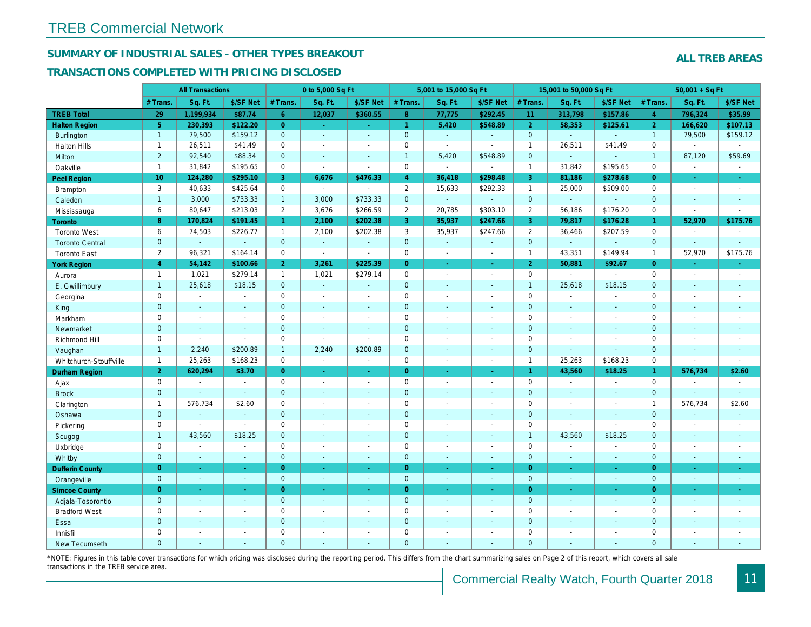## SUMMARY OF INDUSTRIAL SALES - OTHER TYPES BREAKOUT

#### TRANSACTIONS COMPLETED WITH PRICING DISCLOSED

|                        |                 | <b>All Transactions</b> |                          |                | 0 to 5,000 Sq Ft         |                          |                | 5,001 to 15,000 Sq Ft    |                          |                | 15,001 to 50,000 Sq Ft |                          |
|------------------------|-----------------|-------------------------|--------------------------|----------------|--------------------------|--------------------------|----------------|--------------------------|--------------------------|----------------|------------------------|--------------------------|
|                        | # Trans.        | Sq. Ft.                 | \$/SF Net                | # Trans.       | Sq. Ft.                  | \$/SF Net                | # Trans.       | Sq. Ft.                  | \$/SF Net                | # Trans.       | Sq. Ft.                | \$/SF Ne                 |
| <b>TREB Total</b>      | 29              | 1,199,934               | \$87.74                  | 6 <sup>1</sup> | 12,037                   | \$360.55                 | 8 <sup>°</sup> | 77,775                   | \$292.45                 | 11             | 313,798                | \$157.86                 |
| <b>Halton Region</b>   | 5 <sup>5</sup>  | 230,393                 | \$122.20                 | $\overline{0}$ | $\omega$                 | $\sim$                   | $\mathbf{1}$   | 5,420                    | \$548.89                 | $\overline{2}$ | 58,353                 | \$125.6'                 |
| <b>Burlington</b>      | $\mathbf{1}$    | 79,500                  | \$159.12                 | $\overline{0}$ | $\omega$                 | $\omega$                 | $\mathbf{0}$   | $\omega$                 | $\omega$                 | $\mathbf{0}$   | ä,                     | $\omega$                 |
| <b>Halton Hills</b>    | $\overline{1}$  | 26,511                  | \$41.49                  | $\mathbf 0$    | $\sim$                   | $\overline{\phantom{a}}$ | $\mathbf 0$    | $\sim$                   | $\blacksquare$           | $\overline{1}$ | 26,511                 | \$41.49                  |
| Milton                 | 2               | 92,540                  | \$88.34                  | $\overline{0}$ | $\sim$                   | $\blacksquare$           | $\mathbf{1}$   | 5,420                    | \$548.89                 | $\mathbf{0}$   | $\omega$               | $\blacksquare$           |
| Oakville               | $\mathbf{1}$    | 31,842                  | \$195.65                 | 0              | $\blacksquare$           | $\sim$                   | $\mathsf 0$    | $\blacksquare$           | $\sim$                   | $\mathbf{1}$   | 31,842                 | \$195.65                 |
| Peel Region            | 10 <sub>1</sub> | 124,280                 | \$295.10                 | 3              | 6,676                    | \$476.33                 | $\overline{4}$ | 36,418                   | \$298.48                 | 3              | 81,186                 | \$278.68                 |
| <b>Brampton</b>        | 3               | 40,633                  | \$425.64                 | $\mathbf 0$    | $\Delta$                 | $\overline{\phantom{a}}$ | $\overline{2}$ | 15,633                   | \$292.33                 | $\mathbf{1}$   | 25,000                 | \$509.00                 |
| Caledon                | $\overline{1}$  | 3,000                   | \$733.33                 | $\mathbf{1}$   | 3,000                    | \$733.33                 | $\pmb{0}$      | $\omega$                 | $\mathbf{u}$             | $\mathbf{0}$   | ä,                     | $\omega$                 |
| Mississauga            | 6               | 80,647                  | \$213.03                 | $\overline{2}$ | 3,676                    | \$266.59                 | $\overline{2}$ | 20,785                   | \$303.10                 | 2              | 56,186                 | \$176.20                 |
| <b>Toronto</b>         | 8               | 170,824                 | \$191.45                 | $\mathbf{1}$   | 2,100                    | \$202.38                 | 3              | 35,937                   | \$247.66                 | 3              | 79,817                 | \$176.28                 |
| <b>Toronto West</b>    | 6               | 74,503                  | \$226.77                 | $\mathbf{1}$   | 2,100                    | \$202.38                 | 3              | 35,937                   | \$247.66                 | 2              | 36,466                 | \$207.59                 |
| <b>Toronto Central</b> | $\mathbf{0}$    | $\blacksquare$          | $\mathbf{r}$             | $\mathbf{0}$   | $\omega$                 | $\sim$                   | $\mathbf{0}$   | $\omega$                 | $\mathbf{u}$             | $\mathbf{0}$   | ä,                     |                          |
| <b>Toronto East</b>    | $\overline{2}$  | 96,321                  | \$164.14                 | $\mathbf 0$    | $\blacksquare$           | $\sim$                   | $\pmb{0}$      | $\blacksquare$           | $\sim$                   | $\mathbf{1}$   | 43,351                 | \$149.94                 |
| <b>York Region</b>     | $\overline{4}$  | 54,142                  | \$100.66                 | $\overline{2}$ | 3,261                    | \$225.39                 | $\overline{0}$ | $\omega$                 | $\omega$                 | $\overline{2}$ | 50,881                 | \$92.67                  |
| Aurora                 | $\mathbf{1}$    | 1,021                   | \$279.14                 | $\mathbf{1}$   | 1,021                    | \$279.14                 | $\mathbf 0$    | $\sim$                   | $\sim$                   | $\mathbf 0$    | $\blacksquare$         | $\blacksquare$           |
| E. Gwillimbury         | $\overline{1}$  | 25,618                  | \$18.15                  | $\mathbf 0$    | $\omega$                 | $\sim$                   | $\pmb{0}$      | $\sim$                   | $\blacksquare$           | $\overline{1}$ | 25,618                 | \$18.15                  |
| Georgina               | 0               | $\blacksquare$          | $\blacksquare$           | $\mathbf 0$    | $\sim$                   | $\overline{\phantom{a}}$ | $\mathbf 0$    | $\blacksquare$           | $\blacksquare$           | $\mathbf 0$    | $\sim$                 | $\blacksquare$           |
| King                   | $\mathbf{0}$    | $\sim$                  | $\sim$                   | $\overline{0}$ | $\sim$                   | $\sim$                   | $\mathbf 0$    | $\sim$                   | $\sim$                   | $\mathbf{0}$   | $\sim$                 | $\sim$                   |
| Markham                | $\pmb{0}$       | $\sim$                  | $\sim$                   | 0              | $\overline{\phantom{a}}$ | $\overline{\phantom{a}}$ | $\pmb{0}$      | $\blacksquare$           | $\sim$                   | $\mathbf 0$    | $\tilde{\phantom{a}}$  | $\blacksquare$           |
| Newmarket              | $\overline{0}$  | $\blacksquare$          | $\blacksquare$           | $\overline{0}$ | $\sim$                   | $\sim$                   | $\mathbf 0$    | $\sim$                   | $\blacksquare$           | $\overline{0}$ | $\blacksquare$         | $\overline{\phantom{a}}$ |
| Richmond Hill          | $\mathbf 0$     | $\blacksquare$          | $\blacksquare$           | $\mathbf 0$    | $\sim$                   | $\blacksquare$           | $\pmb{0}$      | $\sim$                   | $\blacksquare$           | $\mathbf 0$    | $\sim$                 | $\blacksquare$           |
| Vaughan                | $\overline{1}$  | 2,240                   | \$200.89                 | $\mathbf{1}$   | 2,240                    | \$200.89                 | $\mathbf 0$    | $\sim$                   | $\blacksquare$           | $\mathbf{0}$   | $\omega$               | $\blacksquare$           |
| Whitchurch-Stouffville | $\mathbf{1}$    | 25,263                  | \$168.23                 | $\mathbf 0$    | $\blacksquare$           | $\sim$                   | $\mathbf 0$    | $\blacksquare$           | $\blacksquare$           | $\mathbf{1}$   | 25,263                 | \$168.23                 |
| Durham Region          | $\overline{2}$  | 620,294                 | \$3.70                   | $\overline{0}$ | $\frac{1}{\sqrt{2}}$     | $\frac{1}{\sqrt{2}}$     | $\overline{0}$ | $\blacksquare$           | $\omega$                 | $\mathbf{1}$   | 43,560                 | \$18.25                  |
| Ajax                   | $\mathbf 0$     | $\sim$                  | $\blacksquare$           | $\mathbf 0$    | $\sim$                   | $\overline{\phantom{a}}$ | $\mathbf 0$    | $\overline{\phantom{a}}$ | $\blacksquare$           | $\mathbf 0$    | $\sim$                 | $\blacksquare$           |
| <b>Brock</b>           | $\overline{0}$  | $\blacksquare$          | $\omega$                 | $\overline{0}$ | $\sim$                   | $\blacksquare$           | $\overline{0}$ | $\omega$                 | $\sim$                   | $\mathbf{0}$   | $\blacksquare$         | $\sim$                   |
| Clarington             | $\mathbf{1}$    | 576,734                 | \$2.60                   | $\mathbf 0$    | $\sim$                   |                          | $\mathbf 0$    | $\tilde{\phantom{a}}$    | $\blacksquare$           | $\mathbf 0$    | ÷,                     | $\blacksquare$           |
| Oshawa                 | $\mathbf{0}$    | $\blacksquare$          | $\sim$                   | $\mathbf{0}$   | $\sim$                   | $\sim$                   | $\mathbf 0$    | $\blacksquare$           | $\blacksquare$           | $\mathbf{0}$   | $\blacksquare$         | $\sim$                   |
| Pickering              | $\mathbf 0$     | $\blacksquare$          | $\omega$                 | $\mathbf 0$    | $\sim$                   | $\sim$                   | $\mathbf 0$    | $\blacksquare$           | $\sim$                   | $\mathbf 0$    | $\overline{a}$         | $\overline{a}$           |
| Scugog                 | $\mathbf{1}$    | 43,560                  | \$18.25                  | $\mathbf 0$    | $\sim$                   | $\sim$                   | $\mathbf 0$    | $\sim$                   | $\sim$                   | $\overline{1}$ | 43,560                 | \$18.25                  |
| Uxbridge               | $\mathbf 0$     | $\sim$                  | $\sim$                   | $\mathbf 0$    | $\sim$                   | $\sim$                   | $\mathbf 0$    | $\tilde{\phantom{a}}$    | $\blacksquare$           | $\mathbf 0$    | $\sim$                 | $\blacksquare$           |
| Whitby                 | $\overline{0}$  | $\omega$                | $\omega$                 | $\overline{0}$ | $\sim$                   | $\sim$                   | $\mathbf 0$    | $\sim$                   | $\sim$                   | $\overline{0}$ | $\blacksquare$         | $\blacksquare$           |
| <b>Dufferin County</b> | $\overline{0}$  | $\sim$                  | $\omega$                 | $\overline{0}$ | $\sim$                   | $\sim$                   | $\overline{0}$ | $\sim$                   | $\omega$                 | $\overline{0}$ | $\omega$               | $\sim$                   |
| Orangeville            | $\mathbf{0}$    | $\omega$                | $\omega$                 | $\overline{0}$ | $\omega$                 | $\sim$                   | $\mathbf{0}$   | $\sim$                   | $\blacksquare$           | $\mathbf{0}$   | $\omega$               | $\sim$                   |
| <b>Simcoe County</b>   | $\overline{0}$  | $\omega$                | $\omega$                 | $\overline{0}$ | $\bullet$                | $\blacksquare$           | $\overline{0}$ | $\blacksquare$           | $\omega$                 | $\overline{0}$ | $\blacksquare$         | $\sigma_{\rm c}$         |
| Adjala-Tosorontio      | $\mathbf{0}$    | $\omega$                | $\blacksquare$           | $\overline{0}$ | $\sim$                   | $\sim$                   | $\mathbf{0}$   | $\sim$                   | $\sim$                   | $\mathbf{0}$   | $\blacksquare$         | $\sim$                   |
| <b>Bradford West</b>   | 0               | $\blacksquare$          | $\blacksquare$           | $\mathbf 0$    | $\blacksquare$           | $\blacksquare$           | $\mathbf 0$    | $\blacksquare$           | $\blacksquare$           | $\mathbf 0$    | $\blacksquare$         | $\blacksquare$           |
| Essa                   | $\mathbf{0}$    | $\blacksquare$          | $\blacksquare$           | $\mathbf 0$    | $\sim$                   | $\sim$                   | $\pmb{0}$      | $\blacksquare$           | $\sim$                   | $\mathbf 0$    | ٠                      | $\blacksquare$           |
| Innisfil               | $\mathbf 0$     | $\sim$                  | $\blacksquare$           | $\mathbf 0$    | $\overline{\phantom{a}}$ | $\overline{\phantom{a}}$ | $\mathbf 0$    | $\blacksquare$           | $\blacksquare$           | $\mathbf 0$    | $\blacksquare$         | $\blacksquare$           |
| <b>New Tecumseth</b>   | $\Omega$        | $\sim$                  | $\overline{\phantom{a}}$ | $\Omega$       |                          |                          | $\overline{0}$ | ÷.                       | $\overline{\phantom{a}}$ | $\mathbf{0}$   | ÷.                     | $\sim$                   |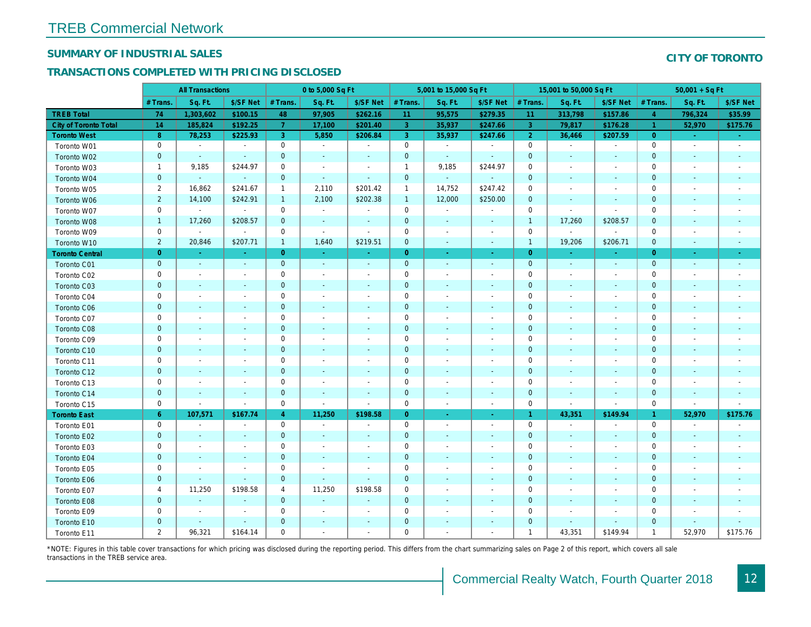## SUMMARY OF INDUSTRIAL SALES

## TRANSACTIONS COMPLETED WITH PRICING DISCLOSED

|                        | <b>All Transactions</b> |                          | 0 to 5,000 Sq Ft         |                |                          |                          | 5,001 to 15,000 Sq Ft |                          |                          | 15,001 to 50,000 Sq Ft |                          |                          |
|------------------------|-------------------------|--------------------------|--------------------------|----------------|--------------------------|--------------------------|-----------------------|--------------------------|--------------------------|------------------------|--------------------------|--------------------------|
|                        | # Trans                 | Sq. Ft.                  | \$/SF Net                | # Trans.       | Sq. Ft.                  | \$/SF Net                | # Trans.              | Sq. Ft.                  | \$/SF Net                | # Trans.               | Sq. Ft.                  | \$/SF Ne                 |
| <b>TREB Total</b>      | 74                      | 1,303,602                | \$100.15                 | 48             | 97,905                   | \$262.16                 | 11                    | 95,575                   | \$279.35                 | 11                     | 313,798                  | \$157.86                 |
| City of Toronto Total  | 14                      | 185,824                  | \$192.25                 | $\overline{7}$ | 17,100                   | \$201.40                 | $\overline{3}$        | 35,937                   | \$247.66                 | $\mathbf{3}$           | 79,817                   | \$176.28                 |
| <b>Toronto West</b>    | 8                       | 78,253                   | \$225.93                 | 3              | 5,850                    | \$206.84                 | 3                     | 35,937                   | \$247.66                 | $\overline{2}$         | 36,466                   | \$207.59                 |
| Toronto W01            | 0                       | $\blacksquare$           | $\blacksquare$           | $\mathbf 0$    | $\sim$                   | $\blacksquare$           | $\mathbf 0$           | $\blacksquare$           | $\blacksquare$           | $\mathbf 0$            | $\blacksquare$           | $\blacksquare$           |
| Toronto W02            | $\mathbf 0$             | $\sim$                   | $\sim$                   | $\mathbf 0$    | $\sim$                   | $\sim$                   | $\mathbf 0$           | $\sim$                   | $\sim$                   | $\mathbf 0$            | $\sim$                   | $\sim$                   |
| Toronto W03            | $\mathbf{1}$            | 9,185                    | \$244.97                 | $\mathbf 0$    | $\sim$                   | $\blacksquare$           | $\mathbf{1}$          | 9,185                    | \$244.97                 | $\mathbf 0$            | $\sim$                   | $\blacksquare$           |
| Toronto W04            | $\mathbf{0}$            | $\omega$                 | $\sim$                   | $\mathbf 0$    | $\sim$                   | $\blacksquare$           | $\mathbf 0$           | $\omega$                 | $\blacksquare$           | $\mathbf 0$            | $\blacksquare$           | $\sim$                   |
| Toronto W05            | $\overline{2}$          | 16,862                   | \$241.67                 | $\mathbf{1}$   | 2,110                    | \$201.42                 | $\mathbf{1}$          | 14,752                   | \$247.42                 | 0                      | $\blacksquare$           | $\overline{\phantom{a}}$ |
| Toronto W06            | $\overline{2}$          | 14,100                   | \$242.91                 | $\mathbf{1}$   | 2,100                    | \$202.38                 | $\mathbf{1}$          | 12,000                   | \$250.00                 | $\mathbf{0}$           | $\blacksquare$           | $\overline{\phantom{a}}$ |
| Toronto W07            | $\mathbf 0$             | $\sim$                   | $\sim$                   | $\mathbf 0$    | $\blacksquare$           | $\overline{\phantom{a}}$ | $\mathbf 0$           | $\blacksquare$           | $\blacksquare$           | $\mathbf 0$            | $\blacksquare$           | $\blacksquare$           |
| Toronto W08            | $\mathbf{1}$            | 17,260                   | \$208.57                 | $\mathbf 0$    | $\blacksquare$           | $\blacksquare$           | $\mathbf 0$           | $\blacksquare$           | $\blacksquare$           | $\overline{1}$         | 17,260                   | \$208.57                 |
| Toronto W09            | $\mathbf 0$             | $\overline{\phantom{a}}$ | $\sim$                   | $\mathbf 0$    | $\blacksquare$           | $\blacksquare$           | $\mathbf 0$           | $\overline{\phantom{a}}$ | $\blacksquare$           | $\mathbf 0$            | $\blacksquare$           | $\blacksquare$           |
| Toronto W10            | $\overline{2}$          | 20,846                   | \$207.71                 | $\mathbf{1}$   | 1,640                    | \$219.51                 | $\mathbf 0$           | $\blacksquare$           | $\sim$                   | $\mathbf{1}$           | 19,206                   | \$206.7'                 |
| <b>Toronto Central</b> | $\overline{0}$          | $\sim$                   | $\sim$                   | $\overline{0}$ | $\sim$                   | Ξ                        | $\overline{0}$        | $\omega$                 | $\omega$                 | $\overline{0}$         | ÷.                       | $\sim$                   |
| Toronto C01            | $\mathbf 0$             | $\blacksquare$           | $\blacksquare$           | $\mathbf{0}$   | $\blacksquare$           | $\blacksquare$           | $\mathbf 0$           | $\blacksquare$           | $\blacksquare$           | $\mathbf 0$            | $\blacksquare$           | $\bullet$                |
| Toronto C02            | 0                       | $\sim$                   |                          | $\mathbf 0$    | $\sim$                   | $\blacksquare$           | $\mathbf 0$           | $\sim$                   | $\sim$                   | $\mathbf 0$            | $\blacksquare$           | $\blacksquare$           |
| Toronto C03            | $\mathbf{0}$            | $\sim$                   | $\sim$                   | $\overline{0}$ | ä,                       | $\blacksquare$           | $\mathbf 0$           | $\blacksquare$           | $\blacksquare$           | $\mathbf{0}$           | $\blacksquare$           | $\blacksquare$           |
| Toronto C04            | 0                       | $\overline{\phantom{a}}$ | $\overline{\phantom{a}}$ | $\mathbf 0$    | $\blacksquare$           | $\blacksquare$           | $\mathbf 0$           | $\blacksquare$           | $\sim$                   | 0                      | $\blacksquare$           | $\blacksquare$           |
| Toronto C06            | $\mathbf{0}$            | $\sim$                   | $\sim$                   | $\mathbf 0$    | $\blacksquare$           | $\blacksquare$           | $\mathbf{0}$          | $\blacksquare$           | $\blacksquare$           | $\mathbf 0$            | $\blacksquare$           | $\blacksquare$           |
| Toronto C07            | 0                       | $\overline{\phantom{a}}$ | $\overline{\phantom{a}}$ | $\mathbf 0$    | $\sim$                   | $\blacksquare$           | $\mathbf 0$           | $\blacksquare$           | $\blacksquare$           | $\mathbf 0$            | $\blacksquare$           | $\blacksquare$           |
| Toronto C08            | $\mathbf{0}$            | $\sim$                   | $\sim$                   | $\mathbf 0$    | $\blacksquare$           | $\blacksquare$           | $\mathbf 0$           | $\sim$                   | $\omega$                 | $\mathbf{0}$           | $\sim$                   | $\blacksquare$           |
| Toronto C09            | 0                       | $\overline{\phantom{a}}$ | $\overline{\phantom{a}}$ | 0              | $\blacksquare$           | $\blacksquare$           | 0                     | $\overline{\phantom{a}}$ | $\blacksquare$           | 0                      | $\blacksquare$           | $\blacksquare$           |
| Toronto C10            | $\mathbf{0}$            | $\sim$                   | $\sim$                   | $\mathbf 0$    | $\sim$                   | $\blacksquare$           | $\mathbf 0$           | $\sim$                   | $\sim$                   | $\mathbf 0$            | $\sim$                   | $\sim$                   |
| Toronto C11            | 0                       | $\blacksquare$           | $\overline{\phantom{a}}$ | $\mathbf 0$    | $\blacksquare$           | $\overline{\phantom{a}}$ | $\mathbf 0$           | $\blacksquare$           | $\overline{\phantom{a}}$ | $\mathbf 0$            | $\blacksquare$           | $\blacksquare$           |
| Toronto C12            | $\mathbf{0}$            | $\sim$                   | $\sim$                   | $\mathbf 0$    | $\blacksquare$           | $\sim$                   | $\mathbf 0$           | $\sim$                   | $\sim$                   | $\mathbf{0}$           | $\blacksquare$           | $\sim$                   |
| Toronto C13            | 0                       | $\overline{\phantom{a}}$ | $\overline{\phantom{a}}$ | $\mathbf 0$    | $\overline{\phantom{a}}$ | $\overline{\phantom{a}}$ | $\mathbf 0$           | $\overline{\phantom{a}}$ | $\overline{\phantom{a}}$ | 0                      | $\overline{\phantom{a}}$ | $\overline{\phantom{a}}$ |
| Toronto C14            | $\mathbf 0$             | $\overline{\phantom{a}}$ | $\sim$                   | $\mathbf 0$    | $\blacksquare$           | $\blacksquare$           | $\mathbf 0$           | $\blacksquare$           | $\sim$                   | $\mathbf{0}$           | $\blacksquare$           | $\blacksquare$           |
| Toronto C15            | 0                       | $\blacksquare$           | $\blacksquare$           | $\mathbf 0$    | $\blacksquare$           | $\blacksquare$           | $\mathbf 0$           | $\blacksquare$           | $\blacksquare$           | $\mathbf 0$            | $\omega$                 | $\blacksquare$           |
| <b>Toronto East</b>    | $6^{\circ}$             | 107,571                  | \$167.74                 | $\overline{4}$ | 11,250                   | \$198.58                 | $\overline{0}$        | $\blacksquare$           | $\omega$                 | $\overline{1}$         | 43,351                   | \$149.94                 |
| Toronto E01            | 0                       | $\blacksquare$           | $\sim$                   | $\mathbf 0$    | $\blacksquare$           | $\blacksquare$           | $\mathbf 0$           | $\blacksquare$           | $\blacksquare$           | $\mathbf 0$            | $\blacksquare$           | $\sim$                   |
| Toronto E02            | $\pmb{0}$               |                          |                          | $\mathbf 0$    | $\sim$                   | $\blacksquare$           | $\mathbf 0$           |                          | ٠                        | $\mathbf{0}$           | $\sim$                   | $\blacksquare$           |
| Toronto E03            | 0                       | $\overline{\phantom{a}}$ | $\overline{\phantom{a}}$ | $\mathbf 0$    | $\blacksquare$           | $\blacksquare$           | $\pmb{0}$             | $\blacksquare$           | $\blacksquare$           | 0                      | $\blacksquare$           | $\blacksquare$           |
| Toronto E04            | $\mathbf 0$             | $\sim$                   | $\sim$                   | $\mathbf 0$    | $\blacksquare$           | $\blacksquare$           | $\mathbf 0$           | $\blacksquare$           | $\blacksquare$           | $\mathbf 0$            | $\blacksquare$           | $\sim$                   |
| Toronto E05            | 0                       | $\sim$                   | $\sim$                   | $\mathbf 0$    | $\tilde{\phantom{a}}$    | $\sim$                   | $\mathbf 0$           | $\sim$                   | $\sim$                   | $\mathbf 0$            | $\blacksquare$           | $\blacksquare$           |
| Toronto E06            | $\mathbf{0}$            | $\overline{\phantom{a}}$ | $\sim$                   | $\mathbf 0$    | $\sim$                   | $\omega$                 | $\mathbf 0$           | $\blacksquare$           | $\blacksquare$           | $\mathbf 0$            | $\sim$                   | $\sim$                   |
| Toronto E07            | 4                       | 11,250                   | \$198.58                 | 4              | 11,250                   | \$198.58                 | 0                     | $\blacksquare$           | $\overline{\phantom{a}}$ | 0                      | $\blacksquare$           | $\overline{\phantom{a}}$ |
| Toronto E08            | $\mathbf{0}$            | $\sim$                   |                          | $\mathbf{0}$   | $\blacksquare$           | $\blacksquare$           | $\mathbf 0$           | $\sim$                   | $\sim$                   | $\mathbf 0$            | $\blacksquare$           |                          |
| Toronto E09            | 0                       | $\overline{\phantom{a}}$ | $\sim$                   | $\mathbf 0$    | ä,                       | $\blacksquare$           | $\mathbf 0$           |                          | $\blacksquare$           | $\mathbf 0$            |                          | $\blacksquare$           |
| Toronto E10            | $\mathbf{0}$            |                          | $\sim$                   | $\mathbf 0$    | $\frac{1}{2}$            | $\blacksquare$           | $\mathbf 0$           |                          | $\blacksquare$           | $\mathbf 0$            | $\blacksquare$           |                          |
| Toronto E11            | $\overline{2}$          | 96,321                   | \$164.14                 | 0              | ä,                       | ٠                        | $\mathbf 0$           | $\blacksquare$           | $\blacksquare$           | $\overline{1}$         | 43,351                   | \$149.94                 |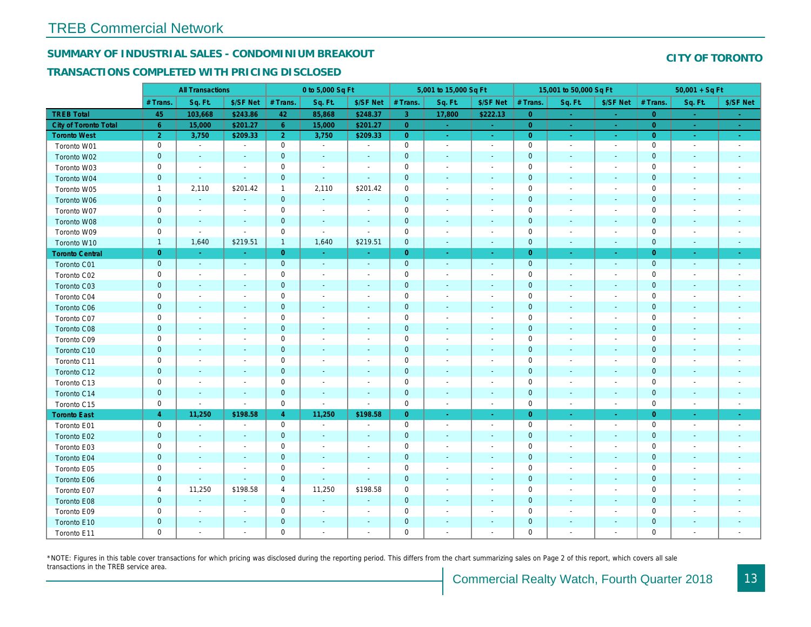## SUMMARY OF INDUSTRIAL SALES - CONDOMINIUM BREAKOUT

#### TRANSACTIONS COMPLETED WITH PRICING DISCLOSED

|                        | <b>All Transactions</b> |                          | 0 to 5,000 Sq Ft         |                |                |                          | 5,001 to 15,000 Sq Ft |                              |                          | 15,001 to 50,000 Sq Ft |                          |                  |
|------------------------|-------------------------|--------------------------|--------------------------|----------------|----------------|--------------------------|-----------------------|------------------------------|--------------------------|------------------------|--------------------------|------------------|
|                        | # Trans.                | Sq. Ft.                  | \$/SF Net                | # Trans.       | Sq. Ft.        | \$/SF Net                | # Trans.              | Sq. Ft.                      | \$/SF Net                | # Trans.               | Sq. Ft.                  | \$/SF Ne         |
| <b>TREB Total</b>      | 45                      | 103,668                  | \$243.86                 | 42             | 85,868         | \$248.37                 | 3 <sup>°</sup>        | 17,800                       | \$222.13                 | $\overline{0}$         | $\sim$                   | $\sim$           |
| City of Toronto Total  | $6^{\circ}$             | 15,000                   | \$201.27                 | $6\phantom{1}$ | 15,000         | \$201.27                 | $\overline{0}$        | $\sim$                       | $\sim$                   | $\overline{0}$         | $\sim$                   | $\omega_{\rm c}$ |
| <b>Toronto West</b>    | $\overline{2}$          | 3,750                    | \$209.33                 | 2 <sup>1</sup> | 3,750          | \$209.33                 | $\overline{0}$        | $\sim$                       | $\sim$                   | $\overline{0}$         | $\sim$                   | $\sim$ $\sim$    |
| Toronto W01            | 0                       | $\sim$                   | $\overline{\phantom{a}}$ | $\mathbf 0$    | $\sim$         | $\overline{\phantom{a}}$ | $\mathbf 0$           | $\sim$                       | $\blacksquare$           | $\mathbf 0$            | $\blacksquare$           | $\sim$           |
| Toronto W02            | $\mathbf{0}$            | $\blacksquare$           | $\overline{\phantom{a}}$ | $\mathbf 0$    | $\sim$         | $\blacksquare$           | $\mathbf 0$           | $\blacksquare$               | $\blacksquare$           | $\mathbf 0$            | $\blacksquare$           | $\blacksquare$   |
| Toronto W03            | 0                       | $\blacksquare$           | $\blacksquare$           | $\mathbf 0$    | $\blacksquare$ | $\blacksquare$           | $\mathbf 0$           | $\blacksquare$               | $\blacksquare$           | $\mathbf 0$            | $\blacksquare$           | $\blacksquare$   |
| Toronto W04            | $\mathbf 0$             | $\sim$                   | $\sim$                   | $\mathbf{0}$   | $\blacksquare$ | $\blacksquare$           | $\mathbf 0$           | $\blacksquare$               | $\blacksquare$           | $\mathbf 0$            | $\blacksquare$           | $\blacksquare$   |
| Toronto W05            | $\mathbf{1}$            | 2,110                    | \$201.42                 | $\mathbf{1}$   | 2,110          | \$201.42                 | 0                     | $\blacksquare$               | $\blacksquare$           | $\mathbf 0$            | $\blacksquare$           | $\blacksquare$   |
| Toronto W06            | $\mathbf{0}$            | $\sim$                   |                          | $\mathbf 0$    | $\blacksquare$ |                          | $\mathbf 0$           | ä,                           |                          | $\mathbf 0$            | $\sim$                   |                  |
| Toronto W07            | 0                       | $\sim$                   | $\overline{\phantom{a}}$ | $\mathsf 0$    | $\blacksquare$ | $\blacksquare$           | $\mathbf 0$           | $\blacksquare$               | $\blacksquare$           | $\mathbf 0$            | $\blacksquare$           | $\blacksquare$   |
| Toronto W08            | $\mathbf 0$             | $\blacksquare$           | $\blacksquare$           | $\pmb{0}$      | $\blacksquare$ | $\blacksquare$           | $\mathbf 0$           | $\blacksquare$               | $\blacksquare$           | $\mathbf 0$            | $\blacksquare$           | ٠                |
| Toronto W09            | 0                       | $\sim$                   | $\sim$                   | $\mathbf 0$    | $\blacksquare$ | $\blacksquare$           | $\mathbf 0$           | $\overline{\phantom{a}}$     | $\blacksquare$           | 0                      | $\blacksquare$           | $\blacksquare$   |
| Toronto W10            | $\mathbf{1}$            | 1,640                    | \$219.51                 | $\mathbf{1}$   | 1,640          | \$219.51                 | $\mathbf 0$           | $\omega$                     | $\omega$                 | $\mathbf 0$            | $\blacksquare$           | $\sim$           |
| <b>Toronto Central</b> | $\overline{0}$          | $\sim$                   | a.                       | $\overline{0}$ | $\sim$         | $\sim$                   | $\overline{0}$        | $\omega$                     | ÷                        | $\overline{0}$         | $\bullet$                | $\sim$           |
| Toronto C01            | $\mathbf 0$             | $\sim$                   | $\sim$                   | $\pmb{0}$      | $\sim$         | $\blacksquare$           | $\mathbf 0$           | $\omega$                     | $\blacksquare$           | $\mathbf 0$            | $\omega$                 | $\blacksquare$   |
| Toronto C02            | 0                       | $\overline{\phantom{a}}$ | $\sim$                   | $\mathbf 0$    | $\sim$         | $\blacksquare$           | $\mathbf 0$           | $\overline{a}$               | $\blacksquare$           | $\mathbf 0$            | ÷,                       | $\blacksquare$   |
| Toronto C03            | $\mathbf 0$             | $\sim$                   | $\sim$                   | $\mathbf 0$    | $\blacksquare$ | $\blacksquare$           | $\mathbf 0$           | $\blacksquare$               | $\blacksquare$           | $\mathbf{0}$           | $\blacksquare$           | $\blacksquare$   |
| Toronto C04            | 0                       | $\overline{\phantom{a}}$ | $\overline{\phantom{a}}$ | $\mathbf 0$    | $\blacksquare$ | $\blacksquare$           | $\mathbf 0$           | $\overline{a}$               | $\overline{a}$           | $\mathbf 0$            | $\overline{\phantom{a}}$ | $\blacksquare$   |
| Toronto C06            | $\mathbf 0$             | $\sim$                   | $\blacksquare$           | $\pmb{0}$      | $\sim$         | $\blacksquare$           | $\mathbf 0$           | $\blacksquare$               | $\blacksquare$           | $\mathbf 0$            | $\blacksquare$           | $\blacksquare$   |
| Toronto C07            | 0                       | $\sim$                   | $\sim$                   | $\mathsf 0$    | $\sim$         | $\blacksquare$           | $\mathsf 0$           | $\blacksquare$               | $\blacksquare$           | $\mathbf 0$            | ÷,                       | $\blacksquare$   |
| Toronto C08            | $\mathbf 0$             | $\blacksquare$           | $\blacksquare$           | $\mathbf 0$    | $\blacksquare$ | $\blacksquare$           | $\mathbf 0$           | $\blacksquare$               | $\blacksquare$           | $\mathbf{0}$           | $\blacksquare$           | $\blacksquare$   |
| Toronto C09            | 0                       | $\overline{\phantom{a}}$ |                          | $\mathbf 0$    | $\blacksquare$ |                          | $\mathbf 0$           | $\overline{a}$               | $\overline{a}$           | $\mathbf 0$            | $\overline{\phantom{a}}$ |                  |
| Toronto C10            | $\mathbf 0$             | $\sim$                   | $\sim$                   | $\mathbf 0$    | $\blacksquare$ | $\blacksquare$           | $\mathbf 0$           | $\blacksquare$               | $\blacksquare$           | $\mathbf{0}$           | $\blacksquare$           | $\sim$           |
| Toronto C11            | 0                       | $\blacksquare$           | $\sim$                   | $\mathsf 0$    | $\blacksquare$ | $\blacksquare$           | $\mathsf{O}\xspace$   | $\overline{a}$               | $\overline{a}$           | $\mathbf 0$            | $\blacksquare$           | $\blacksquare$   |
| Toronto C12            | $\mathbf 0$             | $\sim$                   | $\blacksquare$           | $\mathbf 0$    | $\blacksquare$ | $\blacksquare$           | $\mathbf 0$           | $\blacksquare$               | $\blacksquare$           | $\mathbf 0$            | $\blacksquare$           | $\blacksquare$   |
| Toronto C13            | 0                       | $\overline{\phantom{a}}$ | $\overline{\phantom{a}}$ | $\mathbf 0$    | $\blacksquare$ | $\overline{\phantom{a}}$ | $\mathbf 0$           | $\blacksquare$               | $\overline{a}$           | 0                      | $\blacksquare$           | $\blacksquare$   |
| Toronto C14            | $\mathbf 0$             | $\sim$                   | $\sim$                   | $\mathbf 0$    | $\omega$       | $\sim$                   | $\mathbf 0$           | $\sim$                       | $\sim$                   | $\mathbf 0$            | $\blacksquare$           | $\sim$           |
| Toronto C15            | 0                       | $\blacksquare$           | $\blacksquare$           | $\mathsf 0$    | $\blacksquare$ | $\sim$                   | $\mathbf 0$           | $\blacksquare$               | $\blacksquare$           | $\mathbf 0$            | $\blacksquare$           | $\sim$           |
| <b>Toronto East</b>    | $\overline{4}$          | 11,250                   | \$198.58                 | $\overline{4}$ | 11,250         | \$198.58                 | $\overline{0}$        | $\omega$                     | ÷                        | $\overline{0}$         | $\bullet$                | $\sigma_{\rm c}$ |
| Toronto E01            | 0                       | $\sim$                   | $\overline{\phantom{a}}$ | $\mathbf 0$    | $\sim$         | $\overline{\phantom{a}}$ | $\mathbf 0$           | $\sim$                       | $\blacksquare$           | $\mathbf 0$            | $\blacksquare$           | $\sim$           |
| Toronto E02            | $\mathbf 0$             | $\sim$                   | $\sim$                   | $\mathbf 0$    | $\sim$         | $\sim$                   | $\mathbf 0$           | $\blacksquare$               | $\blacksquare$           | $\mathbf{0}$           | $\sim$                   | $\sim$           |
| Toronto E03            | 0                       | $\overline{\phantom{a}}$ | $\overline{\phantom{a}}$ | $\mathbf 0$    | $\blacksquare$ | $\overline{\phantom{a}}$ | $\mathbf 0$           | $\blacksquare$               | $\overline{\phantom{a}}$ | $\mathbf 0$            | $\blacksquare$           | $\blacksquare$   |
| Toronto E04            | $\mathbf 0$             | $\blacksquare$           | $\sim$                   | $\mathbf 0$    | $\blacksquare$ | $\blacksquare$           | $\mathbf 0$           | $\blacksquare$               | $\blacksquare$           | $\mathbf{0}$           | $\blacksquare$           | $\blacksquare$   |
| Toronto E05            | 0                       | $\overline{\phantom{a}}$ | $\blacksquare$           | $\mathbf 0$    | $\blacksquare$ | $\blacksquare$           | $\mathbf 0$           | $\blacksquare$               | $\blacksquare$           | $\mathbf 0$            | $\blacksquare$           | $\blacksquare$   |
| Toronto E06            | $\mathbf 0$             | $\blacksquare$           | $\sim$                   | $\mathbf 0$    | $\blacksquare$ | $\blacksquare$           | $\mathbf 0$           | $\overline{\phantom{a}}$     | $\sim$                   | $\mathbf 0$            | $\blacksquare$           | $\blacksquare$   |
| Toronto E07            | 4                       | 11,250                   | \$198.58                 | 4              | 11,250         | \$198.58                 | $\mathbf 0$           | $\overline{\phantom{a}}$     | $\blacksquare$           | $\mathbf 0$            | $\blacksquare$           | $\blacksquare$   |
| Toronto E08            | $\mathbf 0$             | $\blacksquare$           | $\sim$                   | $\mathbf 0$    | $\blacksquare$ | $\blacksquare$           | $\mathbf 0$           | $\sim$                       | $\blacksquare$           | $\mathbf{0}$           | $\sim$                   |                  |
| Toronto E09            | 0                       | $\blacksquare$           | $\blacksquare$           | $\mathbf 0$    | $\blacksquare$ | $\blacksquare$           | $\mathsf{O}\xspace$   | $\blacksquare$               | $\blacksquare$           | $\mathbf 0$            | $\blacksquare$           | $\blacksquare$   |
| Toronto E10            | $\mathbf 0$             | $\sim$                   |                          | $\pmb{0}$      | $\blacksquare$ | $\blacksquare$           | $\pmb{0}$             | $\qquad \qquad \blacksquare$ | $\blacksquare$           | $\mathbf 0$            | $\blacksquare$           |                  |
| Toronto E11            | 0                       | $\blacksquare$           | $\overline{\phantom{a}}$ | $\mathbf 0$    | $\sim$         | $\blacksquare$           | $\mathbf 0$           | $\blacksquare$               | $\blacksquare$           | $\mathbf 0$            | $\blacksquare$           | $\sim$           |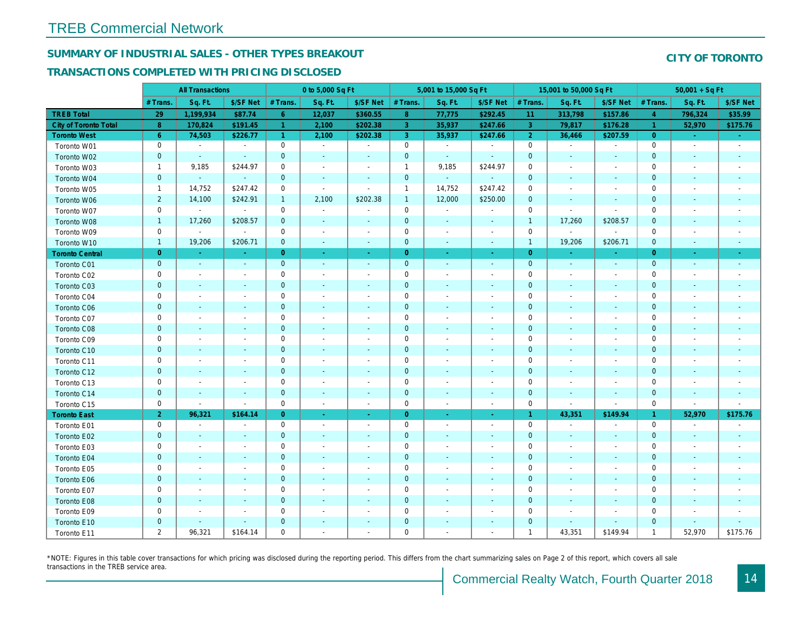# SUMMARY OF INDUSTRIAL SALES - OTHER TYPES BREAKOUT

### TRANSACTIONS COMPLETED WITH PRICING DISCLOSED

|                              |                | <b>All Transactions</b>  |                          |                      | 0 to 5,000 Sq Ft         |                          |                     | 5,001 to 15,000 Sq Ft    |                          |                | 15,001 to 50,000 Sq Ft   |                          |
|------------------------------|----------------|--------------------------|--------------------------|----------------------|--------------------------|--------------------------|---------------------|--------------------------|--------------------------|----------------|--------------------------|--------------------------|
|                              | # Trans.       | Sq. Ft.                  | \$/SF Net                | # Trans.             | Sq. Ft.                  | \$/SF Net                | # Trans.            | Sq. Ft.                  | \$/SF Net                | # Trans.       | Sq. Ft.                  | \$/SF Ne                 |
| <b>TREB Total</b>            | 29             | 1,199,934                | \$87.74                  | 6                    | 12,037                   | \$360.55                 | 8                   | 77,775                   | \$292.45                 | 11             | 313,798                  | \$157.8                  |
| <b>City of Toronto Total</b> | 8              | 170,824                  | \$191.45                 | $\blacktriangleleft$ | 2,100                    | \$202.38                 | 3 <sup>°</sup>      | 35,937                   | \$247.66                 | $\mathbf{3}$   | 79,817                   | \$176.28                 |
| <b>Toronto West</b>          | 6 <sup>°</sup> | 74,503                   | \$226.77                 | $\blacktriangleleft$ | 2,100                    | \$202.38                 | 3                   | 35,937                   | \$247.66                 | $\overline{2}$ | 36,466                   | \$207.59                 |
| Toronto W01                  | 0              | $\sim$                   | $\blacksquare$           | $\mathbf 0$          | $\sim$                   | $\blacksquare$           | $\mathsf{O}\xspace$ | $\blacksquare$           | $\blacksquare$           | $\mathbf 0$    | $\blacksquare$           | $\sim$                   |
| Toronto W02                  | $\mathbf 0$    | $\sim$                   | $\sim$                   | $\pmb{0}$            | $\sim$                   | $\blacksquare$           | $\mathbf 0$         | $\blacksquare$           | $\sim$                   | $\mathbf 0$    | $\blacksquare$           | $\blacksquare$           |
| Toronto W03                  | $\mathbf{1}$   | 9,185                    | \$244.97                 | 0                    | $\blacksquare$           | $\overline{\phantom{a}}$ | $\mathbf{1}$        | 9,185                    | \$244.97                 | 0              | $\blacksquare$           | $\blacksquare$           |
| Toronto W04                  | $\mathbf{0}$   | $\sim$                   | $\sim$                   | $\mathbf 0$          | $\mathbf{r}$             | $\sim$                   | $\mathbf 0$         | ¥.                       | $\blacksquare$           | $\mathbf 0$    | $\blacksquare$           | $\overline{\phantom{a}}$ |
| Toronto W05                  | $\mathbf{1}$   | 14,752                   | \$247.42                 | $\mathbf 0$          | $\blacksquare$           | $\blacksquare$           | $\mathbf{1}$        | 14,752                   | \$247.42                 | $\mathbf 0$    | $\sim$                   | $\overline{\phantom{a}}$ |
| Toronto W06                  | $\overline{2}$ | 14,100                   | \$242.91                 | $\mathbf{1}$         | 2,100                    | \$202.38                 | $\mathbf{1}$        | 12,000                   | \$250.00                 | $\mathbf 0$    | $\blacksquare$           | $\blacksquare$           |
| Toronto W07                  | 0              | $\sim$                   | $\sim$                   | 0                    | $\blacksquare$           | $\blacksquare$           | $\mathbf 0$         | $\blacksquare$           | $\blacksquare$           | 0              | $\blacksquare$           | $\mathbf{r}$             |
| Toronto W08                  | $\mathbf{1}$   | 17,260                   | \$208.57                 | $\mathbf 0$          | $\sim$                   | $\sim$                   | $\mathbf 0$         | $\blacksquare$           | $\blacksquare$           | $\mathbf{1}$   | 17,260                   | \$208.57                 |
| Toronto W09                  | 0              | $\blacksquare$           | $\blacksquare$           | $\mathbf 0$          | $\blacksquare$           | $\blacksquare$           | $\mathbf 0$         | $\overline{a}$           | $\blacksquare$           | $\mathbf 0$    | $\blacksquare$           | $\blacksquare$           |
| Toronto W10                  | $\mathbf{1}$   | 19,206                   | \$206.71                 | $\mathbf 0$          | $\blacksquare$           | $\blacksquare$           | $\mathbf 0$         | $\blacksquare$           | $\blacksquare$           | $\mathbf{1}$   | 19,206                   | \$206.7'                 |
| <b>Toronto Central</b>       | $\overline{0}$ | $\sim$                   | $\sim$                   | $\overline{0}$       | $\sim$                   | $\blacksquare$           | $\overline{0}$      | $\blacksquare$           | $\blacksquare$           | $\overline{0}$ | $\sim$                   | $\sim$                   |
| Toronto C01                  | $\mathbf 0$    | $\sim$                   | $\sim$                   | $\mathbf{0}$         | $\sim$                   | $\sim$                   | $\mathbf 0$         | $\sim$                   | $\sim$                   | $\mathbf{0}$   | $\sim$                   | $\sim$                   |
| Toronto C02                  | 0              | $\sim$                   | $\sim$                   | $\mathbf 0$          | $\blacksquare$           | $\blacksquare$           | $\mathsf{O}\xspace$ | $\overline{a}$           | $\blacksquare$           | $\mathbf 0$    | ÷,                       | $\blacksquare$           |
| Toronto C03                  | $\mathbf 0$    | $\blacksquare$           | $\blacksquare$           | $\mathbf 0$          | ٠                        | $\blacksquare$           | $\mathbf 0$         | $\blacksquare$           | $\blacksquare$           | $\mathbf 0$    | $\blacksquare$           |                          |
| Toronto C04                  | 0              | $\overline{\phantom{a}}$ |                          | $\mathbf 0$          | $\blacksquare$           |                          | $\mathbf 0$         | $\overline{a}$           | $\overline{a}$           | $\mathbf 0$    | $\overline{\phantom{a}}$ | $\blacksquare$           |
| Toronto C06                  | $\pmb{0}$      | $\blacksquare$           | $\blacksquare$           | $\mathbf 0$          | $\blacksquare$           | $\blacksquare$           | $\mathbf 0$         | $\blacksquare$           | $\blacksquare$           | $\mathbf 0$    | $\blacksquare$           | ٠                        |
| Toronto C07                  | 0              | $\blacksquare$           | $\sim$                   | $\mathsf 0$          | $\sim$                   | $\blacksquare$           | $\mathbf 0$         | $\overline{a}$           | $\overline{a}$           | $\mathbf 0$    | ÷,                       | $\blacksquare$           |
| Toronto C08                  | $\mathbf{0}$   | $\blacksquare$           | $\sim$                   | $\mathbf 0$          | $\blacksquare$           | $\blacksquare$           | $\mathbf 0$         | $\blacksquare$           | $\blacksquare$           | $\mathbf 0$    | $\blacksquare$           | $\blacksquare$           |
| Toronto C09                  | 0              | $\overline{\phantom{a}}$ | $\overline{\phantom{a}}$ | $\mathbf 0$          | $\sim$                   | $\blacksquare$           | $\mathbf 0$         | $\overline{a}$           | $\blacksquare$           | $\mathbf 0$    | $\blacksquare$           | $\blacksquare$           |
| Toronto C10                  | $\mathbf 0$    | $\sim$                   | $\sim$                   | $\mathbf 0$          | $\blacksquare$           | $\blacksquare$           | $\mathbf 0$         | $\blacksquare$           | $\blacksquare$           | $\mathbf 0$    | $\blacksquare$           | $\blacksquare$           |
| Toronto C11                  | 0              | $\overline{\phantom{a}}$ | $\overline{\phantom{a}}$ | $\mathsf 0$          | $\sim$                   | $\blacksquare$           | $\mathbf 0$         | $\overline{a}$           | $\blacksquare$           | $\mathbf 0$    | $\blacksquare$           | $\overline{\phantom{a}}$ |
| Toronto C12                  | $\mathbf{0}$   | $\sim$                   | $\sim$                   | $\mathbf 0$          | $\sim$                   | $\blacksquare$           | $\mathbf 0$         | $\blacksquare$           | $\blacksquare$           | $\mathbf{0}$   | $\sim$                   | $\blacksquare$           |
| Toronto C13                  | 0              | $\overline{\phantom{a}}$ | $\overline{\phantom{a}}$ | $\mathbf 0$          | $\sim$                   | $\overline{\phantom{a}}$ | $\mathbf 0$         | $\blacksquare$           | $\blacksquare$           | 0              | $\blacksquare$           | $\overline{\phantom{a}}$ |
| Toronto C14                  | $\mathbf 0$    | $\sim$                   | $\sim$                   | $\mathbf 0$          | $\sim$                   | $\sim$                   | $\mathbf 0$         | $\blacksquare$           | $\blacksquare$           | $\mathbf 0$    | $\blacksquare$           | $\sim$                   |
| Toronto C15                  | 0              | $\blacksquare$           | $\blacksquare$           | $\mathbf 0$          | $\blacksquare$           | $\blacksquare$           | $\mathbf 0$         | $\blacksquare$           | $\blacksquare$           | $\mathbf 0$    | $\blacksquare$           | $\sim$                   |
| <b>Toronto East</b>          | $\overline{2}$ | 96,321                   | \$164.14                 | $\overline{0}$       | $\omega$                 | $\omega$                 | $\overline{0}$      | $\blacksquare$           | ÷                        | $\overline{1}$ | 43,351                   | \$149.9                  |
| Toronto E01                  | 0              | $\blacksquare$           | $\overline{\phantom{a}}$ | $\mathbf 0$          | $\blacksquare$           | $\sim$                   | $\mathbf 0$         | $\blacksquare$           | $\blacksquare$           | $\mathbf 0$    | $\blacksquare$           | $\blacksquare$           |
| Toronto E02                  | $\mathbf 0$    | $\blacksquare$           | $\sim$                   | $\mathbf 0$          | $\sim$                   | $\blacksquare$           | $\mathbf 0$         | $\blacksquare$           | $\overline{\phantom{a}}$ | $\mathbf 0$    | $\blacksquare$           | $\sim$                   |
| Toronto E03                  | 0              | $\overline{\phantom{a}}$ | $\overline{\phantom{a}}$ | $\mathbf 0$          | $\overline{\phantom{a}}$ | $\overline{\phantom{a}}$ | $\mathbf 0$         | $\blacksquare$           | $\blacksquare$           | $\mathbf 0$    | $\blacksquare$           | $\blacksquare$           |
| Toronto E04                  | $\mathbf 0$    | $\sim$                   | $\sim$                   | $\mathbf 0$          | $\sim$                   | $\blacksquare$           | $\mathbf 0$         | $\blacksquare$           | $\omega$                 | $\mathbf{0}$   | $\omega$                 | $\blacksquare$           |
| Toronto E05                  | 0              | $\overline{\phantom{a}}$ |                          | $\mathbf 0$          | $\blacksquare$           | $\blacksquare$           | $\mathbf 0$         | $\blacksquare$           | $\blacksquare$           | $\mathbf 0$    | $\overline{\phantom{a}}$ | $\blacksquare$           |
| Toronto E06                  | $\mathbf 0$    |                          |                          | $\mathbf 0$          | $\blacksquare$           |                          | $\pmb{0}$           | $\overline{\phantom{a}}$ | ä,                       | $\mathbf 0$    | $\blacksquare$           |                          |
| Toronto E07                  | 0              | $\blacksquare$           | $\overline{\phantom{a}}$ | $\mathbf 0$          | $\blacksquare$           | $\overline{\phantom{a}}$ | $\mathbf 0$         | $\overline{\phantom{a}}$ | $\blacksquare$           | 0              | $\overline{\phantom{a}}$ | $\overline{\phantom{a}}$ |
| Toronto E08                  | $\mathbf 0$    | $\sim$                   | $\sim$                   | $\mathbf 0$          | $\sim$                   | $\blacksquare$           | $\pmb{0}$           | ÷,                       | $\blacksquare$           | $\mathbf 0$    | $\sim$                   |                          |
| Toronto E09                  | 0              | $\blacksquare$           | $\overline{\phantom{a}}$ | $\mathbf 0$          | $\blacksquare$           | $\blacksquare$           | $\mathbf 0$         | $\blacksquare$           | $\blacksquare$           | $\mathbf 0$    | $\sim$                   | $\blacksquare$           |
| Toronto E10                  | $\mathbf 0$    | $\sim$                   | $\sim$                   | $\mathbf 0$          | $\blacksquare$           | $\blacksquare$           | $\mathbf 0$         | $\blacksquare$           | $\blacksquare$           | $\mathbf 0$    | $\blacksquare$           |                          |
| Toronto E11                  | $\overline{2}$ | 96,321                   | \$164.14                 | $\mathbf 0$          | $\blacksquare$           | $\blacksquare$           | $\mathbf 0$         | $\blacksquare$           | $\blacksquare$           | -1             | 43,351                   | \$149.94                 |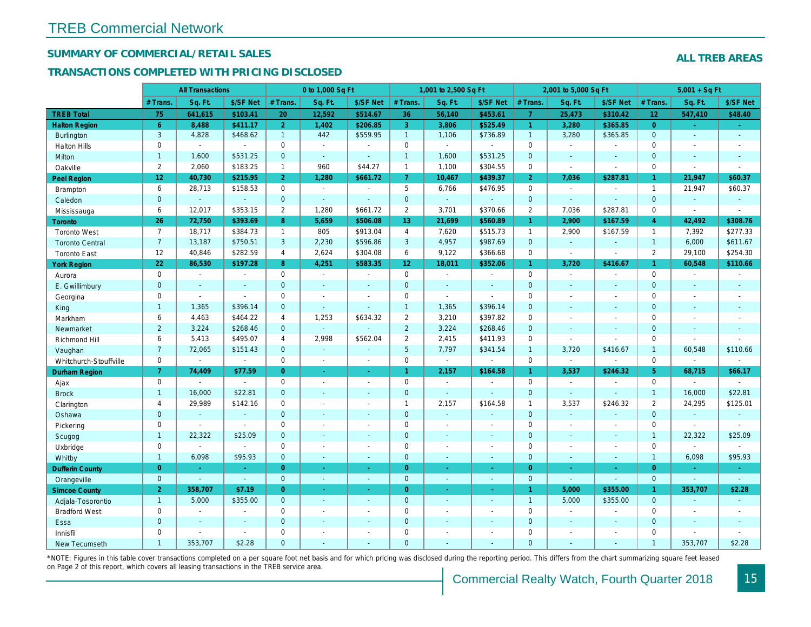## SUMMARY OF COMMERCIAL/RETAIL SALES

### TRANSACTIONS COMPLETED WITH PRICING DISCLOSED

|                        |                 | <b>All Transactions</b> |                |                | 0 to 1,000 Sq Ft |                          |                 | 1,001 to 2,500 Sq Ft |                |                      | 2,001 to 5,000 Sq Ft |                          |
|------------------------|-----------------|-------------------------|----------------|----------------|------------------|--------------------------|-----------------|----------------------|----------------|----------------------|----------------------|--------------------------|
|                        | # Trans         | Sq. Ft.                 | \$/SF Net      | # Trans.       | Sq. Ft.          | \$/SF Net                | # Trans.        | Sq. Ft.              | \$/SF Net      | # Trans.             | Sq. Ft.              | \$/SF Ne                 |
| <b>TREB Total</b>      | 75              | 641,615                 | \$103.41       | 20             | 12,592           | \$514.67                 | 36              | 56,140               | \$453.61       | $\overline{7}$       | 25,473               | \$310.42                 |
| <b>Halton Region</b>   | $6^{\circ}$     | 8,488                   | \$411.17       | 2 <sup>1</sup> | 1,402            | \$206.85                 | 3               | 3,806                | \$525.49       | $\blacktriangleleft$ | 3,280                | \$365.85                 |
| <b>Burlington</b>      | 3               | 4,828                   | \$468.62       | $\mathbf{1}$   | 442              | \$559.95                 | $\mathbf{1}$    | 1,106                | \$736.89       | $\mathbf{1}$         | 3,280                | \$365.85                 |
| <b>Halton Hills</b>    | $\mathbf 0$     | $\sim$                  | $\sim$         | $\Omega$       | $\sim$           |                          | $\mathbf 0$     | $\blacksquare$       | $\sim$         | $\Omega$             | $\blacksquare$       | $\blacksquare$           |
| Milton                 | $\mathbf{1}$    | 1,600                   | \$531.25       | $\mathbf{0}$   | $\omega$         | $\sim$                   | $\mathbf{1}$    | 1,600                | \$531.25       | $\mathbf{0}$         | $\blacksquare$       | $\blacksquare$           |
| Oakville               | $\overline{2}$  | 2,060                   | \$183.25       | $\mathbf{1}$   | 960              | \$44.27                  | $\mathbf{1}$    | 1,100                | \$304.55       | $\mathbf 0$          | $\sim$               | $\blacksquare$           |
| <b>Peel Region</b>     | 12 <sub>2</sub> | 40,730                  | \$215.95       | 2 <sup>1</sup> | 1,280            | \$661.72                 | 7 <sup>1</sup>  | 10,467               | \$439.37       | $\overline{2}$       | 7,036                | \$287.8'                 |
| <b>Brampton</b>        | 6               | 28,713                  | \$158.53       | $\mathbf{0}$   | $\sim$           | $\overline{\phantom{a}}$ | 5               | 6,766                | \$476.95       | $\mathbf 0$          | $\sim$               | $\blacksquare$           |
| Caledon                | $\mathbf{0}$    | $\omega$                | $\omega$       | $\mathbf{0}$   | $\sim$           | $\sim$                   | $\mathbf{0}$    | $\omega_{\rm c}$     | $\omega$       | $\mathbf 0$          | $\omega$             | $\omega$                 |
| Mississauga            | 6               | 12,017                  | \$353.15       | $\overline{2}$ | 1.280            | \$661.72                 | $\overline{2}$  | 3,701                | \$370.66       | $\overline{2}$       | 7.036                | \$287.8'                 |
| Toronto                | 26              | 72,750                  | \$393.69       | 8              | 5,659            | \$506.08                 | 13              | 21,699               | \$560.89       | $\mathbf{1}$         | 2,900                | \$167.59                 |
| <b>Toronto West</b>    | $\overline{7}$  | 18,717                  | \$384.73       | $\mathbf{1}$   | 805              | \$913.04                 | $\overline{4}$  | 7,620                | \$515.73       | $\mathbf{1}$         | 2,900                | \$167.59                 |
| <b>Toronto Central</b> | $\overline{7}$  | 13,187                  | \$750.51       | 3              | 2,230            | \$596.86                 | 3               | 4,957                | \$987.69       | $\mathbf{0}$         | $\omega$             | $\omega$                 |
| <b>Toronto East</b>    | 12              | 40,846                  | \$282.59       | 4              | 2,624            | \$304.08                 | 6               | 9,122                | \$366.68       | $\mathbf 0$          | $\blacksquare$       | $\blacksquare$           |
| <b>York Region</b>     | 22              | 86,530                  | \$197.28       | 8              | 4,251            | \$583.35                 | 12 <sub>2</sub> | 18,011               | \$352.06       | $\mathbf{1}$         | 3,720                | \$416.67                 |
| Aurora                 | $\mathbf 0$     | $\sim$                  | $\sim$         | $\Omega$       | $\sim$           | $\blacksquare$           | $\mathbf 0$     | $\blacksquare$       | $\blacksquare$ | $\Omega$             | $\blacksquare$       | $\sim$                   |
| E. Gwillimbury         | $\mathbf{0}$    | $\blacksquare$          | $\blacksquare$ | $\mathbf{0}$   | $\sim$           |                          | $\mathbf 0$     | $\blacksquare$       | $\blacksquare$ | $\mathbf 0$          | $\blacksquare$       | $\blacksquare$           |
| Georgina               | $\mathbf 0$     | $\blacksquare$          | $\blacksquare$ | $\mathbf 0$    | $\sim$           | $\sim$                   | $\mathbf 0$     | $\blacksquare$       | $\blacksquare$ | $\mathbf 0$          | $\blacksquare$       | $\blacksquare$           |
| King                   | $\mathbf{1}$    | 1,365                   | \$396.14       | $\mathbf{0}$   | $\sim$           | $\sim$                   | $\mathbf{1}$    | 1,365                | \$396.14       | $\mathbf{0}$         | $\blacksquare$       | $\sim$                   |
| Markham                | 6               | 4,463                   | \$464.22       | $\overline{4}$ | 1,253            | \$634.32                 | $\overline{2}$  | 3,210                | \$397.82       | $\mathbf 0$          | $\blacksquare$       | $\blacksquare$           |
| Newmarket              | $\overline{2}$  | 3,224                   | \$268.46       | $\mathbf{0}$   | $\omega$         |                          | $\overline{2}$  | 3,224                | \$268.46       | $\mathbf{0}$         | $\blacksquare$       | $\blacksquare$           |
| Richmond Hill          | 6               | 5,413                   | \$495.07       | 4              | 2,998            | \$562.04                 | $\overline{2}$  | 2,415                | \$411.93       | $\mathbf 0$          | $\sim$               | $\sim$                   |
| Vaughan                | $\overline{7}$  | 72,065                  | \$151.43       | $\mathbf{0}$   | $\omega$         | $\sim$                   | $5\phantom{.0}$ | 7,797                | \$341.54       | $\overline{1}$       | 3,720                | \$416.67                 |
| Whitchurch-Stouffville | $\mathbf 0$     | $\blacksquare$          | $\mathbf{r}$   | $\mathbf 0$    | $\sim$           | $\sim$                   | 0               | $\blacksquare$       | $\sim$         | $\mathbf 0$          | $\sim$               | $\blacksquare$           |
| <b>Durham Region</b>   | $\overline{7}$  | 74,409                  | \$77.59        | $\Omega$       | $\omega$         | $\omega_{\rm c}$         | $\mathbf{1}$    | 2,157                | \$164.58       | $\mathbf{1}$         | 3,537                | \$246.32                 |
| Ajax                   | $\mathsf 0$     |                         | $\blacksquare$ | $\mathbf 0$    | $\sim$           | $\blacksquare$           | $\pmb{0}$       | $\blacksquare$       | $\sim$         | $\mathbf 0$          | $\sim$               | $\blacksquare$           |
| <b>Brock</b>           | $\mathbf{1}$    | 16,000                  | \$22.81        | $\mathbf{0}$   | $\Delta$         | $\sim$                   | $\mathbf 0$     | $\omega$             | ä,             | $\mathbf 0$          | $\omega$             | $\blacksquare$           |
| Clarington             | 4               | 29,989                  | \$142.16       | $\mathbf 0$    | $\blacksquare$   |                          | $\mathbf{1}$    | 2,157                | \$164.58       | $\mathbf{1}$         | 3,537                | \$246.32                 |
| Oshawa                 | $\overline{0}$  | $\blacksquare$          | $\omega$       | $\overline{0}$ | $\blacksquare$   | $\blacksquare$           | $\mathbf 0$     | $\blacksquare$       | $\blacksquare$ | $\mathbf{0}$         | ä,                   | $\blacksquare$           |
| Pickering              | $\mathbf{0}$    | $\blacksquare$          | $\blacksquare$ | $\mathbf 0$    | $\sim$           |                          | $\mathbf 0$     | $\blacksquare$       | $\blacksquare$ | $\mathbf 0$          | $\blacksquare$       | $\blacksquare$           |
| Scugog                 | $\mathbf{1}$    | 22,322                  | \$25.09        | $\mathbf{0}$   | $\Delta$         | $\sim$                   | $\mathbf 0$     | $\omega$             | $\blacksquare$ | $\mathbf{0}$         | $\omega$             | $\blacksquare$           |
| Uxbridge               | $\mathbf 0$     | $\blacksquare$          | $\blacksquare$ | $\mathbf 0$    | $\overline{a}$   |                          | $\pmb{0}$       | $\overline{a}$       | $\blacksquare$ | $\mathbf 0$          | $\overline{a}$       | $\overline{\phantom{a}}$ |
| Whitby                 | $\mathbf{1}$    | 6,098                   | \$95.93        | $\mathbf{0}$   | $\sim$           | $\sim$                   | $\mathbf 0$     | $\blacksquare$       | $\blacksquare$ | $\mathbf{0}$         | $\blacksquare$       | $\sim$                   |
| <b>Dufferin County</b> | $\overline{0}$  | $\sim$                  | $\sim$         | $\overline{0}$ | a.               | $\sim$                   | $\overline{0}$  | $\omega$             | ×.             | $\overline{0}$       | ÷.                   | $\sim$                   |
| Orangeville            | $\mathbf{0}$    | $\omega$                | $\omega$       | $\mathbf 0$    | $\omega$         | $\omega$                 | $\mathbf{0}$    | $\omega$             | ¥.             | $\mathbf{0}$         | $\omega$             | $\omega_{\rm c}$         |
| <b>Simcoe County</b>   | $\overline{2}$  | 358,707                 | \$7.19         | $\overline{0}$ | $\omega$         | $\omega$                 | $\overline{0}$  | ä,                   | $\omega$       | $\mathbf{1}$         | 5,000                | \$355.0                  |
| Adjala-Tosorontio      | $\overline{1}$  | 5,000                   | \$355.00       | $\mathbf{0}$   | $\sim$           | $\sim$                   | $\mathbf 0$     | $\omega$             | $\blacksquare$ | $\overline{1}$       | 5,000                | \$355.00                 |
| <b>Bradford West</b>   | $\mathbf 0$     | $\sim$                  | $\blacksquare$ | $\Omega$       | $\sim$           | $\sim$                   | $\pmb{0}$       | $\blacksquare$       | $\blacksquare$ | $\mathbf 0$          | $\blacksquare$       | $\blacksquare$           |
| Essa                   | $\mathbf{0}$    | $\sim$                  | $\blacksquare$ | $\mathbf{0}$   |                  |                          | $\mathbf 0$     | $\blacksquare$       | $\blacksquare$ | $\mathbf 0$          | $\blacksquare$       | $\blacksquare$           |
| Innisfil               | $\mathbf 0$     | $\blacksquare$          | $\omega$       | $\mathbf 0$    | $\sim$           | $\blacksquare$           | $\mathbf 0$     | $\blacksquare$       | $\blacksquare$ | $\mathbf 0$          | $\blacksquare$       | $\blacksquare$           |
| <b>New Tecumseth</b>   | $\overline{1}$  | 353,707                 | \$2.28         | $\Omega$       |                  |                          | $\Omega$        |                      |                | $\Omega$             |                      |                          |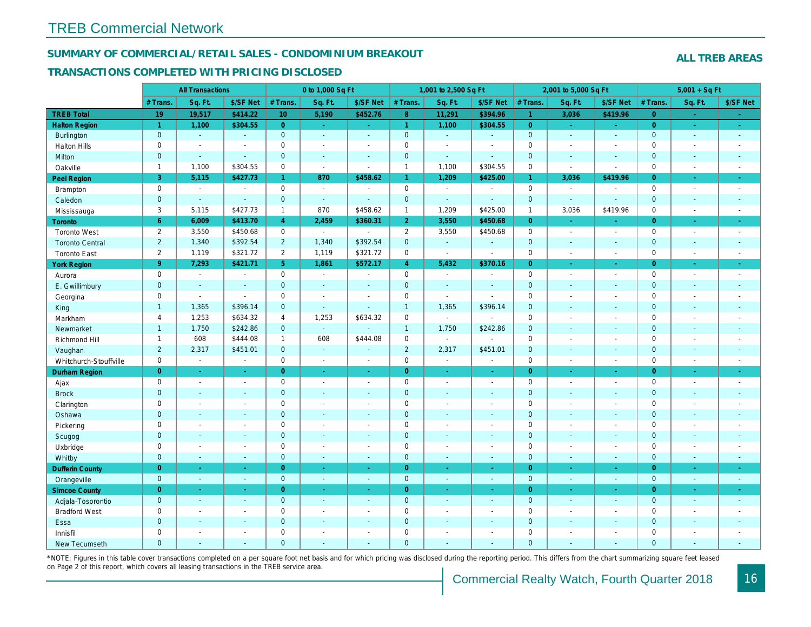#### SUMMARY OF COMMERCIAL/RETAIL SALES - CONDOMINIUM BREAKOUT

#### TRANSACTIONS COMPLETED WITH PRICING DISCLOSED

|                        |                | <b>All Transactions</b>  |                          |                      | 0 to 1,000 Sq Ft            |                          |                     | 1,001 to 2,500 Sq Ft     |                      |                      | 2,001 to 5,000 Sq Ft     |                  |
|------------------------|----------------|--------------------------|--------------------------|----------------------|-----------------------------|--------------------------|---------------------|--------------------------|----------------------|----------------------|--------------------------|------------------|
|                        | # Trans.       | Sq. Ft.                  | \$/SF Net                | # Trans.             | Sq. Ft.                     | \$/SF Net                | # Trans.            | Sq. Ft.                  | \$/SF Net            | # Trans.             | Sq. Ft.                  | \$/SF Ne         |
| <b>TREB Total</b>      | 19             | 19,517                   | \$414.22                 | 10                   | 5,190                       | \$452.76                 | 8 <sup>°</sup>      | 11,291                   | \$394.96             | $\blacktriangleleft$ | 3,036                    | \$419.9          |
| <b>Halton Region</b>   | $\mathbf{1}$   | 1,100                    | \$304.55                 | $\overline{0}$       | $\sim$ .                    | $\sim$                   | $\mathbf{1}$        | 1,100                    | \$304.55             | $\overline{0}$       | $\bullet$                | $\sim$           |
| Burlington             | $\mathbf{0}$   | $\omega$                 | $\blacksquare$           | $\mathbf 0$          | $\omega$                    | $\blacksquare$           | $\mathbf{0}$        | $\omega_{\rm c}$         | $\omega$             | $\mathbf 0$          | $\blacksquare$           | $\sim$           |
| <b>Halton Hills</b>    | 0              | $\sim$                   | $\sim$                   | $\mathbf 0$          | $\sim$                      | $\blacksquare$           | $\mathbf 0$         | ä,                       | $\ddot{\phantom{1}}$ | $\mathbf 0$          | ÷.                       | $\blacksquare$   |
| Milton                 | $\mathbf{0}$   | $\sim$                   | $\sim$                   | $\mathbf{0}$         | $\Delta$                    | $\mathbf{r}$             | $\mathbf{0}$        | ¥.                       | $\mathbf{r}$         | $\mathbf{0}$         | $\omega$                 | $\sim$           |
| Oakville               | $\mathbf{1}$   | 1,100                    | \$304.55                 | 0                    | $\blacksquare$              | $\sim$                   | $\mathbf{1}$        | 1,100                    | \$304.55             | $\mathbf 0$          | $\blacksquare$           | $\blacksquare$   |
| Peel Region            | 3              | 5,115                    | \$427.73                 | $\blacktriangleleft$ | 870                         | \$458.62                 | $\mathbf{1}$        | 1,209                    | \$425.00             | $\mathbf{1}$         | 3,036                    | \$419.96         |
| <b>Brampton</b>        | 0              | $\sim$                   | $\sim$                   | $\mathbf 0$          | $\sim$                      | $\overline{a}$           | $\mathbf 0$         | $\blacksquare$           | $\blacksquare$       | $\mathbf 0$          | $\blacksquare$           |                  |
| Caledon                | $\mathbf 0$    | $\blacksquare$           | $\omega$                 | $\pmb{0}$            | $\omega$                    | $\blacksquare$           | $\pmb{0}$           | $\omega$                 | $\omega$             | $\mathbf 0$          | $\omega$                 | $\blacksquare$   |
| Mississauga            | 3              | 5,115                    | \$427.73                 | $\mathbf{1}$         | 870                         | \$458.62                 | $\mathbf{1}$        | 1,209                    | \$425.00             | $\mathbf{1}$         | 3,036                    | \$419.96         |
| Toronto                | 6 <sup>1</sup> | 6,009                    | \$413.70                 | $\overline{4}$       | 2,459                       | \$360.31                 | 2 <sup>1</sup>      | 3,550                    | \$450.68             | $\overline{0}$       | $\omega$                 | ÷                |
| <b>Toronto West</b>    | $\overline{2}$ | 3,550                    | \$450.68                 | $\Omega$             | $\sim$                      | $\blacksquare$           | $\overline{2}$      | 3,550                    | \$450.68             | $\Omega$             | $\blacksquare$           | $\sim$           |
| <b>Toronto Central</b> | $\overline{2}$ | 1,340                    | \$392.54                 | $\overline{2}$       | 1,340                       | \$392.54                 | $\mathbf{0}$        | $\blacksquare$           | $\blacksquare$       | $\mathbf 0$          | $\blacksquare$           | $\blacksquare$   |
| <b>Toronto East</b>    | $\overline{2}$ | 1,119                    | \$321.72                 | 2                    | 1,119                       | \$321.72                 | $\mathsf{O}$        | $\overline{\phantom{a}}$ | $\blacksquare$       | $\mathbf 0$          | $\overline{\phantom{a}}$ | $\blacksquare$   |
| <b>York Region</b>     | 9 <sup>°</sup> | 7,293                    | \$421.71                 | 5 <sup>5</sup>       | 1,861                       | \$572.17                 | $\overline{4}$      | 5,432                    | \$370.16             | $\overline{0}$       | ÷.                       | $\sim$           |
| Aurora                 | 0              | $\blacksquare$           | $\blacksquare$           | $\mathsf 0$          | $\mathcal{L}_{\mathcal{A}}$ | $\blacksquare$           | $\mathsf{O}$        | $\blacksquare$           | $\blacksquare$       | $\mathbf 0$          | $\blacksquare$           | $\sim$           |
| E. Gwillimbury         | $\mathbf{0}$   | $\sim$                   | $\sim$                   | $\mathbf 0$          | $\mathbf{r}$                | $\sim$                   | $\mathbf{0}$        | $\blacksquare$           | $\sim$               | $\mathbf{0}$         | $\sim$                   | $\sim$           |
| Georgina               | 0              | $\overline{\phantom{a}}$ | $\blacksquare$           | 0                    | $\sim$                      | $\overline{\phantom{a}}$ | $\mathbf 0$         | $\blacksquare$           | $\blacksquare$       | $\mathbf 0$          | $\blacksquare$           | $\blacksquare$   |
| King                   | $\mathbf{1}$   | 1,365                    | \$396.14                 | $\mathbf{0}$         | $\Delta$                    | $\sim$                   | $\overline{1}$      | 1,365                    | \$396.14             | $\mathbf{0}$         | $\omega$                 | $\sim$           |
| Markham                | $\overline{4}$ | 1,253                    | \$634.32                 | 4                    | 1,253                       | \$634.32                 | $\mathsf{O}\xspace$ | $\blacksquare$           | $\overline{a}$       | $\mathbf 0$          | $\overline{\phantom{a}}$ | $\blacksquare$   |
| Newmarket              | $\mathbf{1}$   | 1,750                    | \$242.86                 | $\overline{0}$       | $\omega$                    |                          | $\mathbf{1}$        | 1,750                    | \$242.86             | $\mathbf{0}$         | $\omega$                 | $\sim$           |
| Richmond Hill          | $\overline{1}$ | 608                      | \$444.08                 | $\mathbf{1}$         | 608                         | \$444.08                 | $\mathbf 0$         | $\blacksquare$           | $\overline{a}$       | $\mathbf 0$          | $\blacksquare$           | $\blacksquare$   |
| Vaughan                | $\overline{2}$ | 2,317                    | \$451.01                 | $\overline{0}$       | $\omega$                    | $\sim$                   | $\overline{2}$      | 2,317                    | \$451.01             | $\mathbf{0}$         | $\mathbf{r}$             | $\sim$           |
| Whitchurch-Stouffville | 0              | $\blacksquare$           | $\blacksquare$           | $\mathbf 0$          | $\blacksquare$              | $\overline{\phantom{a}}$ | $\mathsf{O}\xspace$ | $\blacksquare$           | $\blacksquare$       | $\mathbf 0$          | $\blacksquare$           | $\blacksquare$   |
| <b>Durham Region</b>   | $\overline{0}$ | $\bullet$                | $\bullet$                | $\overline{0}$       | $\bullet$                   | $\sim$                   | $\overline{0}$      | $\frac{1}{\sqrt{2}}$     | ÷                    | $\overline{0}$       | $\blacksquare$           | $\sigma_{\rm c}$ |
| Ajax                   | 0              | $\blacksquare$           | $\sim$                   | $\mathbf 0$          | $\blacksquare$              | $\sim$                   | $\mathbf 0$         | $\sim$                   | $\blacksquare$       | $\mathbf 0$          | $\blacksquare$           | $\sim$           |
| <b>Brock</b>           | $\mathbf 0$    | $\omega$                 | $\blacksquare$           | $\mathbf 0$          | $\omega$                    | $\omega$                 | $\mathbf{0}$        | $\omega$                 | $\omega$             | $\mathbf 0$          | $\omega$                 | $\omega$         |
| Clarington             | 0              | $\blacksquare$           | $\sim$                   | $\mathsf 0$          | $\sim$                      | $\blacksquare$           | $\mathbf 0$         | $\overline{a}$           | $\overline{a}$       | $\mathbf 0$          | ÷,                       | $\blacksquare$   |
| Oshawa                 | $\mathbf{0}$   | $\sim$                   | $\sim$                   | $\mathbf{0}$         | $\blacksquare$              | $\blacksquare$           | $\mathbf{0}$        | $\blacksquare$           | $\blacksquare$       | $\mathbf{0}$         | $\blacksquare$           | $\blacksquare$   |
| Pickering              | 0              | $\sim$                   | $\overline{\phantom{a}}$ | $\mathbf 0$          | $\blacksquare$              | $\blacksquare$           | $\mathbf 0$         | $\blacksquare$           | $\blacksquare$       | $\mathbf 0$          | $\sim$                   | $\blacksquare$   |
| Scugog                 | $\mathbf 0$    | $\sim$                   | $\blacksquare$           | $\mathbf 0$          | $\omega$                    | $\blacksquare$           | $\mathbf 0$         | $\blacksquare$           | $\blacksquare$       | $\mathbf{0}$         | $\blacksquare$           | $\blacksquare$   |
| Uxbridge               | 0              | $\overline{\phantom{a}}$ | $\sim$                   | $\mathsf 0$          | $\blacksquare$              | $\sim$                   | $\mathsf{O}$        | ä,                       | $\blacksquare$       | $\mathbf 0$          | $\sim$                   | $\blacksquare$   |
| Whitby                 | $\mathbf{0}$   | $\sim$                   | $\sim$                   | $\mathbf{0}$         | $\mathbf{r}$                | $\sim$                   | $\mathbf{0}$        | $\blacksquare$           | $\omega$             | $\mathbf{0}$         | $\blacksquare$           | $\sim$           |
| <b>Dufferin County</b> | $\overline{0}$ | $\sim$                   | $\sim$                   | $\overline{0}$       | ÷.                          | $\bullet$                | $\overline{0}$      | $\blacksquare$           | ÷.                   | $\overline{0}$       | $\sim$                   | $\sim$           |
| Orangeville            | $\mathbf{0}$   | $\omega$                 | $\omega$                 | $\mathbf{0}$         | $\omega$                    | $\omega$                 | $\overline{0}$      | $\omega$                 | $\blacksquare$       | $\mathbf{0}$         | $\omega$                 | $\sim$           |
| <b>Simcoe County</b>   | $\overline{0}$ | $\omega$                 | $\sim$                   | $\overline{0}$       | $\omega$                    | $\omega$                 | $\overline{0}$      | $\omega$                 | ÷.                   | $\overline{0}$       | $\omega$                 | $\omega_{\rm c}$ |
| Adjala-Tosorontio      | $\mathbf{0}$   | $\omega$                 | $\sim$                   | $\mathbf 0$          | $\mathbf{r}$                | $\sim$                   | $\mathbf{0}$        | $\omega$                 | $\blacksquare$       | $\mathbf 0$          | $\Delta$                 | $\sim$           |
| <b>Bradford West</b>   | 0              | $\blacksquare$           | $\blacksquare$           | $\mathsf 0$          | $\sim$                      | $\sim$                   | $\mathsf{O}\xspace$ | $\blacksquare$           | $\blacksquare$       | $\mathbf 0$          | $\blacksquare$           | $\blacksquare$   |
| Essa                   | $\mathbf{0}$   | $\sim$                   | $\sim$                   | $\mathbf 0$          | $\blacksquare$              | $\blacksquare$           | $\mathbf 0$         | ÷,                       | ä,                   | $\mathbf{0}$         | $\blacksquare$           | $\blacksquare$   |
| Innisfil               | 0              | $\sim$                   | $\sim$                   | $\mathbf 0$          | $\blacksquare$              | $\blacksquare$           | $\mathbf 0$         | $\blacksquare$           | $\blacksquare$       | $\mathbf 0$          | $\sim$                   | $\blacksquare$   |
| <b>New Tecumseth</b>   | $\Omega$       |                          |                          | $\Omega$             |                             |                          | $\mathbf{0}$        |                          |                      | $\Omega$             |                          |                  |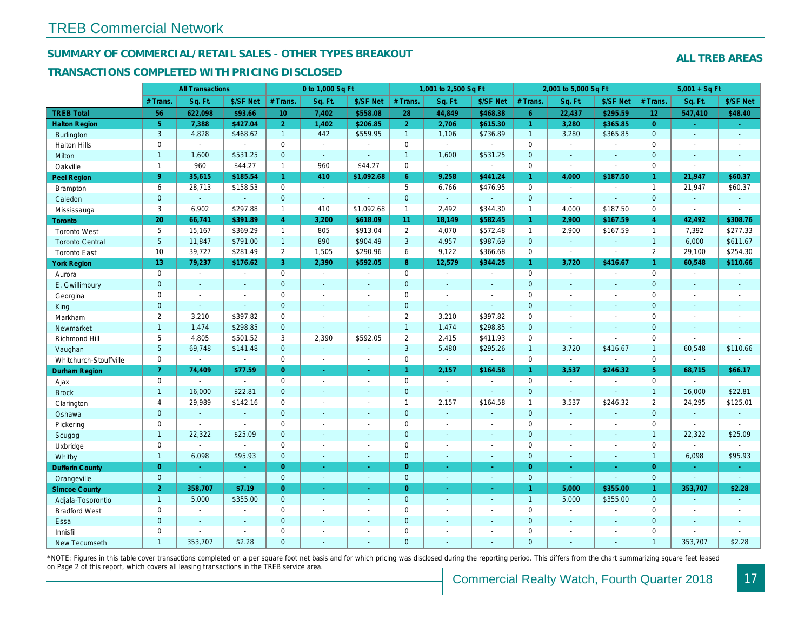### SUMMARY OF COMMERCIAL/RETAIL SALES - OTHER TYPES BREAKOUT

#### TRANSACTIONS COMPLETED WITH PRICING DISCLOSED

|                        |                | <b>All Transactions</b> |                |                | 0 to 1,000 Sq Ft |                          |                     | 1,001 to 2,500 Sq Ft |                |                | 2,001 to 5,000 Sq Ft |                |
|------------------------|----------------|-------------------------|----------------|----------------|------------------|--------------------------|---------------------|----------------------|----------------|----------------|----------------------|----------------|
|                        | # Trans.       | Sq. Ft.                 | \$/SF Net      | # Trans.       | Sq. Ft.          | \$/SF Net                | # Trans.            | Sq. Ft.              | \$/SF Net      | # Trans.       | Sq. Ft.              | \$/SF Ne       |
| <b>TREB Total</b>      | 56             | 622,098                 | \$93.66        | 10             | 7,402            | \$558.08                 | 28                  | 44,849               | \$468.38       | $6^{\circ}$    | 22,437               | \$295.59       |
| <b>Halton Region</b>   | 5 <sup>5</sup> | 7,388                   | \$427.04       | $\overline{2}$ | 1,402            | \$206.85                 | 2 <sup>1</sup>      | 2,706                | \$615.30       | $\mathbf{1}$   | 3,280                | \$365.8        |
| <b>Burlington</b>      | 3              | 4,828                   | \$468.62       | $\mathbf{1}$   | 442              | \$559.95                 | $\mathbf{1}$        | 1,106                | \$736.89       | $\overline{1}$ | 3,280                | \$365.85       |
| <b>Halton Hills</b>    | 0              | $\blacksquare$          | $\blacksquare$ | $\mathbf 0$    | $\sim$           |                          | $\mathbf 0$         | $\blacksquare$       | $\overline{a}$ | $\mathbf 0$    | $\sim$               | $\blacksquare$ |
| Milton                 | $\mathbf{1}$   | 1,600                   | \$531.25       | $\mathbf{0}$   | $\omega$         | $\blacksquare$           | $\overline{1}$      | 1,600                | \$531.25       | $\mathbf{0}$   | $\omega$             | $\sim$         |
| Oakville               | $\mathbf{1}$   | 960                     | \$44.27        | $\mathbf{1}$   | 960              | \$44.27                  | $\mathbf 0$         | $\blacksquare$       | $\overline{a}$ | $\mathbf 0$    | $\sim$               | $\blacksquare$ |
| <b>Peel Region</b>     | 9 <sup>°</sup> | 35,615                  | \$185.54       | $\mathbf{1}$   | 410              | \$1,092.68               | $6^{\circ}$         | 9,258                | \$441.24       | $\mathbf{1}$   | 4,000                | \$187.50       |
| <b>Brampton</b>        | 6              | 28,713                  | \$158.53       | $\mathbf 0$    | $\sim$           |                          | 5                   | 6,766                | \$476.95       | $\Omega$       | $\sim$               | $\blacksquare$ |
| Caledon                | $\mathbf{0}$   | $\omega$                | $\blacksquare$ | $\mathbf{0}$   | $\omega$         | $\blacksquare$           | $\mathbf{0}$        | $\omega$             | $\omega$       | $\mathbf{0}$   | $\omega$             | $\blacksquare$ |
| Mississauga            | 3              | 6,902                   | \$297.88       | $\mathbf{1}$   | 410              | \$1,092.68               | $\mathbf{1}$        | 2,492                | \$344.30       | $\mathbf{1}$   | 4.000                | \$187.50       |
| Toronto                | 20             | 66,741                  | \$391.89       | $\overline{4}$ | 3,200            | \$618.09                 | 11 <sub>1</sub>     | 18,149               | \$582.45       | $\mathbf{1}$   | 2,900                | \$167.59       |
| <b>Toronto West</b>    | 5              | 15,167                  | \$369.29       | $\mathbf{1}$   | 805              | \$913.04                 | $\overline{2}$      | 4,070                | \$572.48       | $\overline{1}$ | 2,900                | \$167.59       |
| <b>Toronto Central</b> | 5 <sup>5</sup> | 11,847                  | \$791.00       | 1              | 890              | \$904.49                 | $\mathbf{3}$        | 4,957                | \$987.69       | $\mathbf{0}$   | $\omega$             | $\blacksquare$ |
| <b>Toronto East</b>    | 10             | 39,727                  | \$281.49       | $\overline{2}$ | 1,505            | \$290.96                 | 6                   | 9,122                | \$366.68       | $\mathbf 0$    | $\sim$               | $\blacksquare$ |
| <b>York Region</b>     | 13             | 79,237                  | \$176.62       | 3              | 2,390            | \$592.05                 | 8                   | 12,579               | \$344.25       | $\mathbf{1}$   | 3,720                | \$416.67       |
| Aurora                 | 0              | $\blacksquare$          | $\blacksquare$ | 0              | $\blacksquare$   | $\blacksquare$           | $\mathbf 0$         | $\blacksquare$       | $\blacksquare$ | $\mathbf 0$    | $\blacksquare$       | $\blacksquare$ |
| E. Gwillimbury         | $\mathbf 0$    | $\sim$                  | $\sim$         | $\mathbf{0}$   | $\blacksquare$   | $\blacksquare$           | $\mathbf{0}$        | $\blacksquare$       | ä,             | $\mathbf{0}$   | $\blacksquare$       | $\blacksquare$ |
| Georgina               | 0              | $\sim$                  | $\sim$         | 0              | $\blacksquare$   | $\blacksquare$           | $\mathbf 0$         | $\blacksquare$       | $\blacksquare$ | $\mathbf 0$    | $\blacksquare$       | $\blacksquare$ |
| King                   | $\mathbf{0}$   |                         | $\sim$         | $\mathbf{0}$   | $\blacksquare$   | $\blacksquare$           | $\mathbf 0$         | $\blacksquare$       | ä,             | $\mathbf{0}$   | $\sim$               | $\blacksquare$ |
| Markham                | $\overline{2}$ | 3,210                   | \$397.82       | $\mathbf 0$    | $\sim$           | $\overline{\phantom{a}}$ | $\overline{2}$      | 3,210                | \$397.82       | $\mathbf 0$    | $\blacksquare$       | $\blacksquare$ |
| Newmarket              | $\mathbf{1}$   | 1,474                   | \$298.85       | $\mathbf 0$    | $\mathbf{r}$     | $\blacksquare$           | $\mathbf{1}$        | 1,474                | \$298.85       | $\mathbf{0}$   | $\blacksquare$       | $\blacksquare$ |
| Richmond Hill          | 5              | 4,805                   | \$501.52       | 3              | 2,390            | \$592.05                 | $\overline{2}$      | 2,415                | \$411.93       | $\mathbf 0$    | $\blacksquare$       | $\blacksquare$ |
| Vaughan                | 5 <sup>5</sup> | 69,748                  | \$141.48       | $\overline{0}$ | $\omega$         | $\sim$                   | $\mathbf{3}$        | 5,480                | \$295.26       | $\overline{1}$ | 3,720                | \$416.67       |
| Whitchurch-Stouffville | 0              | $\blacksquare$          | $\blacksquare$ | 0              | $\blacksquare$   | $\blacksquare$           | $\mathbf 0$         | $\blacksquare$       | $\blacksquare$ | $\mathbf 0$    | $\blacksquare$       | $\blacksquare$ |
| Durham Region          | $\mathbf{7}$   | 74,409                  | \$77.59        | $\overline{0}$ | $\omega$         | $\omega$                 | $\mathbf{1}$        | 2,157                | \$164.58       | $\mathbf{1}$   | 3,537                | \$246.32       |
| Ajax                   | 0              |                         | $\omega$       | 0              | $\overline{a}$   | $\overline{a}$           | $\mathsf{O}\xspace$ | $\blacksquare$       | $\overline{a}$ | $\mathbf 0$    | $\blacksquare$       | $\blacksquare$ |
| <b>Brock</b>           | $\mathbf{1}$   | 16,000                  | \$22.81        | $\mathbf{0}$   | $\blacksquare$   | $\blacksquare$           | $\mathbf{0}$        | $\omega$             | $\blacksquare$ | $\mathbf{0}$   | $\omega$             | $\blacksquare$ |
| Clarington             | $\overline{4}$ | 29,989                  | \$142.16       | 0              | $\blacksquare$   |                          | $\mathbf{1}$        | 2,157                | \$164.58       | $\overline{1}$ | 3,537                | \$246.32       |
| Oshawa                 | $\mathbf 0$    | $\blacksquare$          | $\blacksquare$ | $\overline{0}$ | $\blacksquare$   | $\frac{1}{2}$            | $\mathbf{0}$        | $\blacksquare$       | ÷,             | $\mathbf{0}$   | $\blacksquare$       | $\bullet$      |
| Pickering              | 0              | $\sim$                  | $\blacksquare$ | $\mathbf 0$    | $\sim$           | $\ddot{\phantom{1}}$     | $\mathbf 0$         | $\blacksquare$       | $\blacksquare$ | $\mathbf 0$    | $\blacksquare$       | $\blacksquare$ |
| Scugog                 | $\mathbf{1}$   | 22,322                  | \$25.09        | $\mathbf 0$    | $\mathbf{r}$     | $\sim$                   | $\pmb{0}$           | $\blacksquare$       | $\omega$       | $\mathbf{0}$   | $\Delta$             | $\blacksquare$ |
| Uxbridge               | 0              | $\blacksquare$          | $\sim$         | 0              | $\blacksquare$   | $\ddot{\phantom{1}}$     | $\mathbf 0$         | $\blacksquare$       | $\blacksquare$ | $\mathbf 0$    | $\sim$               | $\blacksquare$ |
| Whitby                 | $\mathbf{1}$   | 6,098                   | \$95.93        | $\mathbf{0}$   | $\mathbf{r}$     | $\sim$                   | $\mathbf{0}$        | $\blacksquare$       | $\omega$       | $\mathbf{0}$   | $\blacksquare$       | $\sim$         |
| <b>Dufferin County</b> | $\overline{0}$ | $\sim$                  | $\sim$         | $\overline{0}$ | $\omega$         | $\sim$                   | $\overline{0}$      | ä,                   | $\blacksquare$ | $\overline{0}$ | $\omega$             | $\sim$         |
| Orangeville            | $\mathbf{0}$   | $\omega$                | $\omega$       | $\overline{0}$ | $\omega$         | $\omega$                 | $\overline{0}$      | $\omega$             | ¥.             | $\mathbf{0}$   | $\omega$             | $\blacksquare$ |
| <b>Simcoe County</b>   | $\overline{2}$ | 358,707                 | \$7.19         | $\Omega$       | $\omega$         | $\omega$                 | $\overline{0}$      | $\omega$             | ÷.             | $\mathbf{1}$   | 5,000                | \$355.0        |
| Adjala-Tosorontio      | $\mathbf{1}$   | 5,000                   | \$355.00       | $\mathbf 0$    | $\sim$           | $\blacksquare$           | $\mathbf{0}$        | $\blacksquare$       | ä,             | $\overline{1}$ | 5,000                | \$355.00       |
| <b>Bradford West</b>   | 0              | $\sim$                  | $\sim$         | 0              | $\blacksquare$   | $\sim$                   | $\mathsf 0$         | $\blacksquare$       | $\blacksquare$ | $\mathbf 0$    | $\blacksquare$       | $\blacksquare$ |
| Essa                   | $\mathbf{0}$   |                         | $\blacksquare$ | $\mathbf 0$    | $\omega$         | ä,                       | $\pmb{0}$           | ÷,                   | ÷,             | $\mathbf{0}$   | $\blacksquare$       | $\blacksquare$ |
| Innisfil               | $\mathbf{0}$   |                         | $\blacksquare$ | $\mathbf 0$    | $\blacksquare$   | $\blacksquare$           | $\mathbf 0$         | $\blacksquare$       | $\blacksquare$ | $\mathbf 0$    | $\blacksquare$       | $\blacksquare$ |
| <b>New Tecumseth</b>   | $\mathbf{1}$   | 353.707                 | \$2.28         | $\mathbf{0}$   | ÷                | ÷                        | $\mathbf{0}$        | ä,                   | $\overline{a}$ | $\Omega$       | $\sim$               | $\sim$         |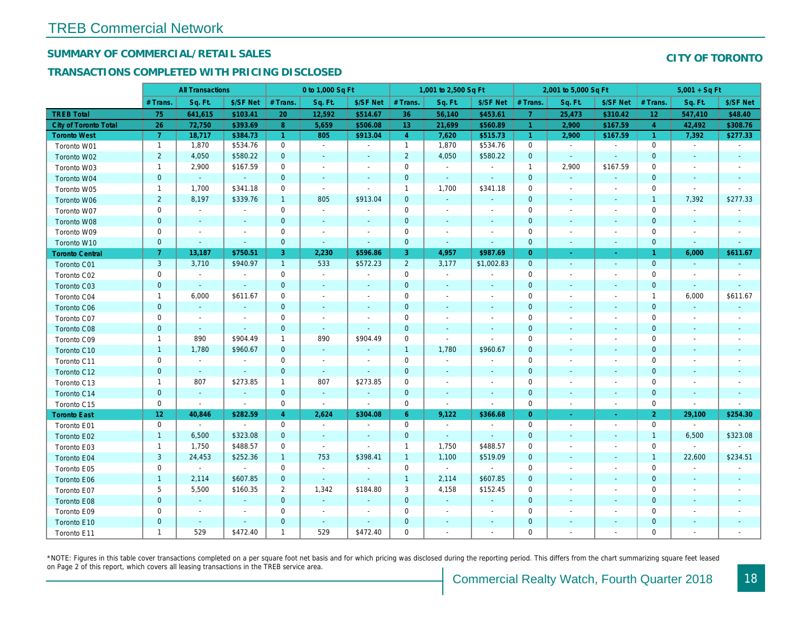## SUMMARY OF COMMERCIAL/RETAIL SALES

### TRANSACTIONS COMPLETED WITH PRICING DISCLOSED

|                              |                 | <b>All Transactions</b> |                |                      | 0 to 1,000 Sq Ft         |                          |                | 1,001 to 2,500 Sq Ft     |                          |                | 2,001 to 5,000 Sq Ft     |                          |
|------------------------------|-----------------|-------------------------|----------------|----------------------|--------------------------|--------------------------|----------------|--------------------------|--------------------------|----------------|--------------------------|--------------------------|
|                              | # Trans         | Sq. Ft.                 | \$/SF Net      | # Trans.             | Sq. Ft.                  | \$/SF Net                | # Trans.       | Sq. Ft.                  | \$/SF Net                | # Trans.       | Sq. Ft.                  | \$/SF Ne                 |
| <b>TREB Total</b>            | 75              | 641,615                 | \$103.41       | 20                   | 12,592                   | \$514.67                 | 36             | 56,140                   | \$453.61                 | $\overline{7}$ | 25,473                   | \$310.42                 |
| <b>City of Toronto Total</b> | 26              | 72,750                  | \$393.69       | 8                    | 5,659                    | \$506.08                 | 13             | 21,699                   | \$560.89                 | 1              | 2,900                    | \$167.59                 |
| <b>Toronto West</b>          | $\mathbf{7}$    | 18,717                  | \$384.73       | $\blacktriangleleft$ | 805                      | \$913.04                 | $\overline{4}$ | 7,620                    | \$515.73                 | $\sim$         | 2,900                    | \$167.59                 |
| Toronto W01                  | $\mathbf{1}$    | 1,870                   | \$534.76       | $\mathbf 0$          | $\sim$                   | $\blacksquare$           | $\mathbf{1}$   | 1,870                    | \$534.76                 | $\mathbf 0$    | $\sim$                   | $\blacksquare$           |
| Toronto W02                  | $\overline{2}$  | 4,050                   | \$580.22       | $\mathbf{0}$         | $\sim$                   | ٠                        | $\overline{2}$ | 4,050                    | \$580.22                 | $\mathbf 0$    | $\sim$                   | $\sim$                   |
| Toronto W03                  | $\mathbf{1}$    | 2,900                   | \$167.59       | $\mathbf 0$          | $\blacksquare$           | $\overline{\phantom{a}}$ | $\mathbf 0$    | $\blacksquare$           | $\sim$                   | $\overline{1}$ | 2,900                    | \$167.59                 |
| Toronto W04                  | $\mathbf{0}$    | $\omega$                | $\omega$       | $\overline{0}$       | $\blacksquare$           | $\blacksquare$           | $\mathbf 0$    | $\omega$                 | $\omega$                 | $\mathbf{0}$   | $\omega$                 | $\blacksquare$           |
| Toronto W05                  | $\mathbf{1}$    | 1,700                   | \$341.18       | $\mathbf 0$          | $\blacksquare$           | $\sim$                   | $\mathbf{1}$   | 1,700                    | \$341.18                 | 0              | $\blacksquare$           | $\blacksquare$           |
| Toronto W06                  | $\overline{2}$  | 8,197                   | \$339.76       | $\mathbf{1}$         | 805                      | \$913.04                 | $\mathbf 0$    | $\blacksquare$           | ٠                        | $\mathbf 0$    | $\blacksquare$           | $\blacksquare$           |
| Toronto W07                  | 0               | $\sim$                  | $\blacksquare$ | $\mathbf 0$          | $\sim$                   | $\blacksquare$           | $\mathbf 0$    | $\blacksquare$           | $\blacksquare$           | 0              | $\blacksquare$           | $\blacksquare$           |
| Toronto W08                  | $\mathbf{0}$    | $\sim$                  | $\sim$         | $\mathbf{0}$         | $\sim$                   | $\sim$                   | $\mathbf{0}$   | $\sim$                   | $\sim$                   | $\mathbf 0$    | $\sim$                   | $\overline{\phantom{a}}$ |
| Toronto W09                  | 0               | $\sim$                  | $\sim$         | $\mathbf 0$          | $\sim$                   | $\sim$                   | $\mathbf 0$    | $\sim$                   | $\blacksquare$           | $\mathbf 0$    | $\blacksquare$           | $\blacksquare$           |
| Toronto W10                  | $\mathbf{0}$    | $\blacksquare$          | $\sim$         | $\mathbf 0$          | $\omega$                 | $\blacksquare$           | $\mathbf 0$    | $\blacksquare$           | $\omega$                 | $\mathbf 0$    | $\blacksquare$           | ٠.                       |
| <b>Toronto Central</b>       | 7 <sup>1</sup>  | 13,187                  | \$750.51       | 3                    | 2,230                    | \$596.86                 | 3              | 4,957                    | \$987.69                 | $\overline{0}$ | $\bullet$                | $\sim$                   |
| <b>Toronto C01</b>           | 3               | 3,710                   | \$940.97       | $\mathbf{1}$         | 533                      | \$572.23                 | $\overline{2}$ | 3,177                    | \$1,002.83               | $\overline{0}$ | $\blacksquare$           | $\blacksquare$           |
| Toronto C02                  | 0               | $\blacksquare$          | $\sim$         | $\mathbf 0$          | $\mathbf{r}$             | $\sim$                   | $\mathbf 0$    | $\mathbf{r}$             | $\sim$                   | $\mathbf 0$    | ÷.                       | $\blacksquare$           |
| Toronto C03                  | $\mathbf{0}$    | $\sim$                  | $\sim$         | $\mathbf{0}$         | $\blacksquare$           | $\blacksquare$           | $\mathbf 0$    | $\blacksquare$           | $\blacksquare$           | $\mathbf 0$    | $\sim$                   | $\blacksquare$           |
| Toronto C04                  | $\mathbf{1}$    | 6,000                   | \$611.67       | $\mathbf 0$          | $\blacksquare$           | $\blacksquare$           | $\mathbf 0$    | $\blacksquare$           | $\blacksquare$           | 0              | $\blacksquare$           | $\overline{\phantom{a}}$ |
| <b>Toronto C06</b>           | $\mathbf 0$     | $\blacksquare$          | $\blacksquare$ | $\mathbf 0$          | $\blacksquare$           | $\blacksquare$           | $\mathbf 0$    | $\blacksquare$           | $\blacksquare$           | $\mathbf 0$    | $\blacksquare$           | $\blacksquare$           |
| Toronto C07                  | $\mathbf 0$     | $\blacksquare$          |                | $\mathbf 0$          | $\blacksquare$           | $\blacksquare$           | $\mathbf 0$    | ä,                       | ä,                       | $\mathbf 0$    | J.                       | $\blacksquare$           |
| Toronto C08                  | $\mathbf{0}$    | $\sim$                  | $\sim$         | $\mathbf{0}$         | $\blacksquare$           | $\blacksquare$           | $\mathbf 0$    | ٠                        | $\blacksquare$           | $\mathbf{0}$   | $\blacksquare$           | $\blacksquare$           |
| Toronto C09                  | $\mathbf{1}$    | 890                     | \$904.49       | $\mathbf{1}$         | 890                      | \$904.49                 | $\mathbf 0$    | $\sim$                   | $\sim$                   | $\mathbf 0$    | $\blacksquare$           | $\overline{\phantom{a}}$ |
| Toronto C10                  | $\mathbf{1}$    | 1,780                   | \$960.67       | $\mathbf{0}$         | $\blacksquare$           | $\blacksquare$           | $\mathbf{1}$   | 1,780                    | \$960.67                 | $\mathbf 0$    | $\blacksquare$           | $\blacksquare$           |
| Toronto C11                  | $\mathbf 0$     | $\blacksquare$          | $\sim$         | $\mathbf 0$          | $\sim$                   | $\overline{\phantom{a}}$ | $\mathbf 0$    | $\blacksquare$           | $\sim$                   | $\mathbf 0$    | J.                       |                          |
| Toronto C12                  | $\mathbf{0}$    | $\sim$                  | $\blacksquare$ | $\overline{0}$       | $\blacksquare$           | $\blacksquare$           | $\mathbf 0$    | $\blacksquare$           | $\blacksquare$           | $\mathbf{0}$   | $\blacksquare$           | ٠                        |
| Toronto C13                  | $\mathbf{1}$    | 807                     | \$273.85       | $\mathbf{1}$         | 807                      | \$273.85                 | $\mathbf 0$    | $\overline{\phantom{a}}$ | $\overline{\phantom{a}}$ | 0              | $\overline{\phantom{a}}$ | $\blacksquare$           |
| Toronto C14                  | $\pmb{0}$       | $\sim$                  | $\sim$         | $\mathbf{0}$         | $\mathcal{L}$            | $\blacksquare$           | $\mathbf 0$    | $\blacksquare$           | $\blacksquare$           | $\mathbf 0$    | $\blacksquare$           | $\sim$                   |
| Toronto C15                  | 0               | $\blacksquare$          | $\sim$         | $\mathbf 0$          | $\mathbf{r}$             | $\blacksquare$           | $\mathbf 0$    | $\blacksquare$           | $\blacksquare$           | $\mathbf 0$    | $\blacksquare$           | $\sim$                   |
| <b>Toronto East</b>          | 12 <sub>2</sub> | 40,846                  | \$282.59       | $\overline{4}$       | 2,624                    | \$304.08                 | 6 <sup>°</sup> | 9,122                    | \$366.68                 | $\overline{0}$ | $\sim$                   | $\omega$                 |
| Toronto E01                  | 0               | $\sim$                  | $\sim$         | 0                    | $\sim$                   | $\blacksquare$           | $\mathbf 0$    | $\sim$                   | $\blacksquare$           | $\mathbf 0$    | $\blacksquare$           | $\sim$                   |
| Toronto E02                  | $\mathbf{1}$    | 6,500                   | \$323.08       | $\mathbf{0}$         | $\sim$                   | $\overline{\phantom{a}}$ | $\mathbf 0$    | $\omega$                 | $\blacksquare$           | $\mathbf 0$    | $\sim$                   | $\sim$                   |
| Toronto E03                  | $\mathbf{1}$    | 1,750                   | \$488.57       | 0                    | $\sim$                   | $\blacksquare$           | $\mathbf{1}$   | 1,750                    | \$488.57                 | $\mathbf 0$    | $\blacksquare$           | $\blacksquare$           |
| Toronto E04                  | $\mathbf{3}$    | 24,453                  | \$252.36       | $\mathbf{1}$         | 753                      | \$398.41                 | $\mathbf{1}$   | 1,100                    | \$519.09                 | $\mathbf{0}$   | $\sim$                   | $\sim$                   |
| Toronto E05                  | 0               | $\sim$                  | $\sim$         | $\mathbf 0$          | $\sim$                   | $\blacksquare$           | $\mathbf 0$    | $\blacksquare$           | $\blacksquare$           | $\mathbf 0$    | $\blacksquare$           | $\blacksquare$           |
| Toronto E06                  | $\mathbf{1}$    | 2,114                   | \$607.85       | $\mathbf{0}$         | $\sim$                   | $\blacksquare$           | $\mathbf{1}$   | 2,114                    | \$607.85                 | $\mathbf 0$    | $\sim$                   | $\sim$                   |
| Toronto E07                  | 5               | 5,500                   | \$160.35       | 2                    | 1,342                    | \$184.80                 | 3              | 4,158                    | \$152.45                 | 0              | $\overline{\phantom{a}}$ | $\overline{\phantom{a}}$ |
| Toronto E08                  | $\mathbf{0}$    | $\omega$                | $\sim$         | $\mathbf{0}$         | $\sim$                   | $\blacksquare$           | $\mathbf 0$    | $\omega$                 | $\blacksquare$           | $\mathbf{0}$   | $\sim$                   |                          |
| Toronto E09                  | 0               | $\blacksquare$          | $\blacksquare$ | $\mathbf 0$          | $\overline{\phantom{a}}$ | $\overline{\phantom{a}}$ | $\mathbf 0$    | $\blacksquare$           | $\blacksquare$           | $\mathbf 0$    | $\blacksquare$           | $\blacksquare$           |
| Toronto E10                  | $\mathbf 0$     |                         | $\sim$         | $\mathbf 0$          | $\blacksquare$           | $\blacksquare$           | $\mathbf 0$    | ÷,                       | ٠                        | $\mathbf{0}$   |                          |                          |
| Toronto E11                  | $\mathbf{1}$    | 529                     | \$472.40       | $\mathbf{1}$         | 529                      | \$472.40                 | $\mathbf 0$    | $\blacksquare$           | $\blacksquare$           | $\mathbf 0$    | $\blacksquare$           | $\blacksquare$           |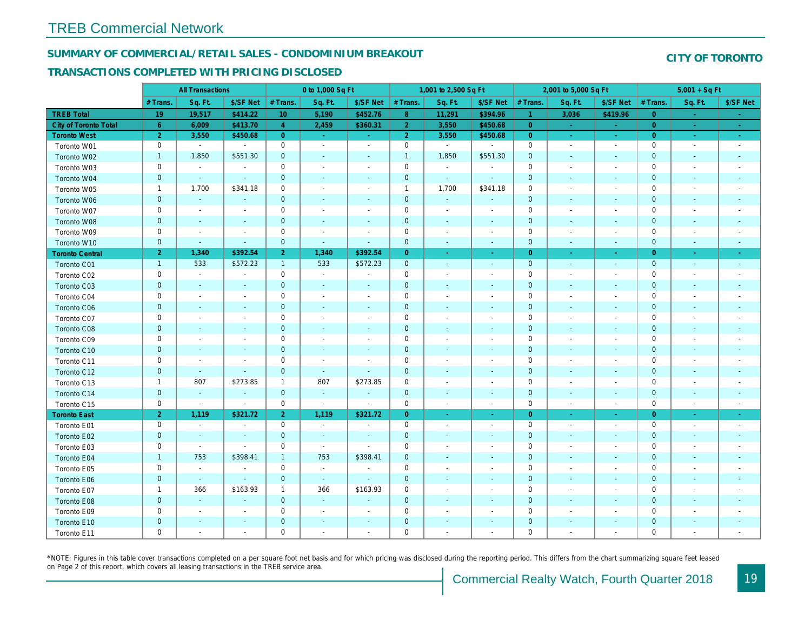#### SUMMARY OF COMMERCIAL/RETAIL SALES - CONDOMINIUM BREAKOUT

#### TRANSACTIONS COMPLETED WITH PRICING DISCLOSED

|                              |                | <b>All Transactions</b>  |                          |                | 0 to 1,000 Sq Ft      |                          |                | 1,001 to 2,500 Sq Ft     |                          |                | 2,001 to 5,000 Sq Ft     |                          |
|------------------------------|----------------|--------------------------|--------------------------|----------------|-----------------------|--------------------------|----------------|--------------------------|--------------------------|----------------|--------------------------|--------------------------|
|                              | # Trans.       | Sq. Ft.                  | \$/SF Net                | # Trans.       | Sq. Ft.               | \$/SF Net                | # Trans.       | Sq. Ft.                  | \$/SF Net                | # Trans.       | Sq. Ft.                  | \$/SF Ne                 |
| <b>TREB Total</b>            | 19             | 19,517                   | \$414.22                 | 10             | 5,190                 | \$452.76                 | 8 <sup>°</sup> | 11,291                   | \$394.96                 | $\vert$ 1      | 3,036                    | \$419.9                  |
| <b>City of Toronto Total</b> | 6 <sup>°</sup> | 6,009                    | \$413.70                 | $\overline{4}$ | 2,459                 | \$360.31                 | 2 <sup>1</sup> | 3,550                    | \$450.68                 | $\overline{0}$ | $\sim$                   | $\sim$                   |
| <b>Toronto West</b>          | $\overline{2}$ | 3,550                    | \$450.68                 | $\overline{0}$ | $\sim$                | $\omega_{\rm{eff}}$      | 2 <sup>1</sup> | 3,550                    | \$450.68                 | $\overline{0}$ | $\sim$                   | $\sim$ .                 |
| Toronto W01                  | $\mathbf 0$    | $\blacksquare$           | $\blacksquare$           | $\mathbf 0$    | $\sim$                | $\blacksquare$           | $\mathsf 0$    | $\blacksquare$           | $\omega$                 | $\mathbf 0$    | $\blacksquare$           | $\sim$                   |
| Toronto W02                  | $\mathbf{1}$   | 1,850                    | \$551.30                 | $\mathbf 0$    | $\blacksquare$        | $\blacksquare$           | $\mathbf{1}$   | 1,850                    | \$551.30                 | $\mathbf 0$    | $\blacksquare$           | $\blacksquare$           |
| Toronto W03                  | 0              | $\blacksquare$           | $\blacksquare$           | 0              | $\blacksquare$        | $\blacksquare$           | $\mathbf 0$    | $\blacksquare$           | $\blacksquare$           | 0              | $\blacksquare$           | $\blacksquare$           |
| Toronto W04                  | $\mathbf{0}$   | $\omega$                 | $\omega$                 | $\overline{0}$ | $\sim$                | $\sim$                   | $\mathbf 0$    | $\omega$                 | $\omega$                 | $\mathbf{0}$   | $\omega$                 | $\sim$                   |
| Toronto W05                  | $\mathbf{1}$   | 1,700                    | \$341.18                 | 0              | $\blacksquare$        | $\blacksquare$           | $\mathbf{1}$   | 1,700                    | \$341.18                 | $\mathbf 0$    | $\sim$                   | $\overline{\phantom{a}}$ |
| Toronto W06                  | $\mathbf 0$    | $\sim$                   | $\sim$                   | $\mathbf 0$    | $\frac{1}{2}$         | $\blacksquare$           | $\mathbf 0$    | $\blacksquare$           | $\blacksquare$           | $\mathbf 0$    | $\overline{\phantom{a}}$ | ٠                        |
| Toronto W07                  | 0              | $\blacksquare$           | $\overline{\phantom{a}}$ | 0              | $\blacksquare$        | $\overline{\phantom{a}}$ | $\mathbf 0$    | $\overline{\phantom{a}}$ | $\blacksquare$           | 0              | $\overline{\phantom{a}}$ | $\overline{\phantom{a}}$ |
| Toronto W08                  | $\mathbf{0}$   | $\sim$                   | $\sim$                   | $\mathbf 0$    | $\sim$                | $\blacksquare$           | $\mathbf 0$    | $\blacksquare$           | $\sim$                   | $\mathbf 0$    | $\blacksquare$           | $\blacksquare$           |
| Toronto W09                  | 0              | $\sim$                   | $\sim$                   | $\mathbf 0$    | $\tilde{\phantom{a}}$ | $\blacksquare$           | $\mathbf 0$    | $\sim$                   | $\blacksquare$           | $\mathbf 0$    | $\sim$                   | $\blacksquare$           |
| Toronto W10                  | $\mathbf 0$    | $\sim$                   | $\sim$                   | $\mathbf 0$    | $\blacksquare$        | $\blacksquare$           | $\mathbf 0$    | $\blacksquare$           | $\blacksquare$           | $\mathbf{0}$   | $\blacksquare$           | $\blacksquare$           |
| <b>Toronto Central</b>       | $\overline{2}$ | 1,340                    | \$392.54                 | 2 <sup>1</sup> | 1,340                 | \$392.54                 | $\overline{0}$ | $\sim$                   | $\sim$                   | $\overline{0}$ | $\sim$                   | $\sim$                   |
| Toronto C01                  | $\mathbf{1}$   | 533                      | \$572.23                 | $\mathbf{1}$   | 533                   | \$572.23                 | $\mathbf 0$    | $\blacksquare$           | $\sim$                   | $\overline{0}$ | $\blacksquare$           | $\sim$                   |
| Toronto C02                  | $\mathbf 0$    | $\blacksquare$           |                          | $\mathbf 0$    | $\blacksquare$        | $\blacksquare$           | $\mathsf 0$    | $\overline{a}$           | $\overline{a}$           | $\mathbf 0$    | ÷,                       | $\blacksquare$           |
| Toronto C03                  | $\mathbf 0$    | $\sim$                   | $\blacksquare$           | $\mathbf{0}$   | $\blacksquare$        | $\blacksquare$           | $\mathbf 0$    | ٠                        | ٠                        | $\mathbf{0}$   | $\blacksquare$           | $\blacksquare$           |
| Toronto C04                  | 0              | $\blacksquare$           | $\overline{\phantom{a}}$ | $\mathbf 0$    | $\blacksquare$        | $\blacksquare$           | $\mathbf 0$    | $\blacksquare$           | $\sim$                   | $\mathbf 0$    | ÷,                       | $\blacksquare$           |
| <b>Toronto C06</b>           | $\mathbf 0$    | $\blacksquare$           |                          | $\mathbf 0$    | $\blacksquare$        | $\blacksquare$           | $\mathbf 0$    | ÷,                       | $\blacksquare$           | $\mathbf 0$    | $\blacksquare$           | $\blacksquare$           |
| Toronto C07                  | $\mathbf 0$    |                          |                          | $\mathbf 0$    | ÷,                    | $\blacksquare$           | $\mathbf 0$    |                          | $\sim$                   | $\mathbf 0$    | J.                       | $\blacksquare$           |
| Toronto C08                  | $\mathbf{0}$   | $\sim$                   | $\sim$                   | $\mathbf 0$    | $\blacksquare$        | $\blacksquare$           | $\mathbf 0$    | ٠                        | $\blacksquare$           | $\mathbf{0}$   | $\blacksquare$           | $\blacksquare$           |
| Toronto C09                  | 0              | $\overline{\phantom{a}}$ | $\overline{\phantom{a}}$ | $\mathbf 0$    | $\blacksquare$        | $\blacksquare$           | $\mathbf 0$    | $\overline{\phantom{a}}$ | $\overline{\phantom{a}}$ | 0              | $\overline{\phantom{a}}$ | $\overline{\phantom{a}}$ |
| Toronto C10                  | $\pmb{0}$      | $\sim$                   | $\sim$                   | $\mathbf 0$    | $\blacksquare$        | $\blacksquare$           | $\mathbf 0$    | $\blacksquare$           | $\blacksquare$           | $\mathbf 0$    | $\blacksquare$           | $\blacksquare$           |
| Toronto C11                  | $\mathbf 0$    | $\sim$                   | $\sim$                   | $\mathbf 0$    | $\sim$                | $\blacksquare$           | $\mathbf 0$    | $\sim$                   | $\blacksquare$           | $\mathbf 0$    | $\blacksquare$           | $\overline{\phantom{a}}$ |
| Toronto C12                  | $\mathbf{0}$   | $\omega$                 | $\omega$                 | $\overline{0}$ | $\sim$                | $\blacksquare$           | $\mathbf 0$    | $\sim$                   | $\omega$                 | $\mathbf{0}$   | $\sim$                   | $\sim$                   |
| Toronto C13                  | $\mathbf{1}$   | 807                      | \$273.85                 | $\mathbf{1}$   | 807                   | \$273.85                 | $\mathbf 0$    | $\overline{\phantom{a}}$ | $\sim$                   | 0              | $\blacksquare$           | $\overline{\phantom{a}}$ |
| Toronto C14                  | $\pmb{0}$      | $\sim$                   | $\sim$                   | $\mathbf{0}$   | $\mathcal{L}$         | $\blacksquare$           | $\mathbf 0$    | $\blacksquare$           | $\blacksquare$           | $\mathbf 0$    | $\blacksquare$           | $\sim$                   |
| Toronto C15                  | 0              | $\blacksquare$           | $\blacksquare$           | $\mathbf 0$    | $\blacksquare$        | $\blacksquare$           | $\mathbf 0$    | $\blacksquare$           | $\blacksquare$           | 0              | $\overline{\phantom{a}}$ | $\sim$                   |
| <b>Toronto East</b>          | 2 <sup>1</sup> | 1,119                    | \$321.72                 | 2 <sup>1</sup> | 1,119                 | \$321.72                 | $\overline{0}$ | $\omega$                 | $\omega$                 | $\overline{0}$ | $\sim$                   | $\sim$                   |
| Toronto E01                  | 0              | $\sim$                   | $\blacksquare$           | $\mathbf 0$    | $\sim$                | $\blacksquare$           | $\mathbf 0$    | $\sim$                   | $\blacksquare$           | $\mathbf 0$    | $\blacksquare$           | $\sim$                   |
| Toronto E02                  | $\mathbf 0$    | $\sim$                   | $\sim$                   | $\mathbf{0}$   | $\sim$                | $\blacksquare$           | $\mathbf 0$    | $\blacksquare$           | $\sim$                   | $\mathbf{0}$   | $\blacksquare$           | $\sim$                   |
| Toronto E03                  | 0              | $\sim$                   | $\sim$                   | $\mathbf 0$    | $\sim$                | $\overline{\phantom{a}}$ | $\mathbf 0$    | $\blacksquare$           | $\blacksquare$           | $\mathbf 0$    | $\blacksquare$           | $\blacksquare$           |
| Toronto E04                  | $\mathbf{1}$   | 753                      | \$398.41                 | $\mathbf{1}$   | 753                   | \$398.41                 | $\mathbf 0$    | $\omega$                 | $\blacksquare$           | $\mathbf{0}$   | $\blacksquare$           | $\blacksquare$           |
| Toronto E05                  | 0              | $\sim$                   | $\blacksquare$           | $\mathbf 0$    | $\blacksquare$        | $\blacksquare$           | $\mathbf 0$    | $\blacksquare$           | $\blacksquare$           | $\mathbf 0$    | $\blacksquare$           | $\overline{\phantom{a}}$ |
| Toronto E06                  | $\mathbf 0$    | $\blacksquare$           | $\sim$                   | $\mathbf 0$    | $\sim$                | $\blacksquare$           | $\mathbf 0$    | ÷,                       | ÷,                       | $\mathbf{0}$   | $\blacksquare$           | $\blacksquare$           |
| Toronto E07                  | $\mathbf{1}$   | 366                      | \$163.93                 | $\mathbf{1}$   | 366                   | \$163.93                 | 0              | $\overline{\phantom{a}}$ | $\blacksquare$           | 0              | $\blacksquare$           | $\blacksquare$           |
| Toronto E08                  | $\pmb{0}$      | $\omega$                 | $\Delta$                 | $\mathbf 0$    | $\sim$                | $\blacksquare$           | $\mathbf 0$    |                          | $\omega$                 | $\mathbf{0}$   | $\sim$                   |                          |
| Toronto E09                  | 0              | $\blacksquare$           | $\sim$                   | $\mathbf 0$    | $\blacksquare$        | $\blacksquare$           | $\mathbf 0$    | $\blacksquare$           | $\blacksquare$           | $\mathbf 0$    | $\blacksquare$           | $\blacksquare$           |
| Toronto E10                  | $\mathbf 0$    |                          |                          | $\mathbf 0$    | $\blacksquare$        | $\blacksquare$           | $\mathbf 0$    |                          |                          | $\mathbf 0$    | $\blacksquare$           |                          |
| Toronto E11                  | $\mathbf 0$    | $\blacksquare$           | $\sim$                   | $\mathbf 0$    | $\blacksquare$        | $\blacksquare$           | $\mathbf 0$    | $\blacksquare$           | $\blacksquare$           | $\mathbf 0$    | $\blacksquare$           | $\blacksquare$           |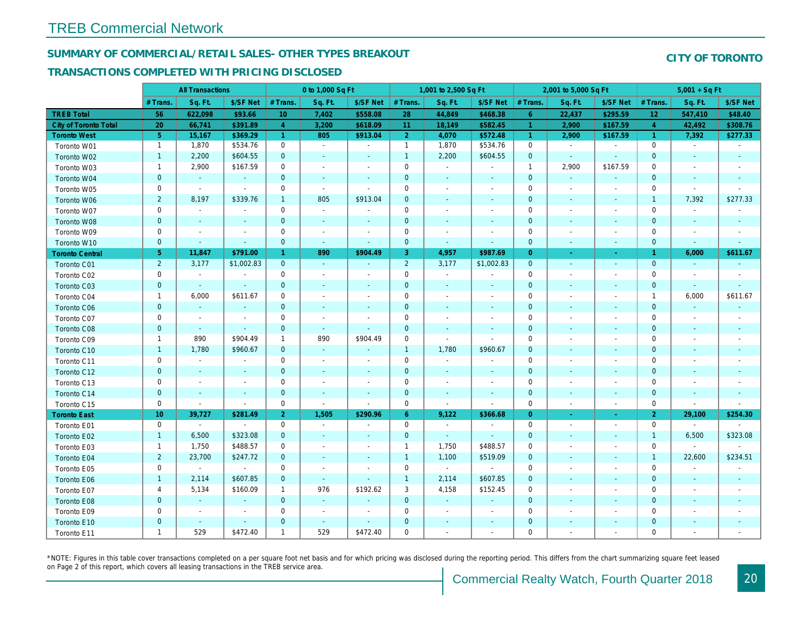### SUMMARY OF COMMERCIAL/RETAIL SALES- OTHER TYPES BREAKOUT

#### TRANSACTIONS COMPLETED WITH PRICING DISCLOSED

|                              |                 | <b>All Transactions</b>  |                          |                      | 0 to 1,000 Sq Ft |                          |                | 1,001 to 2,500 Sq Ft     |                          |                      | 2,001 to 5,000 Sq Ft     |                          |
|------------------------------|-----------------|--------------------------|--------------------------|----------------------|------------------|--------------------------|----------------|--------------------------|--------------------------|----------------------|--------------------------|--------------------------|
|                              | # Trans.        | Sq. Ft.                  | \$/SF Net                | # Trans.             | Sq. Ft.          | \$/SF Net                | # Trans.       | Sq. Ft.                  | \$/SF Net                | # Trans.             | Sq. Ft.                  | \$/SF Ne                 |
| <b>TREB Total</b>            | 56              | 622,098                  | \$93.66                  | 10 <sup>°</sup>      | 7,402            | \$558.08                 | 28             | 44,849                   | \$468.38                 | $6^{\circ}$          | 22,437                   | \$295.59                 |
| <b>City of Toronto Total</b> | 20              | 66,741                   | \$391.89                 | $\overline{4}$       | 3,200            | \$618.09                 | 11             | 18,149                   | \$582.45                 | $\blacktriangleleft$ | 2,900                    | \$167.59                 |
| <b>Toronto West</b>          | 5 <sup>1</sup>  | 15,167                   | \$369.29                 | $\blacktriangleleft$ | 805              | \$913.04                 | 2 <sup>1</sup> | 4,070                    | \$572.48                 | $\vert$ 1            | 2,900                    | \$167.59                 |
| Toronto W01                  | $\mathbf{1}$    | 1,870                    | \$534.76                 | 0                    | $\sim$           | $\blacksquare$           | $\mathbf{1}$   | 1,870                    | \$534.76                 | $\mathbf 0$          | $\blacksquare$           | $\blacksquare$           |
| Toronto W02                  | $\mathbf{1}$    | 2,200                    | \$604.55                 | $\mathbf{0}$         | $\blacksquare$   | $\blacksquare$           | $\mathbf{1}$   | 2,200                    | \$604.55                 | $\mathbf{0}$         | $\sim$                   | $\sim$                   |
| Toronto W03                  | $\mathbf{1}$    | 2,900                    | \$167.59                 | $\mathbf 0$          | $\blacksquare$   | $\blacksquare$           | $\mathbf 0$    | $\blacksquare$           | $\omega$                 | $\overline{1}$       | 2,900                    | \$167.59                 |
| Toronto W04                  | $\mathbf 0$     | $\omega$                 | $\omega$                 | $\mathbf{0}$         | $\blacksquare$   | $\blacksquare$           | $\mathbf 0$    | $\blacksquare$           | $\blacksquare$           | $\mathbf{0}$         | $\omega$                 | $\blacksquare$           |
| Toronto W05                  | 0               | $\blacksquare$           | $\sim$                   | $\mathbf 0$          | $\sim$           | $\blacksquare$           | $\mathbf 0$    | $\overline{\phantom{a}}$ | $\blacksquare$           | 0                    | $\blacksquare$           | $\blacksquare$           |
| Toronto W06                  | $\overline{2}$  | 8,197                    | \$339.76                 | $\mathbf{1}$         | 805              | \$913.04                 | $\mathbf 0$    |                          |                          | $\mathbf 0$          | $\sim$                   |                          |
| Toronto W07                  | $\mathbf 0$     | $\sim$                   | $\sim$                   | $\mathbf 0$          | $\sim$           | $\blacksquare$           | $\mathbf 0$    | $\blacksquare$           | $\blacksquare$           | $\mathbf 0$          | $\blacksquare$           | $\blacksquare$           |
| Toronto W08                  | $\pmb{0}$       | $\sim$                   | $\sim$                   | $\mathbf 0$          | $\blacksquare$   | $\blacksquare$           | $\mathbf 0$    | $\blacksquare$           | $\blacksquare$           | $\mathbf{0}$         | $\blacksquare$           | $\blacksquare$           |
| Toronto W09                  | 0               | $\blacksquare$           | $\blacksquare$           | 0                    | $\blacksquare$   | $\blacksquare$           | 0              | $\blacksquare$           | $\blacksquare$           | 0                    | $\blacksquare$           | $\blacksquare$           |
| Toronto W10                  | $\mathbf{0}$    | $\sim$                   | $\sim$                   | $\mathbf 0$          | $\omega$         | $\Delta$                 | $\mathbf{0}$   | $\blacksquare$           | $\omega$                 | $\mathbf 0$          | $\blacksquare$           | $\sim$                   |
| <b>Toronto Central</b>       | $\overline{5}$  | 11,847                   | \$791.00                 | $\mathbf{1}$         | 890              | \$904.49                 | 3              | 4,957                    | \$987.69                 | $\overline{0}$       | $\sim$                   | $\sim$                   |
| Toronto C01                  | $\overline{2}$  | 3,177                    | \$1,002.83               | $\mathbf{0}$         | $\omega$         | $\omega$                 | $\overline{2}$ | 3,177                    | \$1,002.83               | $\mathbf 0$          | $\blacksquare$           | $\blacksquare$           |
| Toronto C02                  | 0               | $\blacksquare$           | $\sim$                   | 0                    | $\sim$           | $\blacksquare$           | $\mathbf 0$    | $\blacksquare$           | $\blacksquare$           | $\mathbf 0$          | $\blacksquare$           | $\blacksquare$           |
| Toronto C03                  | $\mathbf{0}$    | $\sim$                   | $\sim$                   | $\mathbf{0}$         | ٠                | $\blacksquare$           | $\mathbf 0$    | $\blacksquare$           | ٠                        | $\mathbf 0$          | $\blacksquare$           | $\blacksquare$           |
| Toronto C04                  | $\mathbf{1}$    | 6,000                    | \$611.67                 | $\mathbf 0$          | $\blacksquare$   | $\blacksquare$           | $\mathbf 0$    | $\overline{\phantom{a}}$ | ٠                        | 0                    | $\overline{\phantom{a}}$ | $\blacksquare$           |
| <b>Toronto C06</b>           | $\mathbf 0$     | $\blacksquare$           | $\sim$                   | $\mathbf{0}$         | $\blacksquare$   | $\blacksquare$           | $\mathbf 0$    | $\blacksquare$           | $\blacksquare$           | $\mathbf{0}$         | $\blacksquare$           | $\blacksquare$           |
| Toronto C07                  | $\mathbf 0$     | $\blacksquare$           | $\sim$                   | $\mathbf 0$          | $\blacksquare$   | $\blacksquare$           | $\mathbf 0$    | $\sim$                   | $\sim$                   | $\mathbf 0$          | J.                       | $\blacksquare$           |
| Toronto C08                  | $\mathbf{0}$    | $\blacksquare$           | $\sim$                   | $\mathbf{0}$         | $\blacksquare$   | $\blacksquare$           | $\mathbf 0$    | ٠                        | $\blacksquare$           | $\mathbf{0}$         | $\blacksquare$           |                          |
| Toronto C09                  | $\mathbf{1}$    | 890                      | \$904.49                 | $\mathbf{1}$         | 890              | \$904.49                 | $\mathbf 0$    | $\blacksquare$           | $\blacksquare$           | $\mathbf 0$          |                          |                          |
| Toronto C10                  | $\mathbf{1}$    | 1,780                    | \$960.67                 | $\mathbf{0}$         | $\sim$           | $\blacksquare$           | $\mathbf{1}$   | 1,780                    | \$960.67                 | $\mathbf{0}$         | $\blacksquare$           | $\blacksquare$           |
| Toronto C11                  | $\mathbf 0$     | $\blacksquare$           |                          | 0                    | $\sim$           | $\blacksquare$           | $\mathsf 0$    | $\blacksquare$           | $\blacksquare$           | $\mathbf 0$          | $\blacksquare$           | $\blacksquare$           |
| Toronto C12                  | $\mathbf{0}$    | $\sim$                   | $\sim$                   | $\mathbf 0$          | $\blacksquare$   | $\blacksquare$           | $\mathbf 0$    | $\blacksquare$           | $\blacksquare$           | $\mathbf 0$          | $\blacksquare$           | $\blacksquare$           |
| Toronto C13                  | 0               | $\overline{\phantom{a}}$ | $\overline{\phantom{a}}$ | $\mathbf 0$          | $\blacksquare$   | $\blacksquare$           | $\mathbf 0$    | $\blacksquare$           | $\overline{\phantom{a}}$ | 0                    | $\overline{\phantom{a}}$ | $\overline{\phantom{a}}$ |
| Toronto C14                  | $\mathbf{0}$    | $\sim$                   | $\sim$                   | $\mathbf 0$          | $\sim$           | $\blacksquare$           | $\mathbf 0$    | $\sim$                   | $\sim$                   | $\mathbf{0}$         | $\omega$                 | $\sim$                   |
| Toronto C15                  | $\mathbf 0$     | $\blacksquare$           | $\blacksquare$           | $\mathbf 0$          | $\blacksquare$   | $\blacksquare$           | $\mathbf 0$    | $\blacksquare$           | $\omega$                 | $\mathbf 0$          | $\overline{\phantom{a}}$ | $\sim$                   |
| <b>Toronto East</b>          | 10 <sub>1</sub> | 39,727                   | \$281.49                 | 2 <sup>1</sup>       | 1,505            | \$290.96                 | 6 <sup>°</sup> | 9,122                    | \$366.68                 | $\overline{0}$       | $\bullet$                | $\sigma_{\rm c}$         |
| Toronto E01                  | 0               | $\sim$                   | $\sim$                   | 0                    | $\sim$           | $\blacksquare$           | $\mathbf 0$    | $\sim$                   | $\sim$                   | $\mathbf 0$          | $\blacksquare$           | $\sim$                   |
| Toronto E02                  | $\mathbf{1}$    | 6,500                    | \$323.08                 | $\mathbf{0}$         | $\sim$           | $\blacksquare$           | $\mathbf 0$    | $\blacksquare$           | $\sim$                   | $\mathbf{0}$         | $\sim$                   | $\sim$                   |
| Toronto E03                  | $\mathbf{1}$    | 1,750                    | \$488.57                 | $\mathbf 0$          | $\blacksquare$   | $\overline{\phantom{a}}$ | $\mathbf{1}$   | 1,750                    | \$488.57                 | 0                    | $\blacksquare$           | $\blacksquare$           |
| Toronto E04                  | $\overline{2}$  | 23,700                   | \$247.72                 | $\mathbf{0}$         | $\blacksquare$   | $\blacksquare$           | $\mathbf{1}$   | 1,100                    | \$519.09                 | $\mathbf 0$          | $\blacksquare$           | $\blacksquare$           |
| Toronto E05                  | 0               | $\blacksquare$           | $\blacksquare$           | $\mathbf 0$          | $\blacksquare$   | $\blacksquare$           | $\mathbf 0$    | $\blacksquare$           | $\blacksquare$           | $\mathbf 0$          | $\blacksquare$           | $\blacksquare$           |
| Toronto E06                  | $\mathbf{1}$    | 2,114                    | \$607.85                 | $\mathbf{0}$         | $\sim$           | ٠                        | $\mathbf{1}$   | 2,114                    | \$607.85                 | $\mathbf 0$          | $\sim$                   | $\blacksquare$           |
| Toronto E07                  | 4               | 5,134                    | \$160.09                 | $\mathbf{1}$         | 976              | \$192.62                 | 3              | 4,158                    | \$152.45                 | 0                    | $\blacksquare$           | $\blacksquare$           |
| Toronto E08                  | $\mathbf{0}$    | $\omega$                 | $\sim$                   | $\mathbf{0}$         | $\sim$           | $\blacksquare$           | $\mathbf 0$    | $\blacksquare$           | $\omega$                 | $\mathbf 0$          | $\sim$                   |                          |
| Toronto E09                  | 0               | $\blacksquare$           | $\sim$                   | $\mathbf 0$          | $\blacksquare$   | $\blacksquare$           | $\mathbf 0$    | $\blacksquare$           | $\blacksquare$           | $\mathbf 0$          | $\sim$                   | $\blacksquare$           |
| Toronto E10                  | $\mathbf 0$     | $\sim$                   | $\sim$                   | $\mathbf 0$          | $\blacksquare$   | $\blacksquare$           | $\mathbf 0$    |                          |                          | $\mathbf 0$          |                          |                          |
| Toronto E11                  | $\mathbf{1}$    | 529                      | \$472.40                 | $\mathbf{1}$         | 529              | \$472.40                 | $\mathbf 0$    | $\blacksquare$           | $\blacksquare$           | $\mathbf 0$          | $\blacksquare$           | $\blacksquare$           |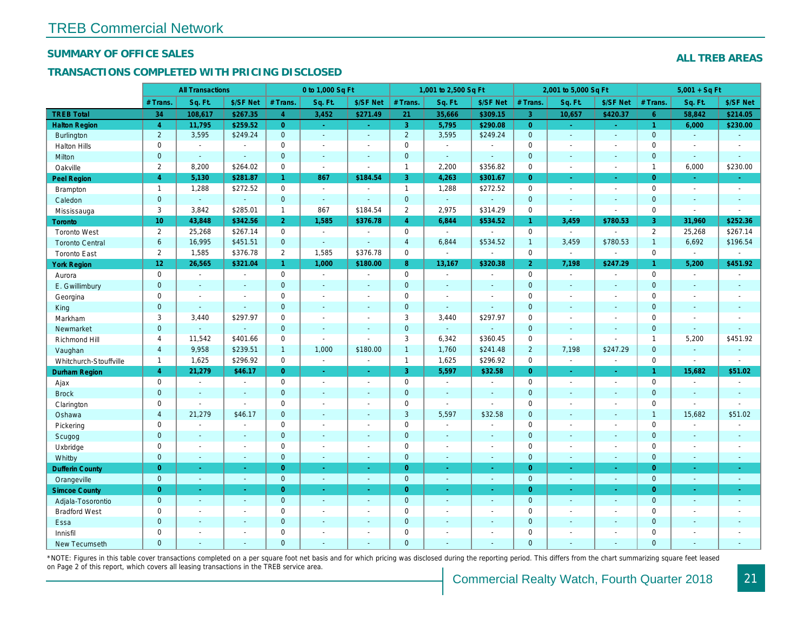#### SUMMARY OF OFFICE SALES

### TRANSACTIONS COMPLETED WITH PRICING DISCLOSED

|                        |                       | <b>All Transactions</b>  |                          |                      | 0 to 1,000 Sq Ft |                                          |                     | 1,001 to 2,500 Sq Ft     |                       |                | 2,001 to 5,000 Sq Ft  |                          |
|------------------------|-----------------------|--------------------------|--------------------------|----------------------|------------------|------------------------------------------|---------------------|--------------------------|-----------------------|----------------|-----------------------|--------------------------|
|                        | # Trans.              | Sq. Ft.                  | \$/SF Net                | # Trans.             | Sq. Ft.          | \$/SF Net                                | # Trans.            | Sq. Ft.                  | \$/SF Net             | # Trans.       | Sq. Ft.               | \$/SF Ne                 |
| <b>TREB Total</b>      | 34                    | 108,617                  | \$267.35                 | $\overline{4}$       | 3,452            | \$271.49                                 | 21                  | 35,666                   | \$309.15              | $\overline{3}$ | 10,657                | \$420.37                 |
| <b>Halton Region</b>   | $\overline{4}$        | 11,795                   | \$259.52                 | $\overline{0}$       | $\sim$ .         | $\frac{1}{2} \left( \frac{1}{2} \right)$ | 3 <sup>°</sup>      | 5,795                    | \$290.08              | $\overline{0}$ | $\omega$              | $\sim$                   |
| <b>Burlington</b>      | $\overline{2}$        | 3,595                    | \$249.24                 | $\mathbf{0}$         | $\sim$           | $\blacksquare$                           | $\overline{2}$      | 3,595                    | \$249.24              | $\mathbf{0}$   | $\blacksquare$        | $\blacksquare$           |
| <b>Halton Hills</b>    | 0                     | $\sim$                   | $\sim$                   | $\mathbf 0$          | $\sim$           | $\blacksquare$                           | $\mathsf{O}$        | $\blacksquare$           | $\blacksquare$        | $\Omega$       | $\sim$                | $\blacksquare$           |
| Milton                 | $\mathbf{0}$          | $\sim$                   | $\sim$                   | $\mathbf 0$          | $\omega$         | $\blacksquare$                           | $\pmb{0}$           | $\omega_{\rm c}$         | $\blacksquare$        | $\mathbf{0}$   | $\blacksquare$        | $\blacksquare$           |
| Oakville               | $\mathbf{2}^{\prime}$ | 8,200                    | \$264.02                 | 0                    | $\blacksquare$   | $\blacksquare$                           | $\mathbf{1}$        | 2,200                    | \$356.82              | $\mathbf 0$    | $\blacksquare$        | $\blacksquare$           |
| Peel Region            | $\overline{4}$        | 5,130                    | \$281.87                 | $\blacktriangleleft$ | 867              | \$184.54                                 | 3                   | 4,263                    | \$301.67              | $\overline{0}$ | $\blacksquare$        | $\sim$                   |
| <b>Brampton</b>        | $\overline{1}$        | 1,288                    | \$272.52                 | $\mathbf 0$          | $\blacksquare$   | $\blacksquare$                           | $\mathbf{1}$        | 1,288                    | \$272.52              | $\mathbf 0$    | $\blacksquare$        | $\blacksquare$           |
| Caledon                | $\mathbf{0}$          | $\omega$                 | $\omega$                 | $\mathbf 0$          | $\sim$           | $\blacksquare$                           | $\overline{0}$      | $\omega_{\rm c}$         | $\omega$              | $\mathbf 0$    | $\blacksquare$        | $\blacksquare$           |
| Mississauga            | 3                     | 3,842                    | \$285.01                 | $\mathbf{1}$         | 867              | \$184.54                                 | $\overline{2}$      | 2,975                    | \$314.29              | $\mathbf 0$    | $\sim$                | $\blacksquare$           |
| Toronto                | 10 <sup>10</sup>      | 43,848                   | \$342.56                 | $\overline{2}$       | 1,585            | \$376.78                                 | $\overline{4}$      | 6,844                    | \$534.52              | $\mathbf{1}$   | 3,459                 | \$780.53                 |
| <b>Toronto West</b>    | $\overline{2}$        | 25,268                   | \$267.14                 | $\mathbf 0$          | $\blacksquare$   | $\blacksquare$                           | $\mathbf 0$         | $\blacksquare$           | $\blacksquare$        | $\mathbf 0$    | $\blacksquare$        | $\mathbf{r}$             |
| <b>Toronto Central</b> | 6                     | 16,995                   | \$451.51                 | $\mathbf{0}$         | $\mathbf{r}$     | $\blacksquare$                           | $\overline{4}$      | 6,844                    | \$534.52              | $\overline{1}$ | 3,459                 | \$780.53                 |
| <b>Toronto East</b>    | $\overline{2}$        | 1,585                    | \$376.78                 | 2                    | 1,585            | \$376.78                                 | $\mathbf 0$         | $\blacksquare$           | $\sim$                | $\mathbf 0$    | $\blacksquare$        | $\blacksquare$           |
| <b>York Region</b>     | 12 <sub>1</sub>       | 26,565                   | \$321.04                 | $\mathbf{1}$         | 1,000            | \$180.00                                 | 8 <sup>°</sup>      | 13,167                   | \$320.38              | $\overline{2}$ | 7,198                 | \$247.29                 |
| Aurora                 | 0                     | $\sim$                   | $\blacksquare$           | $\mathbf 0$          | $\sim$           | $\blacksquare$                           | $\mathsf{O}$        | $\blacksquare$           | $\sim$                | $\mathbf 0$    | $\blacksquare$        | $\sim$                   |
| E. Gwillimbury         | $\mathbf{0}$          | $\sim$                   | $\sim$                   | $\mathbf{0}$         | $\sim$           | $\blacksquare$                           | $\mathbf{0}$        | $\blacksquare$           | $\blacksquare$        | $\mathbf{0}$   | $\omega$              | $\sim$                   |
| Georgina               | 0                     | $\sim$                   | $\blacksquare$           | $\mathsf 0$          | $\blacksquare$   | $\blacksquare$                           | $\mathsf{O}\xspace$ | $\blacksquare$           | $\blacksquare$        | $\mathbf 0$    | $\sim$                | $\blacksquare$           |
| King                   | $\mathbf{0}$          | $\sim$                   | $\sim$                   | $\mathbf 0$          | $\sim$           | $\sim$                                   | $\mathbf 0$         | $\blacksquare$           | $\blacksquare$        | $\mathbf{0}$   | $\sim$                | $\sim$                   |
| Markham                | 3                     | 3,440                    | \$297.97                 | $\mathbf 0$          | $\sim$           | $\overline{\phantom{a}}$                 | 3                   | 3,440                    | \$297.97              | $\mathbf 0$    | $\blacksquare$        | $\blacksquare$           |
| Newmarket              | $\overline{0}$        | $\sim$                   | $\blacksquare$           | $\mathbf{0}$         | $\sim$           | $\overline{\phantom{a}}$                 | $\mathbf{0}$        | $\omega$                 | ÷,                    | $\mathbf{0}$   | $\omega$              | $\sim$                   |
| Richmond Hill          | 4                     | 11,542                   | \$401.66                 | 0                    | $\sim$           | $\sim$                                   | 3                   | 6,342                    | \$360.45              | 0              | $\blacksquare$        | $\blacksquare$           |
| Vaughan                | $\overline{4}$        | 9,958                    | \$239.51                 | $\mathbf{1}$         | 1,000            | \$180.00                                 | $\mathbf{1}$        | 1,760                    | \$241.48              | $\overline{2}$ | 7,198                 | \$247.29                 |
| Whitchurch-Stouffville | $\mathbf{1}$          | 1,625                    | \$296.92                 | $\mathbf 0$          | $\blacksquare$   | $\blacksquare$                           | $\mathbf{1}$        | 1,625                    | \$296.92              | $\mathbf 0$    | $\tilde{\phantom{a}}$ | $\sim$                   |
| Durham Region          | $\overline{4}$        | 21,279                   | \$46.17                  | $\overline{0}$       | $\bullet$        | $\bullet$                                | 3 <sup>°</sup>      | 5,597                    | \$32.58               | $\overline{0}$ | $\bullet$             | $\sigma_{\rm c}$         |
| Ajax                   | 0                     | $\blacksquare$           | $\blacksquare$           | $\mathbf 0$          | $\blacksquare$   | $\blacksquare$                           | $\mathsf{O}\xspace$ | $\sim$                   | $\blacksquare$        | $\mathbf 0$    | $\blacksquare$        | $\sim$                   |
| <b>Brock</b>           | $\mathbf{0}$          | $\sim$                   | $\sim$                   | $\mathbf{0}$         | $\blacksquare$   | $\blacksquare$                           | $\mathbf{0}$        | $\omega$                 | $\omega$              | $\mathbf{0}$   | $\omega$              | $\sim$                   |
| Clarington             | 0                     | $\blacksquare$           | $\blacksquare$           | $\mathsf 0$          | $\blacksquare$   | $\blacksquare$                           | $\mathsf{O}\xspace$ | $\overline{\phantom{a}}$ | $\tilde{\phantom{a}}$ | $\mathbf 0$    | ÷,                    | $\overline{\phantom{a}}$ |
| Oshawa                 | $\overline{4}$        | 21,279                   | \$46.17                  | $\mathbf{0}$         | $\blacksquare$   | ٠                                        | $\mathbf{3}$        | 5,597                    | \$32.58               | $\mathbf{0}$   | $\blacksquare$        | $\blacksquare$           |
| Pickering              | 0                     | $\sim$                   | $\overline{\phantom{a}}$ | $\mathbf 0$          | $\sim$           | $\blacksquare$                           | $\mathbf 0$         | $\blacksquare$           | $\blacksquare$        | $\mathbf 0$    | $\sim$                | $\blacksquare$           |
| Scugog                 | $\mathbf{0}$          | $\sim$                   | $\sim$                   | $\mathbf{0}$         | $\mathbf{r}$     | $\blacksquare$                           | $\mathbf{0}$        | $\omega$                 | $\blacksquare$        | $\mathbf{0}$   | $\omega$              | $\blacksquare$           |
| Uxbridge               | 0                     | $\overline{\phantom{a}}$ | $\overline{\phantom{a}}$ | $\mathbf 0$          | $\blacksquare$   | $\blacksquare$                           | 0                   | $\overline{a}$           | $\overline{a}$        | $\mathbf 0$    | $\blacksquare$        | $\blacksquare$           |
| Whitby                 | $\mathbf{0}$          | $\sim$                   | $\sim$                   | $\mathbf 0$          | $\sim$           | $\sim$                                   | $\mathbf{0}$        | $\blacksquare$           | $\sim$                | $\mathbf{0}$   | $\blacksquare$        | $\sim$                   |
| <b>Dufferin County</b> | $\overline{0}$        | ÷.                       | $\sim$                   | $\overline{0}$       | ÷.               | $\omega$                                 | $\overline{0}$      | $\blacksquare$           | $\sim$                | $\overline{0}$ | $\sim$                | $\sim$                   |
| Orangeville            | $\mathbf{0}$          | $\omega$                 | $\omega$                 | $\mathbf 0$          | $\omega$         | $\omega$                                 | $\mathbf 0$         | $\omega$                 | $\omega_{\rm c}$      | $\mathbf 0$    | $\omega$              | $\omega_{\rm c}$         |
| <b>Simcoe County</b>   | $\overline{0}$        | $\sim$                   | $\sim$                   | $\overline{0}$       | $\omega$         | $\omega$                                 | $\overline{0}$      | $\omega$                 | $\omega$              | $\overline{0}$ | $\blacksquare$        | $\sigma_{\rm c}$         |
| Adjala-Tosorontio      | $\mathbf{0}$          | $\sim$                   | $\sim$                   | $\mathbf 0$          | $\mathbf{r}$     | $\sim$                                   | $\mathbf{0}$        | $\blacksquare$           | $\blacksquare$        | $\mathbf 0$    | $\Delta$              | $\sim$                   |
| <b>Bradford West</b>   | 0                     | $\blacksquare$           | $\blacksquare$           | 0                    | $\sim$           | $\sim$                                   | $\mathsf{O}\xspace$ | $\blacksquare$           | $\blacksquare$        | $\mathbf 0$    | $\blacksquare$        | $\blacksquare$           |
| Essa                   | $\mathbf{0}$          | $\sim$                   | $\sim$                   | $\mathbf 0$          | $\blacksquare$   | $\blacksquare$                           | $\mathbf 0$         | ä,                       | ä,                    | $\mathbf 0$    | $\sim$                |                          |
| Innisfil               | 0                     | $\sim$                   | $\sim$                   | $\mathbf 0$          | $\blacksquare$   | $\blacksquare$                           | $\mathbf 0$         | $\blacksquare$           | $\blacksquare$        | $\mathbf 0$    | $\sim$                | $\blacksquare$           |
| <b>New Tecumseth</b>   | $\Omega$              |                          |                          | $\Omega$             |                  |                                          | $\mathbf{0}$        |                          |                       | $\Omega$       |                       |                          |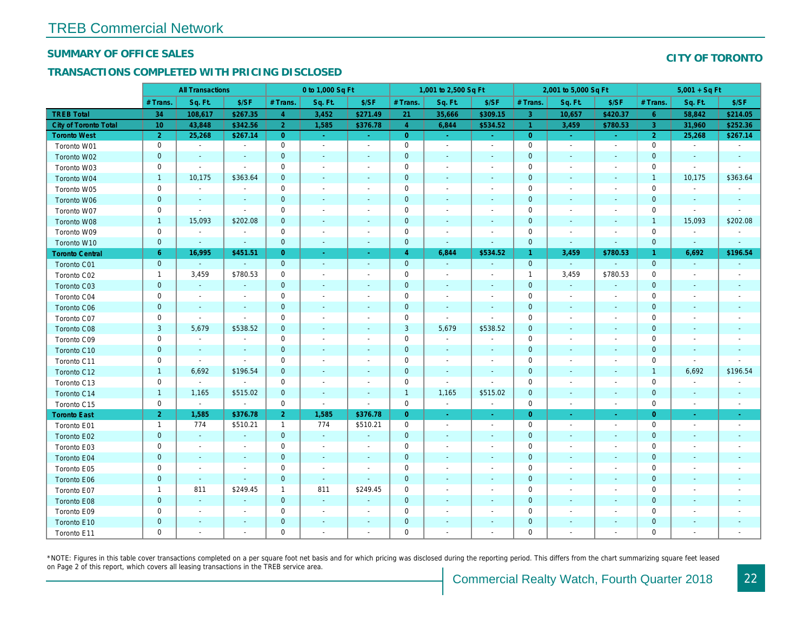#### SUMMARY OF OFFICE SALES

### TRANSACTIONS COMPLETED WITH PRICING DISCLOSED

|                              |                | <b>All Transactions</b>  |                          |                | 0 to 1,000 Sq Ft         |                          |                | 1,001 to 2,500 Sq Ft     |                          |                      | 2,001 to 5,000 Sq Ft     |                          |
|------------------------------|----------------|--------------------------|--------------------------|----------------|--------------------------|--------------------------|----------------|--------------------------|--------------------------|----------------------|--------------------------|--------------------------|
|                              | # Trans.       | Sq. Ft.                  | \$/SF                    | # Trans.       | Sq. Ft.                  | \$/SF                    | # Trans.       | Sq. Ft.                  | \$/SF                    | # Trans.             | Sq. Ft.                  | \$/SF                    |
| <b>TREB Total</b>            | 34             | 108,617                  | \$267.35                 | $\overline{4}$ | 3,452                    | \$271.49                 | 21             | 35,666                   | \$309.15                 | $\mathbf{3}$         | 10,657                   | \$420.37                 |
| <b>City of Toronto Total</b> | 10             | 43,848                   | \$342.56                 | $\overline{2}$ | 1,585                    | \$376.78                 | $\overline{4}$ | 6,844                    | \$534.52                 | -1                   | 3,459                    | \$780.53                 |
| <b>Toronto West</b>          | $\overline{2}$ | 25,268                   | \$267.14                 | $\overline{0}$ | $\omega$                 | $\blacksquare$           | $\overline{0}$ | ٠                        | $\bullet$                | $\overline{0}$       | $\sim$                   | $\sim$                   |
| Toronto W01                  | $\mathbf 0$    | $\sim$                   | $\blacksquare$           | $\mathbf 0$    | $\mathbf{r}$             | $\sim$                   | $\mathbf 0$    | $\blacksquare$           | $\blacksquare$           | $\pmb{0}$            | $\sim$                   | $\sim$                   |
| Toronto W02                  | $\mathbf 0$    | $\sim$                   | $\blacksquare$           | $\mathbf{0}$   | $\blacksquare$           | $\blacksquare$           | $\mathbf 0$    | $\blacksquare$           | $\sim$                   | $\mathbf 0$          | $\blacksquare$           | $\sim$                   |
| Toronto W03                  | $\mathbf 0$    | $\blacksquare$           | $\blacksquare$           | $\mathbf 0$    | $\blacksquare$           | $\blacksquare$           | $\mathbf 0$    | $\blacksquare$           | $\overline{\phantom{a}}$ | $\mathbf 0$          | $\blacksquare$           | $\overline{\phantom{a}}$ |
| Toronto W04                  | $\mathbf{1}$   | 10,175                   | \$363.64                 | $\mathbf{0}$   | $\blacksquare$           | $\blacksquare$           | $\pmb{0}$      | $\blacksquare$           | $\overline{\phantom{a}}$ | $\mathbf 0$          | $\blacksquare$           | $\blacksquare$           |
| Toronto W05                  | $\pmb{0}$      | $\blacksquare$           | $\blacksquare$           | $\mathbf 0$    | $\overline{\phantom{a}}$ | $\overline{\phantom{a}}$ | 0              | $\overline{\phantom{a}}$ | $\overline{\phantom{a}}$ | $\mathbf 0$          |                          | $\overline{\phantom{a}}$ |
| Toronto W06                  | $\mathbf 0$    | $\blacksquare$           | $\blacksquare$           | $\mathbf{0}$   | $\blacksquare$           | $\blacksquare$           | $\pmb{0}$      | $\blacksquare$           | $\sim$                   | $\mathbf 0$          | $\blacksquare$           | $\sim$                   |
| Toronto W07                  | $\mathbf 0$    | $\blacksquare$           | $\blacksquare$           | $\mathbf 0$    | $\sim$                   | $\blacksquare$           | $\mathbf 0$    | $\blacksquare$           | $\sim$                   | $\mathbf 0$          | $\sim$                   | $\sim$                   |
| Toronto W08                  | $\mathbf{1}$   | 15,093                   | \$202.08                 | $\mathbf{0}$   | $\blacksquare$           | $\blacksquare$           | $\pmb{0}$      | $\blacksquare$           | $\blacksquare$           | $\mathbf 0$          | $\blacksquare$           | $\blacksquare$           |
| Toronto W09                  | $\pmb{0}$      | $\blacksquare$           | $\blacksquare$           | $\mathbf 0$    | $\blacksquare$           | $\overline{a}$           | $\pmb{0}$      | $\blacksquare$           | $\blacksquare$           | $\mathbf 0$          |                          | $\overline{\phantom{a}}$ |
| Toronto W10                  | $\mathbf 0$    | $\blacksquare$           | $\blacksquare$           | $\mathbf 0$    | $\blacksquare$           | $\blacksquare$           | $\pmb{0}$      | $\blacksquare$           | $\blacksquare$           | $\pmb{0}$            | $\blacksquare$           | $\blacksquare$           |
| <b>Toronto Central</b>       | $6^{\circ}$    | 16,995                   | \$451.51                 | $\overline{0}$ | ٠                        | $\sim$                   | 4              | 6,844                    | \$534.52                 | $\blacktriangleleft$ | 3,459                    | \$780.53                 |
| Toronto C01                  | $\mathbf{0}$   | $\omega$                 | $\sim$                   | $\mathbf{0}$   | $\omega$                 | $\sim$                   | $\mathbf{0}$   | $\sim$                   | $\blacksquare$           | $\mathbf{0}$         | $\blacksquare$           | $\omega$                 |
| Toronto C02                  | $\mathbf{1}$   | 3,459                    | \$780.53                 | $\mathbf 0$    | $\sim$                   | $\overline{a}$           | $\pmb{0}$      | $\blacksquare$           | $\blacksquare$           | $\mathbf{1}$         | 3,459                    | \$780.53                 |
| Toronto C03                  | $\pmb{0}$      | $\bullet$                | $\blacksquare$           | $\mathbf{0}$   | $\blacksquare$           | $\blacksquare$           | $\pmb{0}$      | $\blacksquare$           | $\overline{\phantom{a}}$ | $\mathbf 0$          | $\sim$                   | $\blacksquare$           |
| Toronto C04                  | $\pmb{0}$      | $\blacksquare$           | $\overline{\phantom{a}}$ | $\mathbf 0$    | $\blacksquare$           | $\overline{\phantom{a}}$ | 0              | $\blacksquare$           | $\overline{\phantom{a}}$ | 0                    | $\blacksquare$           | $\blacksquare$           |
| Toronto C06                  | $\mathbf 0$    | $\sim$                   | $\sim$                   | $\mathbf 0$    | $\blacksquare$           | $\blacksquare$           | $\mathbf 0$    | $\sim$                   | $\overline{\phantom{a}}$ | $\mathbf 0$          | $\sim$                   | $\sim$                   |
| Toronto C07                  | $\mathbf 0$    | $\sim$                   | $\sim$                   | $\mathbf 0$    | $\blacksquare$           | $\blacksquare$           | $\mathbf 0$    | $\sim$                   | $\overline{\phantom{a}}$ | $\mathbf 0$          | $\overline{\phantom{a}}$ | $\sim$                   |
| Toronto C08                  | $\mathbf{3}$   | 5,679                    | \$538.52                 | $\mathbf{0}$   | $\sim$                   | $\sim$                   | 3              | 5,679                    | \$538.52                 | $\mathbf 0$          | $\blacksquare$           | $\blacksquare$           |
| Toronto C09                  | $\mathbf 0$    | $\blacksquare$           | $\blacksquare$           | $\mathbf 0$    | $\sim$                   | $\blacksquare$           | 0              | $\blacksquare$           | $\blacksquare$           | $\mathbf 0$          | $\overline{\phantom{a}}$ | $\blacksquare$           |
| Toronto C10                  | $\mathbf 0$    | $\sim$                   | $\sim$                   | $\mathbf{0}$   | $\blacksquare$           | $\blacksquare$           | $\mathbf 0$    | $\blacksquare$           | $\sim$                   | $\mathbf 0$          | $\sim$                   | $\sim$                   |
| Toronto C11                  | 0              | $\blacksquare$           | $\blacksquare$           | 0              | $\overline{\phantom{a}}$ | $\overline{\phantom{a}}$ | 0              | $\overline{\phantom{a}}$ | $\overline{\phantom{a}}$ | 0                    | $\overline{\phantom{a}}$ | $\blacksquare$           |
| Toronto C12                  | $\mathbf{1}$   | 6,692                    | \$196.54                 | $\mathbf{0}$   | $\sim$                   | $\sim$                   | $\mathbf{0}$   | $\sim$                   | $\sim$                   | $\mathbf 0$          | $\sim$                   | $\sim$                   |
| Toronto C13                  | $\mathbf 0$    | $\blacksquare$           | $\overline{\phantom{a}}$ | $\mathbf 0$    | $\blacksquare$           | $\blacksquare$           | $\mathbf 0$    | $\blacksquare$           | $\blacksquare$           | $\mathbf 0$          | $\overline{\phantom{a}}$ | $\overline{\phantom{a}}$ |
| Toronto C14                  | $\mathbf{1}$   | 1,165                    | \$515.02                 | $\mathbf{0}$   | $\blacksquare$           | $\sim$                   | $\overline{1}$ | 1,165                    | \$515.02                 | $\mathbf 0$          | $\sim$                   | $\sim$                   |
| Toronto C15                  | $\mathbf 0$    | $\sim$                   | $\blacksquare$           | $\mathbf 0$    | $\blacksquare$           | $\overline{\phantom{a}}$ | $\mathbf 0$    | $\overline{\phantom{a}}$ | $\overline{\phantom{a}}$ | $\mathbf 0$          | $\overline{\phantom{a}}$ | $\sim$                   |
| <b>Toronto East</b>          | $\mathbf{2}$   | 1,585                    | \$376.78                 | 2 <sup>1</sup> | 1,585                    | \$376.78                 | $\overline{0}$ | $\sim$                   | $\blacksquare$           | $\overline{0}$       | $\blacksquare$           | $\sim$                   |
| Toronto E01                  | $\mathbf{1}$   | 774                      | \$510.21                 | $\mathbf{1}$   | 774                      | \$510.21                 | $\mathbf 0$    | $\sim$                   | $\sim$                   | $\mathbf 0$          | $\overline{\phantom{a}}$ | $\sim$                   |
| Toronto E02                  | $\pmb{0}$      | $\sim$                   | $\omega$                 | $\mathbf{0}$   | $\sim$                   | $\sim$                   | $\pmb{0}$      | $\blacksquare$           | $\sim$                   | $\mathbf 0$          | $\blacksquare$           | $\sim$                   |
| Toronto E03                  | $\mathbf 0$    | $\overline{\phantom{a}}$ | $\blacksquare$           | $\mathbf 0$    | $\blacksquare$           | $\blacksquare$           | 0              | $\blacksquare$           | $\blacksquare$           | $\mathbf 0$          | $\blacksquare$           | $\blacksquare$           |
| Toronto E04                  | $\pmb{0}$      | $\blacksquare$           | $\blacksquare$           | $\mathbf{0}$   | $\blacksquare$           | $\blacksquare$           | $\pmb{0}$      | $\blacksquare$           | $\blacksquare$           | $\mathbf 0$          | $\blacksquare$           | $\blacksquare$           |
| Toronto E05                  | $\pmb{0}$      | $\overline{\phantom{a}}$ | $\blacksquare$           | $\mathbf 0$    | $\overline{\phantom{a}}$ | $\overline{\phantom{a}}$ | $\pmb{0}$      | $\overline{\phantom{a}}$ | $\blacksquare$           | $\mathbf 0$          | $\overline{\phantom{a}}$ | $\blacksquare$           |
| Toronto E06                  | $\mathbf 0$    | $\blacksquare$           | $\blacksquare$           | $\mathbf{0}$   | $\blacksquare$           | $\overline{\phantom{a}}$ | $\mathbf 0$    | $\blacksquare$           |                          | $\mathbf 0$          |                          |                          |
| Toronto E07                  | $\mathbf{1}$   | 811                      | \$249.45                 | $\mathbf{1}$   | 811                      | \$249.45                 | $\pmb{0}$      | $\blacksquare$           | $\blacksquare$           | $\mathbf 0$          | $\blacksquare$           | $\sim$                   |
| Toronto E08                  | $\pmb{0}$      | $\blacksquare$           | $\blacksquare$           | $\mathbf{0}$   | $\mathbf{u}$             | $\blacksquare$           | $\pmb{0}$      | $\blacksquare$           | $\sim$                   | $\mathbf 0$          | $\blacksquare$           |                          |
| Toronto E09                  | $\pmb{0}$      | $\sim$                   | $\blacksquare$           | $\mathbf 0$    | $\blacksquare$           | $\blacksquare$           | 0              | $\blacksquare$           | $\blacksquare$           | $\mathbf 0$          | $\blacksquare$           | $\blacksquare$           |
| Toronto E10                  | $\mathbf 0$    | $\overline{\phantom{a}}$ | $\overline{\phantom{a}}$ | $\mathbf 0$    | $\blacksquare$           | $\blacksquare$           | $\mathbf 0$    | $\blacksquare$           |                          | $\mathbf 0$          | $\blacksquare$           |                          |
| Toronto E11                  | $\mathbf 0$    | $\blacksquare$           | $\blacksquare$           | $\mathbf 0$    | $\blacksquare$           | $\blacksquare$           | 0              | $\blacksquare$           | $\blacksquare$           | $\mathbf 0$          | $\blacksquare$           | $\blacksquare$           |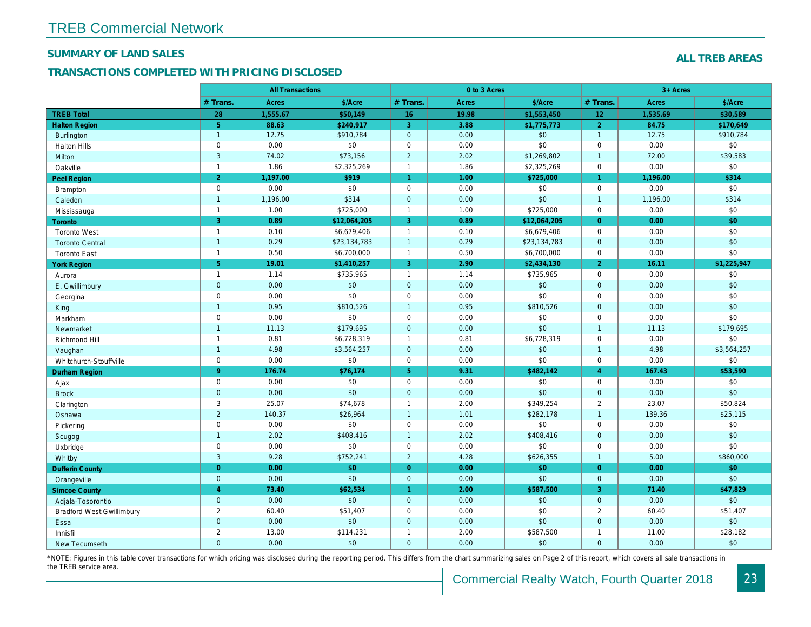#### SUMMARY OF LAND SALES

### TRANSACTIONS COMPLETED WITH PRICING DISCLOSED

|                                  |                | <b>All Transactions</b> |              |                      | 0 to 3 Acres |              |                 |
|----------------------------------|----------------|-------------------------|--------------|----------------------|--------------|--------------|-----------------|
|                                  | # Trans.       | Acres                   | \$/Acre      | # Trans.             | <b>Acres</b> | \$/Acre      | # Trans.        |
| <b>TREB Total</b>                | 28             | 1,555.67                | \$50,149     | 16                   | 19.98        | \$1,553,450  | 12 <sub>2</sub> |
| <b>Halton Region</b>             | 5 <sup>5</sup> | 88.63                   | \$240.917    | 3                    | 3.88         | \$1,775,773  | $\overline{2}$  |
| <b>Burlington</b>                | $\mathbf{1}$   | 12.75                   | \$910,784    | $\mathbf 0$          | 0.00         | \$0          | $\overline{1}$  |
| <b>Halton Hills</b>              | $\mathbf 0$    | 0.00                    | \$0          | $\pmb{0}$            | 0.00         | \$0          | $\mathbf 0$     |
| Milton                           | $\mathbf{3}$   | 74.02                   | \$73,156     | $\sqrt{2}$           | 2.02         | \$1,269,802  | $\overline{1}$  |
| Oakville                         | $\mathbf{1}$   | 1.86                    | \$2,325,269  | $\mathbf{1}$         | 1.86         | \$2,325,269  | $\mathbf 0$     |
| <b>Peel Region</b>               | 2 <sup>1</sup> | 1,197.00                | \$919        | $\blacktriangleleft$ | 1.00         | \$725,000    | $\mathbf{1}$    |
| <b>Brampton</b>                  | $\mathbf 0$    | 0.00                    | \$0          | $\mathbf 0$          | 0.00         | \$0          | $\mathbf 0$     |
| Caledon                          | $\overline{1}$ | 1,196.00                | \$314        | $\mathbf 0$          | 0.00         | \$0          | $\overline{1}$  |
| Mississauga                      | $\mathbf{1}$   | 1.00                    | \$725,000    | $\mathbf{1}$         | 1.00         | \$725,000    | $\mathbf 0$     |
| <b>Toronto</b>                   | $\overline{3}$ | 0.89                    | \$12,064,205 | 3                    | 0.89         | \$12,064,205 | $\overline{0}$  |
| <b>Toronto West</b>              | $\mathbf{1}$   | 0.10                    | \$6,679,406  | $\mathbf{1}$         | 0.10         | \$6,679,406  | $\mathbf 0$     |
| <b>Toronto Central</b>           | $\mathbf{1}$   | 0.29                    | \$23,134,783 | $\mathbf{1}$         | 0.29         | \$23,134,783 | $\mathbf{0}$    |
| <b>Toronto East</b>              | $\mathbf{1}$   | 0.50                    | \$6,700,000  | $\mathbf{1}$         | 0.50         | \$6,700,000  | 0               |
| <b>York Region</b>               | 5 <sup>5</sup> | 19.01                   | \$1,410,257  | 3                    | 2.90         | \$2,434,130  | $\overline{2}$  |
| Aurora                           | $\mathbf{1}$   | 1.14                    | \$735,965    | $\mathbf{1}$         | 1.14         | \$735,965    | $\mathbf 0$     |
| E. Gwillimbury                   | $\mathbf{0}$   | 0.00                    | $$0$         | $\mathbf 0$          | 0.00         | \$0          | $\mathbf{0}$    |
| Georgina                         | $\mathbf 0$    | 0.00                    | \$0          | $\mathbf 0$          | 0.00         | \$0          | $\mathbf 0$     |
| King                             | $\overline{1}$ | 0.95                    | \$810,526    | $\overline{1}$       | 0.95         | \$810,526    | $\mathbf 0$     |
| Markham                          | $\mathbf 0$    | 0.00                    | \$0          | $\pmb{0}$            | 0.00         | \$0          | $\mathbf 0$     |
| Newmarket                        | $\mathbf{1}$   | 11.13                   | \$179,695    | $\mathbf 0$          | 0.00         | \$0          | $\overline{1}$  |
| Richmond Hill                    | $\mathbf{1}$   | 0.81                    | \$6,728,319  | $\mathbf{1}$         | 0.81         | \$6,728,319  | $\mathbf 0$     |
| Vaughan                          | $\mathbf{1}$   | 4.98                    | \$3,564,257  | $\mathbf{0}$         | 0.00         | \$0          | $\overline{1}$  |
| Whitchurch-Stouffville           | $\mathbf 0$    | 0.00                    | \$0          | $\mathbf 0$          | 0.00         | \$0          | $\mathbf 0$     |
| <b>Durham Region</b>             | 9 <sup>°</sup> | 176.74                  | \$76,174     | $\overline{5}$       | 9.31         | \$482,142    | $\overline{4}$  |
| Ajax                             | $\mathbf 0$    | 0.00                    | \$0          | $\mathbf 0$          | 0.00         | \$0          | $\mathbf 0$     |
| <b>Brock</b>                     | $\overline{0}$ | 0.00                    | \$0          | $\mathbf{0}$         | 0.00         | \$0          | $\overline{0}$  |
| Clarington                       | 3              | 25.07                   | \$74,678     | $\mathbf{1}$         | 2.00         | \$349,254    | 2               |
| Oshawa                           | $\overline{2}$ | 140.37                  | \$26,964     | $\mathbf{1}$         | 1.01         | \$282,178    | $\overline{1}$  |
| Pickering                        | $\mathbf 0$    | 0.00                    | \$0          | $\pmb{0}$            | 0.00         | \$0          | $\mathbf 0$     |
| Scugog                           | $\mathbf{1}$   | 2.02                    | \$408,416    | $\mathbf{1}$         | 2.02         | \$408,416    | $\mathbf{0}$    |
| Uxbridge                         | $\mathbf 0$    | 0.00                    | \$0          | $\mathbf 0$          | 0.00         | \$0          | $\mathbf 0$     |
| Whitby                           | 3              | 9.28                    | \$752,241    | $\overline{2}$       | 4.28         | \$626,355    | $\overline{1}$  |
| <b>Dufferin County</b>           | $\overline{0}$ | 0.00                    | \$0          | $\overline{0}$       | 0.00         | \$0          | $\Omega$        |
| Orangeville                      | $\mathbf{0}$   | 0.00                    | \$0          | $\mathbf 0$          | 0.00         | \$0          | $\mathbf{0}$    |
| <b>Simcoe County</b>             | $\overline{4}$ | 73.40                   | \$62,534     | $\blacktriangleleft$ | 2.00         | \$587,500    | $\overline{3}$  |
| Adjala-Tosorontio                | $\mathbf{0}$   | 0.00                    | \$0          | $\mathbf 0$          | 0.00         | \$0          | $\mathbf{0}$    |
| <b>Bradford West Gwillimbury</b> | $\overline{2}$ | 60.40                   | \$51,407     | $\pmb{0}$            | 0.00         | \$0          | 2               |
| Essa                             | $\mathbf{0}$   | 0.00                    | \$0          | $\mathbf{0}$         | 0.00         | \$0          | $\mathbf{0}$    |
| Innisfil                         | $\overline{2}$ | 13.00                   | \$114,231    | $\mathbf{1}$         | 2.00         | \$587,500    | $\overline{1}$  |
| New Tecumseth                    | $\Omega$       | 0.00                    | \$0          | $\mathbf{0}$         | 0.00         | \$0          | $\mathbf{0}$    |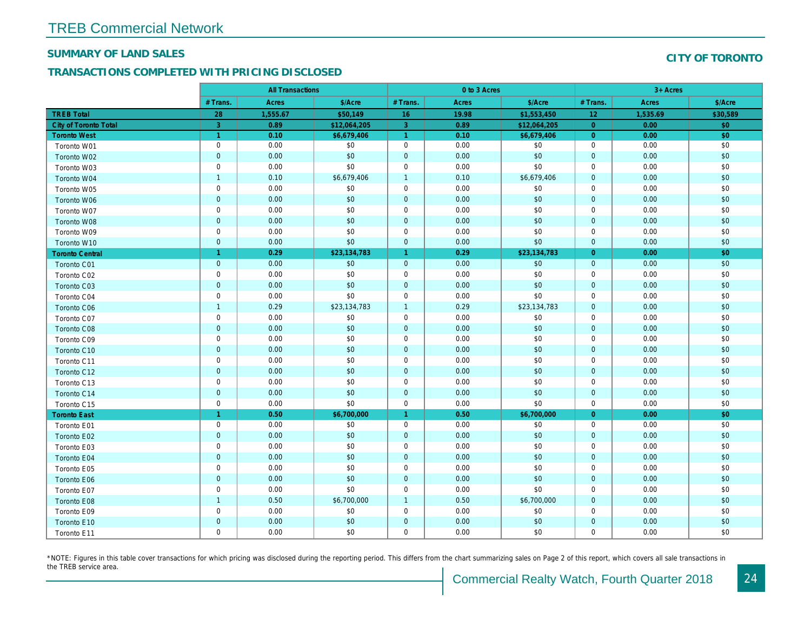#### SUMMARY OF LAND SALES

### TRANSACTIONS COMPLETED WITH PRICING DISCLOSED

|                              |                | <b>All Transactions</b> |              |                      | 0 to 3 Acres |              |                |  |
|------------------------------|----------------|-------------------------|--------------|----------------------|--------------|--------------|----------------|--|
|                              | # Trans.       | Acres                   | \$/Acre      | # Trans.             | <b>Acres</b> | \$/Acre      | # Trans.       |  |
| <b>TREB Total</b>            | 28             | 1,555.67                | \$50,149     | 16                   | 19.98        | \$1,553,450  | 12             |  |
| <b>City of Toronto Total</b> | 3              | 0.89                    | \$12,064,205 | $\mathbf{3}$         | 0.89         | \$12,064,205 | $\overline{0}$ |  |
| <b>Toronto West</b>          | $\overline{1}$ | 0.10                    | \$6,679,406  | $\blacktriangleleft$ | 0.10         | \$6,679,406  | $\overline{0}$ |  |
| Toronto W01                  | $\mathbf 0$    | 0.00                    | \$0          | $\mathbf 0$          | 0.00         | \$0          | $\mathbf 0$    |  |
| Toronto W02                  | $\mathbf 0$    | 0.00                    | \$0          | $\mathbf{0}$         | 0.00         | \$0          | $\mathbf{0}$   |  |
| Toronto W03                  | $\mathbf 0$    | 0.00                    | \$0          | $\mathbf 0$          | 0.00         | \$0          | $\mathbf 0$    |  |
| Toronto W04                  | $\overline{1}$ | 0.10                    | \$6,679,406  | $\overline{1}$       | 0.10         | \$6,679,406  | $\mathbf{0}$   |  |
| Toronto W05                  | $\mathbf 0$    | 0.00                    | \$0          | $\mathbf 0$          | 0.00         | \$0          | $\mathbf 0$    |  |
| Toronto W06                  | $\mathbf 0$    | 0.00                    | \$0          | $\mathbf{0}$         | 0.00         | \$0          | $\mathbf{0}$   |  |
| Toronto W07                  | $\mathbf 0$    | 0.00                    | \$0          | $\mathbf 0$          | 0.00         | \$0          | $\mathbf{0}$   |  |
| Toronto W08                  | $\mathbf 0$    | 0.00                    | \$0          | $\mathbf{0}$         | 0.00         | \$0          | $\mathbf{0}$   |  |
| Toronto W09                  | $\mathbf 0$    | 0.00                    | \$0          | $\mathbf 0$          | 0.00         | \$0          | $\mathbf 0$    |  |
| Toronto W10                  | $\mathbf 0$    | 0.00                    | \$0          | $\mathbf{0}$         | 0.00         | \$0          | $\mathbf{0}$   |  |
| <b>Toronto Central</b>       | $\overline{1}$ | 0.29                    | \$23,134,783 | $\mathbf{1}$         | 0.29         | \$23,134,783 | $\overline{0}$ |  |
| <b>Toronto C01</b>           | $\mathbf 0$    | 0.00                    | \$0          | $\mathbf{0}$         | 0.00         | \$0          | $\mathbf{0}$   |  |
| Toronto C02                  | $\mathbf 0$    | 0.00                    | \$0          | $\mathbf 0$          | 0.00         | \$0          | $\mathbf 0$    |  |
| Toronto C03                  | $\bf 0$        | 0.00                    | \$0          | $\mathbf{0}$         | 0.00         | \$0          | $\mathbf 0$    |  |
| Toronto C04                  | $\mathbf 0$    | 0.00                    | \$0          | $\mathbf 0$          | 0.00         | \$0          | $\mathbf 0$    |  |
| Toronto C06                  | $\overline{1}$ | 0.29                    | \$23,134,783 | $\mathbf{1}$         | 0.29         | \$23,134,783 | $\mathbf{0}$   |  |
| Toronto C07                  | $\mathbf 0$    | 0.00                    | \$0          | $\mathbf 0$          | 0.00         | \$0          | $\mathbf 0$    |  |
| Toronto C08                  | $\overline{0}$ | 0.00                    | \$0          | $\mathbf 0$          | 0.00         | \$0          | $\mathbf 0$    |  |
| Toronto C09                  | $\mathbf 0$    | 0.00                    | \$0          | $\mathbf 0$          | 0.00         | \$0          | $\mathbf 0$    |  |
| Toronto C10                  | $\mathbf 0$    | 0.00                    | \$0          | $\mathbf{0}$         | 0.00         | \$0          | $\mathbf{0}$   |  |
| Toronto C11                  | $\mathbf 0$    | 0.00                    | \$0          | $\mathbf 0$          | 0.00         | \$0          | $\mathbf 0$    |  |
| Toronto C12                  | $\mathbf 0$    | 0.00                    | \$0          | $\mathbf{0}$         | 0.00         | \$0          | $\mathbf{0}$   |  |
| Toronto C13                  | $\mathbf 0$    | 0.00                    | \$0          | $\mathbf{0}$         | 0.00         | \$0          | $\mathbf 0$    |  |
| Toronto C14                  | $\mathbf 0$    | 0.00                    | \$0          | $\mathbf{0}$         | 0.00         | \$0          | $\mathbf{0}$   |  |
| Toronto C15                  | $\mathbf 0$    | 0.00                    | \$0          | $\mathbf 0$          | 0.00         | \$0          | $\mathbf 0$    |  |
| <b>Toronto East</b>          | $\overline{1}$ | 0.50                    | \$6,700,000  | $\mathbf{1}$         | 0.50         | \$6,700,000  | $\overline{0}$ |  |
| Toronto E01                  | $\mathbf 0$    | 0.00                    | \$0          | $\mathbf 0$          | 0.00         | \$0          | $\mathbf 0$    |  |
| Toronto E02                  | $\mathbf 0$    | 0.00                    | \$0          | $\mathbf{0}$         | 0.00         | \$0          | $\mathbf{0}$   |  |
| Toronto E03                  | $\mathsf 0$    | 0.00                    | \$0          | $\mathbf 0$          | 0.00         | \$0          | $\mathbf 0$    |  |
| <b>Toronto E04</b>           | $\mathbf{0}$   | 0.00                    | \$0          | $\mathbf{0}$         | 0.00         | \$0          | $\mathbf{0}$   |  |
| Toronto E05                  | $\mathbf 0$    | 0.00                    | \$0          | $\mathbf 0$          | 0.00         | \$0          | $\mathbf 0$    |  |
| Toronto E06                  | $\mathbf 0$    | 0.00                    | \$0          | $\mathbf{0}$         | 0.00         | \$0          | $\mathbf{0}$   |  |
| Toronto E07                  | $\mathbf 0$    | 0.00                    | \$0          | $\mathbf 0$          | 0.00         | \$0          | $\mathbf 0$    |  |
| Toronto E08                  | $\overline{1}$ | 0.50                    | \$6,700,000  | $\overline{1}$       | 0.50         | \$6,700,000  | $\mathbf{0}$   |  |
| Toronto E09                  | $\mathbf 0$    | 0.00                    | \$0          | $\mathbf 0$          | 0.00         | \$0          | $\mathbf 0$    |  |
| Toronto E10                  | $\mathbf 0$    | 0.00                    | \$0          | $\mathbf{0}$         | 0.00         | \$0          | $\mathbf 0$    |  |
| Toronto E11                  | $\mathbf 0$    | 0.00                    | \$0          | $\mathbf 0$          | 0.00         | \$0          | $\mathbf 0$    |  |